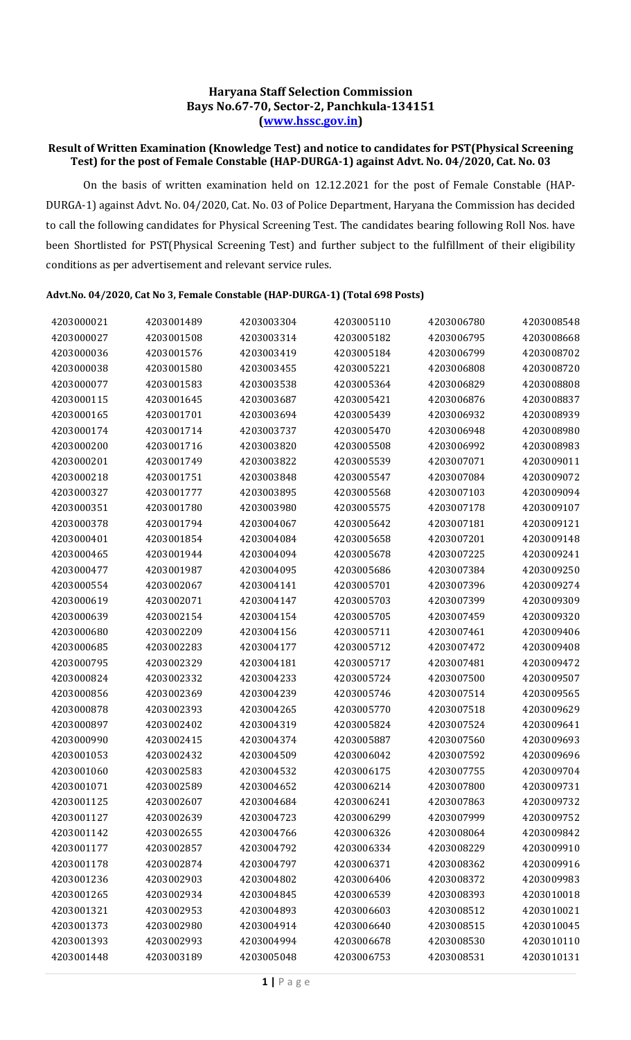## Haryana Staff Selection Commission Bays No.67-70, Sector-2, Panchkula-134151 (www.hssc.gov.in)

## Result of Written Examination (Knowledge Test) and notice to candidates for PST(Physical Screening Test) for the post of Female Constable (HAP-DURGA-1) against Advt. No. 04/2020, Cat. No. 03

 On the basis of written examination held on 12.12.2021 for the post of Female Constable (HAP-DURGA-1) against Advt. No. 04/2020, Cat. No. 03 of Police Department, Haryana the Commission has decided to call the following candidates for Physical Screening Test. The candidates bearing following Roll Nos. have been Shortlisted for PST(Physical Screening Test) and further subject to the fulfillment of their eligibility conditions as per advertisement and relevant service rules.

## Advt.No. 04/2020, Cat No 3, Female Constable (HAP-DURGA-1) (Total 698 Posts)

| 4203000021 | 4203001489 | 4203003304 | 4203005110 | 4203006780 | 4203008548 |
|------------|------------|------------|------------|------------|------------|
| 4203000027 | 4203001508 | 4203003314 | 4203005182 | 4203006795 | 4203008668 |
| 4203000036 | 4203001576 | 4203003419 | 4203005184 | 4203006799 | 4203008702 |
| 4203000038 | 4203001580 | 4203003455 | 4203005221 | 4203006808 | 4203008720 |
| 4203000077 | 4203001583 | 4203003538 | 4203005364 | 4203006829 | 4203008808 |
| 4203000115 | 4203001645 | 4203003687 | 4203005421 | 4203006876 | 4203008837 |
| 4203000165 | 4203001701 | 4203003694 | 4203005439 | 4203006932 | 4203008939 |
| 4203000174 | 4203001714 | 4203003737 | 4203005470 | 4203006948 | 4203008980 |
| 4203000200 | 4203001716 | 4203003820 | 4203005508 | 4203006992 | 4203008983 |
| 4203000201 | 4203001749 | 4203003822 | 4203005539 | 4203007071 | 4203009011 |
| 4203000218 | 4203001751 | 4203003848 | 4203005547 | 4203007084 | 4203009072 |
| 4203000327 | 4203001777 | 4203003895 | 4203005568 | 4203007103 | 4203009094 |
| 4203000351 | 4203001780 | 4203003980 | 4203005575 | 4203007178 | 4203009107 |
| 4203000378 | 4203001794 | 4203004067 | 4203005642 | 4203007181 | 4203009121 |
| 4203000401 | 4203001854 | 4203004084 | 4203005658 | 4203007201 | 4203009148 |
| 4203000465 | 4203001944 | 4203004094 | 4203005678 | 4203007225 | 4203009241 |
| 4203000477 | 4203001987 | 4203004095 | 4203005686 | 4203007384 | 4203009250 |
| 4203000554 | 4203002067 | 4203004141 | 4203005701 | 4203007396 | 4203009274 |
| 4203000619 | 4203002071 | 4203004147 | 4203005703 | 4203007399 | 4203009309 |
| 4203000639 | 4203002154 | 4203004154 | 4203005705 | 4203007459 | 4203009320 |
| 4203000680 | 4203002209 | 4203004156 | 4203005711 | 4203007461 | 4203009406 |
| 4203000685 | 4203002283 | 4203004177 | 4203005712 | 4203007472 | 4203009408 |
| 4203000795 | 4203002329 | 4203004181 | 4203005717 | 4203007481 | 4203009472 |
| 4203000824 | 4203002332 | 4203004233 | 4203005724 | 4203007500 | 4203009507 |
| 4203000856 | 4203002369 | 4203004239 | 4203005746 | 4203007514 | 4203009565 |
| 4203000878 | 4203002393 | 4203004265 | 4203005770 | 4203007518 | 4203009629 |
| 4203000897 | 4203002402 | 4203004319 | 4203005824 | 4203007524 | 4203009641 |
| 4203000990 | 4203002415 | 4203004374 | 4203005887 | 4203007560 | 4203009693 |
| 4203001053 | 4203002432 | 4203004509 | 4203006042 | 4203007592 | 4203009696 |
| 4203001060 | 4203002583 | 4203004532 | 4203006175 | 4203007755 | 4203009704 |
| 4203001071 | 4203002589 | 4203004652 | 4203006214 | 4203007800 | 4203009731 |
| 4203001125 | 4203002607 | 4203004684 | 4203006241 | 4203007863 | 4203009732 |
| 4203001127 | 4203002639 | 4203004723 | 4203006299 | 4203007999 | 4203009752 |
| 4203001142 | 4203002655 | 4203004766 | 4203006326 | 4203008064 | 4203009842 |
| 4203001177 | 4203002857 | 4203004792 | 4203006334 | 4203008229 | 4203009910 |
| 4203001178 | 4203002874 | 4203004797 | 4203006371 | 4203008362 | 4203009916 |
| 4203001236 | 4203002903 | 4203004802 | 4203006406 | 4203008372 | 4203009983 |
| 4203001265 | 4203002934 | 4203004845 | 4203006539 | 4203008393 | 4203010018 |
| 4203001321 | 4203002953 | 4203004893 | 4203006603 | 4203008512 | 4203010021 |
| 4203001373 | 4203002980 | 4203004914 | 4203006640 | 4203008515 | 4203010045 |
| 4203001393 | 4203002993 | 4203004994 | 4203006678 | 4203008530 | 4203010110 |
| 4203001448 | 4203003189 | 4203005048 | 4203006753 | 4203008531 | 4203010131 |
|            |            |            |            |            |            |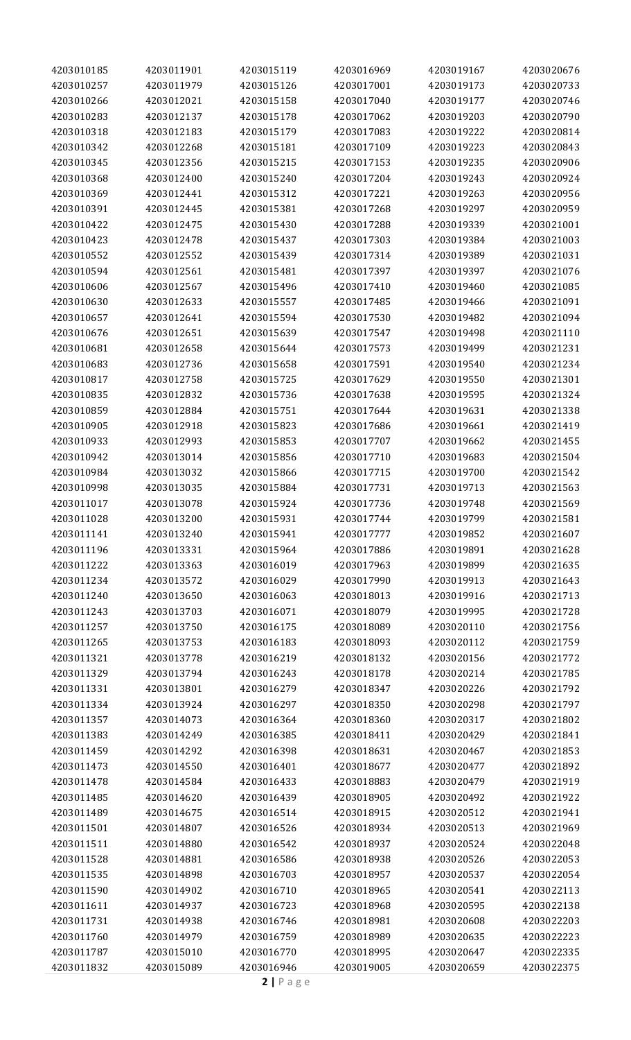| 4203010185 | 4203011901 | 4203015119 | 4203016969 | 4203019167 | 4203020676 |
|------------|------------|------------|------------|------------|------------|
| 4203010257 | 4203011979 | 4203015126 | 4203017001 | 4203019173 | 4203020733 |
| 4203010266 | 4203012021 | 4203015158 | 4203017040 | 4203019177 | 4203020746 |
| 4203010283 | 4203012137 | 4203015178 | 4203017062 | 4203019203 | 4203020790 |
| 4203010318 | 4203012183 | 4203015179 | 4203017083 | 4203019222 | 4203020814 |
| 4203010342 | 4203012268 | 4203015181 | 4203017109 | 4203019223 | 4203020843 |
| 4203010345 | 4203012356 | 4203015215 | 4203017153 | 4203019235 | 4203020906 |
| 4203010368 | 4203012400 | 4203015240 | 4203017204 | 4203019243 | 4203020924 |
| 4203010369 | 4203012441 | 4203015312 | 4203017221 | 4203019263 | 4203020956 |
| 4203010391 | 4203012445 | 4203015381 | 4203017268 | 4203019297 | 4203020959 |
| 4203010422 | 4203012475 | 4203015430 | 4203017288 | 4203019339 | 4203021001 |
| 4203010423 | 4203012478 | 4203015437 | 4203017303 | 4203019384 | 4203021003 |
| 4203010552 | 4203012552 | 4203015439 | 4203017314 | 4203019389 | 4203021031 |
| 4203010594 |            |            |            | 4203019397 |            |
|            | 4203012561 | 4203015481 | 4203017397 |            | 4203021076 |
| 4203010606 | 4203012567 | 4203015496 | 4203017410 | 4203019460 | 4203021085 |
| 4203010630 | 4203012633 | 4203015557 | 4203017485 | 4203019466 | 4203021091 |
| 4203010657 | 4203012641 | 4203015594 | 4203017530 | 4203019482 | 4203021094 |
| 4203010676 | 4203012651 | 4203015639 | 4203017547 | 4203019498 | 4203021110 |
| 4203010681 | 4203012658 | 4203015644 | 4203017573 | 4203019499 | 4203021231 |
| 4203010683 | 4203012736 | 4203015658 | 4203017591 | 4203019540 | 4203021234 |
| 4203010817 | 4203012758 | 4203015725 | 4203017629 | 4203019550 | 4203021301 |
| 4203010835 | 4203012832 | 4203015736 | 4203017638 | 4203019595 | 4203021324 |
| 4203010859 | 4203012884 | 4203015751 | 4203017644 | 4203019631 | 4203021338 |
| 4203010905 | 4203012918 | 4203015823 | 4203017686 | 4203019661 | 4203021419 |
| 4203010933 | 4203012993 | 4203015853 | 4203017707 | 4203019662 | 4203021455 |
| 4203010942 | 4203013014 | 4203015856 | 4203017710 | 4203019683 | 4203021504 |
| 4203010984 | 4203013032 | 4203015866 | 4203017715 | 4203019700 | 4203021542 |
| 4203010998 | 4203013035 | 4203015884 | 4203017731 | 4203019713 | 4203021563 |
| 4203011017 | 4203013078 | 4203015924 | 4203017736 | 4203019748 | 4203021569 |
| 4203011028 | 4203013200 | 4203015931 | 4203017744 | 4203019799 | 4203021581 |
| 4203011141 | 4203013240 | 4203015941 | 4203017777 | 4203019852 | 4203021607 |
| 4203011196 | 4203013331 | 4203015964 | 4203017886 | 4203019891 | 4203021628 |
| 4203011222 | 4203013363 | 4203016019 | 4203017963 | 4203019899 | 4203021635 |
| 4203011234 | 4203013572 | 4203016029 | 4203017990 | 4203019913 | 4203021643 |
| 4203011240 | 4203013650 | 4203016063 | 4203018013 | 4203019916 | 4203021713 |
| 4203011243 | 4203013703 | 4203016071 | 4203018079 | 4203019995 | 4203021728 |
| 4203011257 | 4203013750 | 4203016175 | 4203018089 | 4203020110 | 4203021756 |
| 4203011265 | 4203013753 | 4203016183 | 4203018093 | 4203020112 | 4203021759 |
| 4203011321 | 4203013778 | 4203016219 | 4203018132 | 4203020156 | 4203021772 |
| 4203011329 | 4203013794 | 4203016243 | 4203018178 | 4203020214 | 4203021785 |
| 4203011331 | 4203013801 | 4203016279 | 4203018347 | 4203020226 | 4203021792 |
| 4203011334 | 4203013924 | 4203016297 | 4203018350 | 4203020298 | 4203021797 |
| 4203011357 | 4203014073 | 4203016364 | 4203018360 | 4203020317 | 4203021802 |
| 4203011383 | 4203014249 | 4203016385 | 4203018411 | 4203020429 | 4203021841 |
| 4203011459 | 4203014292 | 4203016398 | 4203018631 | 4203020467 | 4203021853 |
| 4203011473 | 4203014550 | 4203016401 | 4203018677 | 4203020477 | 4203021892 |
| 4203011478 | 4203014584 | 4203016433 | 4203018883 | 4203020479 | 4203021919 |
| 4203011485 | 4203014620 | 4203016439 | 4203018905 | 4203020492 | 4203021922 |
|            |            |            |            |            | 4203021941 |
| 4203011489 | 4203014675 | 4203016514 | 4203018915 | 4203020512 |            |
| 4203011501 | 4203014807 | 4203016526 | 4203018934 | 4203020513 | 4203021969 |
| 4203011511 | 4203014880 | 4203016542 | 4203018937 | 4203020524 | 4203022048 |
| 4203011528 | 4203014881 | 4203016586 | 4203018938 | 4203020526 | 4203022053 |
| 4203011535 | 4203014898 | 4203016703 | 4203018957 | 4203020537 | 4203022054 |
| 4203011590 | 4203014902 | 4203016710 | 4203018965 | 4203020541 | 4203022113 |
| 4203011611 | 4203014937 | 4203016723 | 4203018968 | 4203020595 | 4203022138 |
| 4203011731 | 4203014938 | 4203016746 | 4203018981 | 4203020608 | 4203022203 |
| 4203011760 | 4203014979 | 4203016759 | 4203018989 | 4203020635 | 4203022223 |
| 4203011787 | 4203015010 | 4203016770 | 4203018995 | 4203020647 | 4203022335 |
| 4203011832 | 4203015089 | 4203016946 | 4203019005 | 4203020659 | 4203022375 |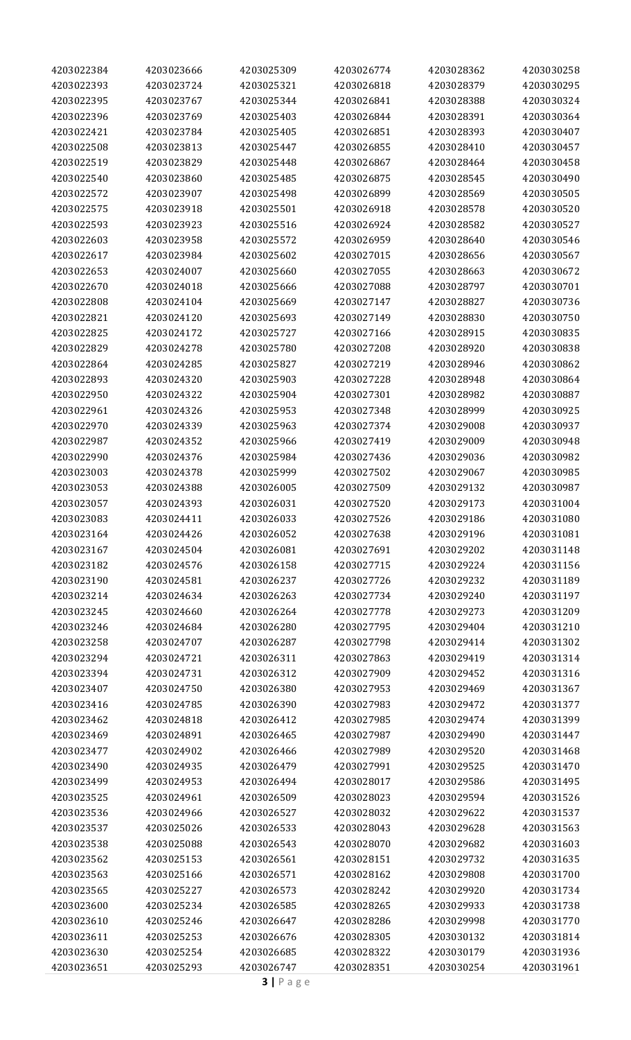| 4203022384 | 4203023666 | 4203025309 | 4203026774 | 4203028362 | 4203030258 |
|------------|------------|------------|------------|------------|------------|
| 4203022393 | 4203023724 | 4203025321 | 4203026818 | 4203028379 | 4203030295 |
| 4203022395 | 4203023767 | 4203025344 | 4203026841 | 4203028388 | 4203030324 |
| 4203022396 | 4203023769 | 4203025403 | 4203026844 | 4203028391 | 4203030364 |
| 4203022421 | 4203023784 | 4203025405 | 4203026851 | 4203028393 | 4203030407 |
| 4203022508 | 4203023813 | 4203025447 | 4203026855 | 4203028410 | 4203030457 |
| 4203022519 | 4203023829 | 4203025448 | 4203026867 | 4203028464 | 4203030458 |
| 4203022540 | 4203023860 | 4203025485 | 4203026875 | 4203028545 | 4203030490 |
| 4203022572 | 4203023907 | 4203025498 | 4203026899 | 4203028569 | 4203030505 |
| 4203022575 | 4203023918 | 4203025501 | 4203026918 | 4203028578 | 4203030520 |
| 4203022593 | 4203023923 | 4203025516 | 4203026924 | 4203028582 | 4203030527 |
| 4203022603 | 4203023958 | 4203025572 | 4203026959 | 4203028640 | 4203030546 |
|            |            |            |            |            |            |
| 4203022617 | 4203023984 | 4203025602 | 4203027015 | 4203028656 | 4203030567 |
| 4203022653 | 4203024007 | 4203025660 | 4203027055 | 4203028663 | 4203030672 |
| 4203022670 | 4203024018 | 4203025666 | 4203027088 | 4203028797 | 4203030701 |
| 4203022808 | 4203024104 | 4203025669 | 4203027147 | 4203028827 | 4203030736 |
| 4203022821 | 4203024120 | 4203025693 | 4203027149 | 4203028830 | 4203030750 |
| 4203022825 | 4203024172 | 4203025727 | 4203027166 | 4203028915 | 4203030835 |
| 4203022829 | 4203024278 | 4203025780 | 4203027208 | 4203028920 | 4203030838 |
| 4203022864 | 4203024285 | 4203025827 | 4203027219 | 4203028946 | 4203030862 |
| 4203022893 | 4203024320 | 4203025903 | 4203027228 | 4203028948 | 4203030864 |
| 4203022950 | 4203024322 | 4203025904 | 4203027301 | 4203028982 | 4203030887 |
| 4203022961 | 4203024326 | 4203025953 | 4203027348 | 4203028999 | 4203030925 |
| 4203022970 | 4203024339 | 4203025963 | 4203027374 | 4203029008 | 4203030937 |
| 4203022987 | 4203024352 | 4203025966 | 4203027419 | 4203029009 | 4203030948 |
| 4203022990 | 4203024376 | 4203025984 | 4203027436 | 4203029036 | 4203030982 |
| 4203023003 | 4203024378 | 4203025999 | 4203027502 | 4203029067 | 4203030985 |
| 4203023053 | 4203024388 | 4203026005 | 4203027509 | 4203029132 | 4203030987 |
| 4203023057 | 4203024393 | 4203026031 | 4203027520 | 4203029173 | 4203031004 |
| 4203023083 | 4203024411 | 4203026033 | 4203027526 | 4203029186 | 4203031080 |
| 4203023164 | 4203024426 | 4203026052 | 4203027638 | 4203029196 | 4203031081 |
| 4203023167 | 4203024504 | 4203026081 | 4203027691 | 4203029202 | 4203031148 |
| 4203023182 | 4203024576 | 4203026158 | 4203027715 | 4203029224 | 4203031156 |
| 4203023190 | 4203024581 | 4203026237 | 4203027726 | 4203029232 | 4203031189 |
| 4203023214 | 4203024634 | 4203026263 | 4203027734 | 4203029240 | 4203031197 |
| 4203023245 | 4203024660 | 4203026264 | 4203027778 | 4203029273 | 4203031209 |
| 4203023246 | 4203024684 | 4203026280 | 4203027795 | 4203029404 | 4203031210 |
| 4203023258 | 4203024707 | 4203026287 | 4203027798 | 4203029414 | 4203031302 |
| 4203023294 | 4203024721 | 4203026311 | 4203027863 | 4203029419 | 4203031314 |
| 4203023394 | 4203024731 | 4203026312 | 4203027909 | 4203029452 | 4203031316 |
| 4203023407 | 4203024750 | 4203026380 | 4203027953 | 4203029469 | 4203031367 |
| 4203023416 |            | 4203026390 | 4203027983 | 4203029472 | 4203031377 |
|            | 4203024785 |            |            |            |            |
| 4203023462 | 4203024818 | 4203026412 | 4203027985 | 4203029474 | 4203031399 |
| 4203023469 | 4203024891 | 4203026465 | 4203027987 | 4203029490 | 4203031447 |
| 4203023477 | 4203024902 | 4203026466 | 4203027989 | 4203029520 | 4203031468 |
| 4203023490 | 4203024935 | 4203026479 | 4203027991 | 4203029525 | 4203031470 |
| 4203023499 | 4203024953 | 4203026494 | 4203028017 | 4203029586 | 4203031495 |
| 4203023525 | 4203024961 | 4203026509 | 4203028023 | 4203029594 | 4203031526 |
| 4203023536 | 4203024966 | 4203026527 | 4203028032 | 4203029622 | 4203031537 |
| 4203023537 | 4203025026 | 4203026533 | 4203028043 | 4203029628 | 4203031563 |
| 4203023538 | 4203025088 | 4203026543 | 4203028070 | 4203029682 | 4203031603 |
| 4203023562 | 4203025153 | 4203026561 | 4203028151 | 4203029732 | 4203031635 |
| 4203023563 | 4203025166 | 4203026571 | 4203028162 | 4203029808 | 4203031700 |
| 4203023565 | 4203025227 | 4203026573 | 4203028242 | 4203029920 | 4203031734 |
| 4203023600 | 4203025234 | 4203026585 | 4203028265 | 4203029933 | 4203031738 |
| 4203023610 | 4203025246 | 4203026647 | 4203028286 | 4203029998 | 4203031770 |
| 4203023611 | 4203025253 | 4203026676 | 4203028305 | 4203030132 | 4203031814 |
| 4203023630 | 4203025254 | 4203026685 | 4203028322 | 4203030179 | 4203031936 |
| 4203023651 | 4203025293 | 4203026747 | 4203028351 | 4203030254 | 4203031961 |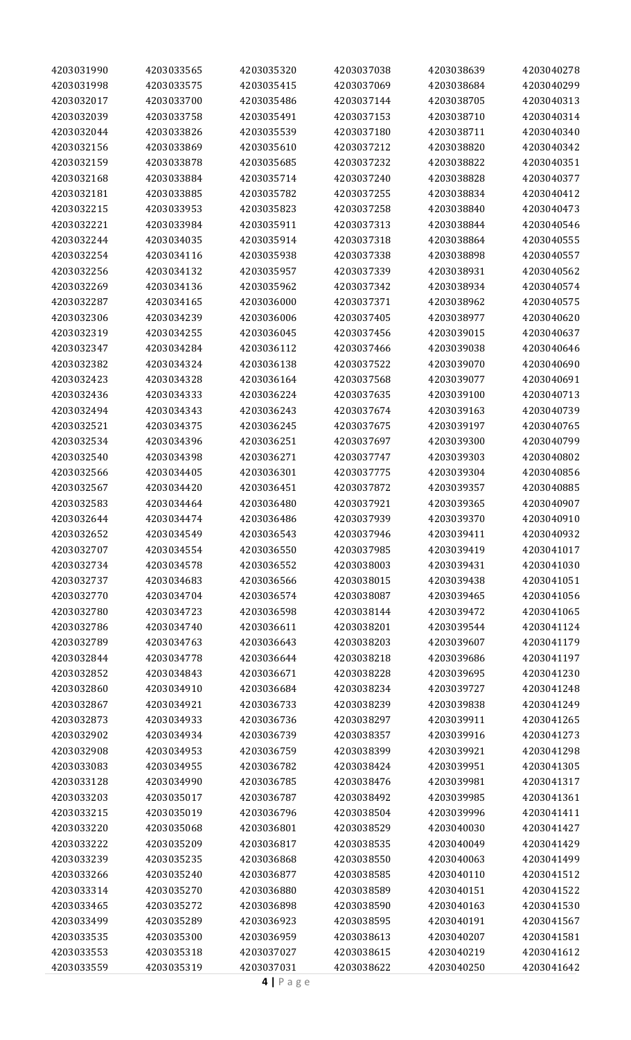| 4203031990               | 4203033565               | 4203035320               | 4203037038               | 4203038639               | 4203040278               |
|--------------------------|--------------------------|--------------------------|--------------------------|--------------------------|--------------------------|
| 4203031998               | 4203033575               | 4203035415               | 4203037069               | 4203038684               | 4203040299               |
| 4203032017               | 4203033700               | 4203035486               | 4203037144               | 4203038705               | 4203040313               |
| 4203032039               | 4203033758               | 4203035491               | 4203037153               | 4203038710               | 4203040314               |
| 4203032044               | 4203033826               | 4203035539               | 4203037180               | 4203038711               | 4203040340               |
| 4203032156               | 4203033869               | 4203035610               | 4203037212               | 4203038820               | 4203040342               |
| 4203032159               | 4203033878               | 4203035685               | 4203037232               | 4203038822               | 4203040351               |
| 4203032168               | 4203033884               | 4203035714               | 4203037240               | 4203038828               | 4203040377               |
| 4203032181               | 4203033885               | 4203035782               | 4203037255               | 4203038834               | 4203040412               |
| 4203032215               | 4203033953               | 4203035823               | 4203037258               | 4203038840               | 4203040473               |
| 4203032221               | 4203033984               | 4203035911               | 4203037313               | 4203038844               | 4203040546               |
| 4203032244               | 4203034035               | 4203035914               | 4203037318               | 4203038864               | 4203040555               |
| 4203032254               | 4203034116               | 4203035938               | 4203037338               | 4203038898               | 4203040557               |
| 4203032256               | 4203034132               | 4203035957               | 4203037339               | 4203038931               | 4203040562               |
| 4203032269               | 4203034136               | 4203035962               | 4203037342               | 4203038934               | 4203040574               |
| 4203032287               | 4203034165               | 4203036000               | 4203037371               | 4203038962               | 4203040575               |
| 4203032306               | 4203034239               | 4203036006               | 4203037405               | 4203038977               | 4203040620               |
| 4203032319               | 4203034255               | 4203036045               | 4203037456               | 4203039015               | 4203040637               |
| 4203032347               | 4203034284               | 4203036112               | 4203037466               | 4203039038               | 4203040646               |
| 4203032382               | 4203034324               | 4203036138               | 4203037522               | 4203039070               | 4203040690               |
| 4203032423               | 4203034328               | 4203036164               | 4203037568               | 4203039077               | 4203040691               |
| 4203032436               | 4203034333               | 4203036224               | 4203037635               | 4203039100               | 4203040713               |
| 4203032494               | 4203034343               | 4203036243               | 4203037674               | 4203039163               | 4203040739               |
| 4203032521               | 4203034375               | 4203036245               | 4203037675               | 4203039197               | 4203040765               |
| 4203032534               | 4203034396               | 4203036251               | 4203037697               | 4203039300               | 4203040799               |
| 4203032540               | 4203034398               | 4203036271               | 4203037747               | 4203039303               | 4203040802               |
| 4203032566               | 4203034405               | 4203036301               |                          | 4203039304               | 4203040856               |
|                          |                          | 4203036451               | 4203037775               |                          |                          |
| 4203032567               | 4203034420               |                          | 4203037872               | 4203039357               | 4203040885               |
| 4203032583<br>4203032644 | 4203034464               | 4203036480               | 4203037921<br>4203037939 | 4203039365               | 4203040907               |
|                          | 4203034474               | 4203036486               |                          | 4203039370               | 4203040910               |
| 4203032652<br>4203032707 | 4203034549<br>4203034554 | 4203036543<br>4203036550 | 4203037946<br>4203037985 | 4203039411<br>4203039419 | 4203040932<br>4203041017 |
| 4203032734               | 4203034578               | 4203036552               |                          |                          |                          |
|                          |                          |                          | 4203038003               | 4203039431               | 4203041030<br>4203041051 |
| 4203032737               | 4203034683               | 4203036566               | 4203038015<br>4203038087 | 4203039438               |                          |
| 4203032770               | 4203034704               | 4203036574               |                          | 4203039465               | 4203041056               |
| 4203032780               | 4203034723               | 4203036598               | 4203038144               | 4203039472               | 4203041065               |
| 4203032786               | 4203034740               | 4203036611               | 4203038201               | 4203039544               | 4203041124               |
| 4203032789               | 4203034763               | 4203036643               | 4203038203               | 4203039607               | 4203041179               |
| 4203032844               | 4203034778               | 4203036644               | 4203038218               | 4203039686               | 4203041197               |
| 4203032852               | 4203034843               | 4203036671               | 4203038228               | 4203039695               | 4203041230               |
| 4203032860               | 4203034910               | 4203036684               | 4203038234               | 4203039727               | 4203041248               |
| 4203032867               | 4203034921               | 4203036733               | 4203038239               | 4203039838               | 4203041249               |
| 4203032873               | 4203034933               | 4203036736               | 4203038297               | 4203039911               | 4203041265               |
| 4203032902               | 4203034934               | 4203036739               | 4203038357               | 4203039916               | 4203041273               |
| 4203032908               | 4203034953               | 4203036759               | 4203038399               | 4203039921               | 4203041298               |
| 4203033083               | 4203034955               | 4203036782               | 4203038424               | 4203039951               | 4203041305               |
| 4203033128               | 4203034990               | 4203036785               | 4203038476               | 4203039981               | 4203041317               |
| 4203033203               | 4203035017               | 4203036787               | 4203038492               | 4203039985               | 4203041361               |
| 4203033215               | 4203035019               | 4203036796               | 4203038504               | 4203039996               | 4203041411               |
| 4203033220               | 4203035068               | 4203036801               | 4203038529               | 4203040030               | 4203041427               |
| 4203033222               | 4203035209               | 4203036817               | 4203038535               | 4203040049               | 4203041429               |
| 4203033239               | 4203035235               | 4203036868               | 4203038550               | 4203040063               | 4203041499               |
| 4203033266               | 4203035240               | 4203036877               | 4203038585               | 4203040110               | 4203041512               |
| 4203033314               | 4203035270               | 4203036880               | 4203038589               | 4203040151               | 4203041522               |
| 4203033465               | 4203035272               | 4203036898               | 4203038590               | 4203040163               | 4203041530               |
| 4203033499               | 4203035289               | 4203036923               | 4203038595               | 4203040191               | 4203041567               |
| 4203033535               | 4203035300               | 4203036959               | 4203038613               | 4203040207               | 4203041581               |
| 4203033553               | 4203035318               | 4203037027               | 4203038615               | 4203040219               | 4203041612               |
| 4203033559               | 4203035319               | 4203037031               | 4203038622               | 4203040250               | 4203041642               |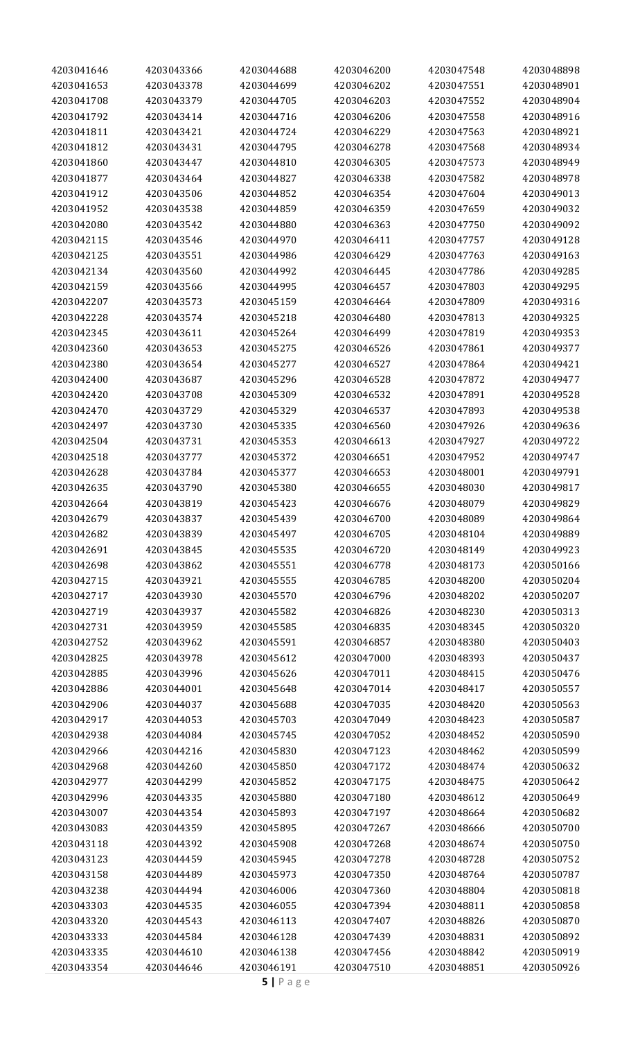| 4203041646               | 4203043366 | 4203044688               | 4203046200               | 4203047548               | 4203048898               |
|--------------------------|------------|--------------------------|--------------------------|--------------------------|--------------------------|
| 4203041653               | 4203043378 | 4203044699               | 4203046202               | 4203047551               | 4203048901               |
| 4203041708               | 4203043379 | 4203044705               | 4203046203               | 4203047552               | 4203048904               |
| 4203041792               | 4203043414 | 4203044716               | 4203046206               | 4203047558               | 4203048916               |
| 4203041811               | 4203043421 | 4203044724               | 4203046229               | 4203047563               | 4203048921               |
| 4203041812               | 4203043431 | 4203044795               | 4203046278               | 4203047568               | 4203048934               |
| 4203041860               | 4203043447 | 4203044810               | 4203046305               | 4203047573               | 4203048949               |
| 4203041877               | 4203043464 | 4203044827               | 4203046338               | 4203047582               | 4203048978               |
| 4203041912               | 4203043506 | 4203044852               | 4203046354               | 4203047604               | 4203049013               |
| 4203041952               | 4203043538 | 4203044859               | 4203046359               | 4203047659               | 4203049032               |
| 4203042080               | 4203043542 | 4203044880               | 4203046363               | 4203047750               | 4203049092               |
| 4203042115               |            |                          |                          |                          | 4203049128               |
|                          | 4203043546 | 4203044970               | 4203046411               | 4203047757               |                          |
| 4203042125               | 4203043551 | 4203044986               | 4203046429               | 4203047763               | 4203049163               |
| 4203042134               | 4203043560 | 4203044992               | 4203046445               | 4203047786               | 4203049285               |
| 4203042159               | 4203043566 | 4203044995               | 4203046457               | 4203047803               | 4203049295               |
| 4203042207               | 4203043573 | 4203045159               | 4203046464               | 4203047809               | 4203049316               |
| 4203042228               | 4203043574 | 4203045218               | 4203046480               | 4203047813               | 4203049325               |
| 4203042345               | 4203043611 | 4203045264               | 4203046499               | 4203047819               | 4203049353               |
| 4203042360               | 4203043653 | 4203045275               | 4203046526               | 4203047861               | 4203049377               |
| 4203042380               | 4203043654 | 4203045277               | 4203046527               | 4203047864               | 4203049421               |
| 4203042400               | 4203043687 | 4203045296               | 4203046528               | 4203047872               | 4203049477               |
| 4203042420               | 4203043708 | 4203045309               | 4203046532               | 4203047891               | 4203049528               |
| 4203042470               | 4203043729 | 4203045329               | 4203046537               | 4203047893               | 4203049538               |
| 4203042497               | 4203043730 | 4203045335               | 4203046560               | 4203047926               | 4203049636               |
| 4203042504               | 4203043731 | 4203045353               | 4203046613               | 4203047927               | 4203049722               |
| 4203042518               | 4203043777 | 4203045372               | 4203046651               | 4203047952               | 4203049747               |
| 4203042628               | 4203043784 | 4203045377               | 4203046653               | 4203048001               | 4203049791               |
| 4203042635               | 4203043790 | 4203045380               | 4203046655               | 4203048030               | 4203049817               |
| 4203042664               | 4203043819 | 4203045423               | 4203046676               | 4203048079               | 4203049829               |
| 4203042679               | 4203043837 | 4203045439               | 4203046700               | 4203048089               | 4203049864               |
| 4203042682               | 4203043839 | 4203045497               | 4203046705               | 4203048104               | 4203049889               |
| 4203042691               | 4203043845 | 4203045535               | 4203046720               | 4203048149               | 4203049923               |
| 4203042698               | 4203043862 | 4203045551               | 4203046778               | 4203048173               | 4203050166               |
| 4203042715               | 4203043921 | 4203045555               | 4203046785               | 4203048200               | 4203050204               |
| 4203042717               | 4203043930 | 4203045570               | 4203046796               | 4203048202               | 4203050207               |
| 4203042719               | 4203043937 | 4203045582               | 4203046826               | 4203048230               | 4203050313               |
| 4203042731               | 4203043959 | 4203045585               | 4203046835               | 4203048345               | 4203050320               |
| 4203042752               | 4203043962 | 4203045591               | 4203046857               | 4203048380               | 4203050403               |
| 4203042825               | 4203043978 | 4203045612               | 4203047000               | 4203048393               | 4203050437               |
| 4203042885               | 4203043996 | 4203045626               | 4203047011               | 4203048415               | 4203050476               |
| 4203042886               | 4203044001 | 4203045648               | 4203047014               | 4203048417               | 4203050557               |
| 4203042906               | 4203044037 | 4203045688               | 4203047035               | 4203048420               | 4203050563               |
| 4203042917               | 4203044053 | 4203045703               | 4203047049               | 4203048423               | 4203050587               |
| 4203042938               | 4203044084 | 4203045745               | 4203047052               | 4203048452               | 4203050590               |
| 4203042966               | 4203044216 | 4203045830               | 4203047123               | 4203048462               | 4203050599               |
| 4203042968               | 4203044260 | 4203045850               | 4203047172               | 4203048474               | 4203050632               |
| 4203042977               | 4203044299 | 4203045852               | 4203047175               | 4203048475               | 4203050642               |
| 4203042996               | 4203044335 | 4203045880               | 4203047180               | 4203048612               | 4203050649               |
| 4203043007               | 4203044354 | 4203045893               | 4203047197               | 4203048664               | 4203050682               |
|                          |            |                          |                          |                          |                          |
| 4203043083<br>4203043118 | 4203044359 | 4203045895<br>4203045908 | 4203047267<br>4203047268 | 4203048666<br>4203048674 | 4203050700<br>4203050750 |
|                          | 4203044392 |                          |                          |                          |                          |
| 4203043123               | 4203044459 | 4203045945               | 4203047278               | 4203048728               | 4203050752               |
| 4203043158               | 4203044489 | 4203045973               | 4203047350               | 4203048764               | 4203050787               |
| 4203043238               | 4203044494 | 4203046006               | 4203047360               | 4203048804               | 4203050818               |
| 4203043303               | 4203044535 | 4203046055               | 4203047394               | 4203048811               | 4203050858               |
| 4203043320               | 4203044543 | 4203046113               | 4203047407               | 4203048826               | 4203050870               |
| 4203043333               | 4203044584 | 4203046128               | 4203047439               | 4203048831               | 4203050892               |
| 4203043335               | 4203044610 | 4203046138               | 4203047456               | 4203048842               | 4203050919               |
| 4203043354               | 4203044646 | 4203046191               | 4203047510               | 4203048851               | 4203050926               |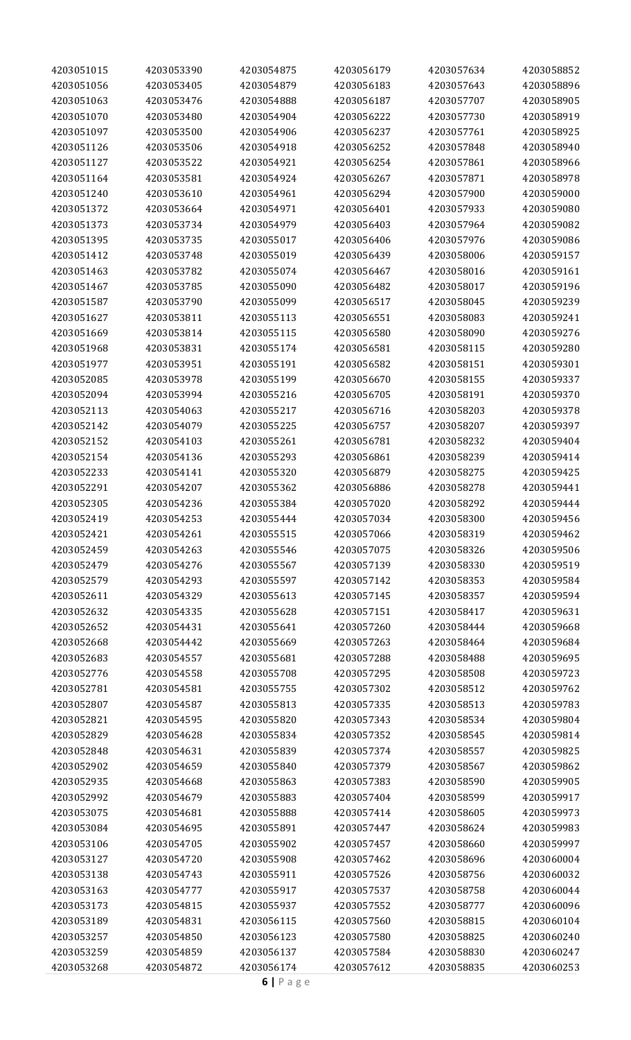| 4203051015               | 4203053390 | 4203054875               | 4203056179 | 4203057634               | 4203058852               |
|--------------------------|------------|--------------------------|------------|--------------------------|--------------------------|
| 4203051056               | 4203053405 | 4203054879               | 4203056183 | 4203057643               | 4203058896               |
| 4203051063               | 4203053476 | 4203054888               | 4203056187 | 4203057707               | 4203058905               |
| 4203051070               | 4203053480 | 4203054904               | 4203056222 | 4203057730               | 4203058919               |
| 4203051097               | 4203053500 | 4203054906               | 4203056237 | 4203057761               | 4203058925               |
| 4203051126               | 4203053506 | 4203054918               | 4203056252 | 4203057848               | 4203058940               |
| 4203051127               | 4203053522 | 4203054921               | 4203056254 | 4203057861               | 4203058966               |
| 4203051164               | 4203053581 | 4203054924               | 4203056267 | 4203057871               | 4203058978               |
| 4203051240               | 4203053610 | 4203054961               | 4203056294 | 4203057900               | 4203059000               |
| 4203051372               | 4203053664 | 4203054971               | 4203056401 | 4203057933               | 4203059080               |
| 4203051373               | 4203053734 | 4203054979               | 4203056403 | 4203057964               | 4203059082               |
| 4203051395               | 4203053735 | 4203055017               | 4203056406 | 4203057976               | 4203059086               |
| 4203051412               | 4203053748 | 4203055019               | 4203056439 | 4203058006               | 4203059157               |
| 4203051463               | 4203053782 | 4203055074               | 4203056467 | 4203058016               | 4203059161               |
| 4203051467               | 4203053785 | 4203055090               | 4203056482 | 4203058017               | 4203059196               |
| 4203051587               | 4203053790 | 4203055099               | 4203056517 | 4203058045               | 4203059239               |
| 4203051627               | 4203053811 | 4203055113               | 4203056551 | 4203058083               | 4203059241               |
| 4203051669               | 4203053814 | 4203055115               | 4203056580 | 4203058090               | 4203059276               |
| 4203051968               | 4203053831 | 4203055174               | 4203056581 | 4203058115               | 4203059280               |
| 4203051977               | 4203053951 | 4203055191               | 4203056582 | 4203058151               | 4203059301               |
| 4203052085               | 4203053978 | 4203055199               | 4203056670 | 4203058155               | 4203059337               |
| 4203052094               | 4203053994 | 4203055216               | 4203056705 | 4203058191               | 4203059370               |
| 4203052113               | 4203054063 | 4203055217               | 4203056716 | 4203058203               | 4203059378               |
| 4203052142               | 4203054079 |                          | 4203056757 | 4203058207               | 4203059397               |
| 4203052152               | 4203054103 | 4203055225<br>4203055261 | 4203056781 | 4203058232               | 4203059404               |
| 4203052154               | 4203054136 | 4203055293               | 4203056861 | 4203058239               | 4203059414               |
| 4203052233               | 4203054141 | 4203055320               | 4203056879 | 4203058275               | 4203059425               |
|                          |            |                          |            |                          |                          |
| 4203052291               | 4203054207 | 4203055362               | 4203056886 | 4203058278               | 4203059441               |
| 4203052305               | 4203054236 | 4203055384               | 4203057020 | 4203058292               | 4203059444               |
| 4203052419               | 4203054253 | 4203055444               | 4203057034 | 4203058300               | 4203059456               |
| 4203052421               | 4203054261 | 4203055515               | 4203057066 | 4203058319               | 4203059462               |
| 4203052459<br>4203052479 | 4203054263 | 4203055546               | 4203057075 | 4203058326<br>4203058330 | 4203059506               |
|                          | 4203054276 | 4203055567               | 4203057139 |                          | 4203059519               |
| 4203052579               | 4203054293 | 4203055597               | 4203057142 | 4203058353<br>4203058357 | 4203059584<br>4203059594 |
| 4203052611               | 4203054329 | 4203055613               | 4203057145 |                          |                          |
| 4203052632               | 4203054335 | 4203055628               | 4203057151 | 4203058417               | 4203059631               |
| 4203052652               | 4203054431 | 4203055641               | 4203057260 | 4203058444               | 4203059668               |
| 4203052668               | 4203054442 | 4203055669               | 4203057263 | 4203058464               | 4203059684               |
| 4203052683               | 4203054557 | 4203055681               | 4203057288 | 4203058488               | 4203059695               |
| 4203052776               | 4203054558 | 4203055708               | 4203057295 | 4203058508               | 4203059723               |
| 4203052781               | 4203054581 | 4203055755               | 4203057302 | 4203058512               | 4203059762               |
| 4203052807               | 4203054587 | 4203055813               | 4203057335 | 4203058513               | 4203059783               |
| 4203052821               | 4203054595 | 4203055820               | 4203057343 | 4203058534               | 4203059804               |
| 4203052829               | 4203054628 | 4203055834               | 4203057352 | 4203058545               | 4203059814               |
| 4203052848               | 4203054631 | 4203055839               | 4203057374 | 4203058557               | 4203059825               |
| 4203052902               | 4203054659 | 4203055840               | 4203057379 | 4203058567               | 4203059862               |
| 4203052935               | 4203054668 | 4203055863               | 4203057383 | 4203058590               | 4203059905               |
| 4203052992               | 4203054679 | 4203055883               | 4203057404 | 4203058599               | 4203059917               |
| 4203053075               | 4203054681 | 4203055888               | 4203057414 | 4203058605               | 4203059973               |
| 4203053084               | 4203054695 | 4203055891               | 4203057447 | 4203058624               | 4203059983               |
| 4203053106               | 4203054705 | 4203055902               | 4203057457 | 4203058660               | 4203059997               |
| 4203053127               | 4203054720 | 4203055908               | 4203057462 | 4203058696               | 4203060004               |
| 4203053138               | 4203054743 | 4203055911               | 4203057526 | 4203058756               | 4203060032               |
| 4203053163               | 4203054777 | 4203055917               | 4203057537 | 4203058758               | 4203060044               |
| 4203053173               | 4203054815 | 4203055937               | 4203057552 | 4203058777               | 4203060096               |
| 4203053189               | 4203054831 | 4203056115               | 4203057560 | 4203058815               | 4203060104               |
| 4203053257               | 4203054850 | 4203056123               | 4203057580 | 4203058825               | 4203060240               |
| 4203053259               | 4203054859 | 4203056137               | 4203057584 | 4203058830               | 4203060247               |
| 4203053268               | 4203054872 | 4203056174               | 4203057612 | 4203058835               | 4203060253               |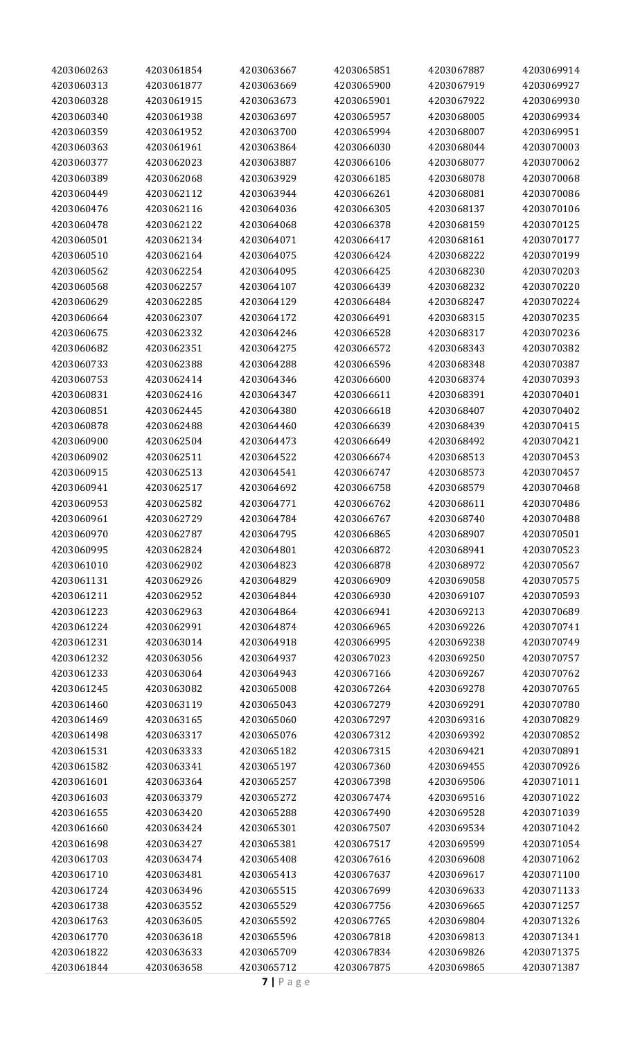| 4203060313<br>4203061877<br>4203063669<br>4203065900<br>4203067919<br>4203069927<br>4203060328<br>4203061915<br>4203063673<br>4203065901<br>4203067922<br>4203069930<br>4203060340<br>4203061938<br>4203063697<br>4203065957<br>4203068005<br>4203069934<br>4203060359<br>4203061952<br>4203063700<br>4203065994<br>4203068007<br>4203069951<br>4203060363<br>4203061961<br>4203063864<br>4203066030<br>4203068044<br>4203070003<br>4203060377<br>4203062023<br>4203063887<br>4203066106<br>4203068077<br>4203070062<br>4203070068<br>4203060389<br>4203062068<br>4203063929<br>4203066185<br>4203068078<br>4203060449<br>4203062112<br>4203063944<br>4203066261<br>4203068081<br>4203070086<br>4203062116<br>4203068137<br>4203070106<br>4203060476<br>4203064036<br>4203066305<br>4203060478<br>4203062122<br>4203064068<br>4203066378<br>4203068159<br>4203070125<br>4203060501<br>4203062134<br>4203068161<br>4203070177<br>4203064071<br>4203066417<br>4203060510<br>4203062164<br>4203064075<br>4203066424<br>4203068222<br>4203070199<br>4203060562<br>4203062254<br>4203064095<br>4203068230<br>4203070203<br>4203066425<br>4203060568<br>4203062257<br>4203064107<br>4203066439<br>4203068232<br>4203070220<br>4203060629<br>4203062285<br>4203068247<br>4203070224<br>4203064129<br>4203066484<br>4203060664<br>4203062307<br>4203066491<br>4203068315<br>4203070235<br>4203064172<br>4203060675<br>4203062332<br>4203064246<br>4203068317<br>4203070236<br>4203066528<br>4203060682<br>4203062351<br>4203064275<br>4203066572<br>4203068343<br>4203070382<br>4203070387<br>4203060733<br>4203062388<br>4203064288<br>4203066596<br>4203068348<br>4203060753<br>4203062414<br>4203064346<br>4203066600<br>4203068374<br>4203070393<br>4203060831<br>4203062416<br>4203064347<br>4203066611<br>4203068391<br>4203070401<br>4203060851<br>4203062445<br>4203064380<br>4203066618<br>4203068407<br>4203070402<br>4203060878<br>4203062488<br>4203066639<br>4203070415<br>4203064460<br>4203068439<br>4203060900<br>4203062504<br>4203066649<br>4203070421<br>4203064473<br>4203068492<br>4203060902<br>4203062511<br>4203068513<br>4203070453<br>4203064522<br>4203066674<br>4203060915<br>4203062513<br>4203068573<br>4203070457<br>4203064541<br>4203066747<br>4203060941<br>4203062517<br>4203070468<br>4203064692<br>4203066758<br>4203068579<br>4203060953<br>4203062582<br>4203068611<br>4203070486<br>4203064771<br>4203066762<br>4203060961<br>4203062729<br>4203070488<br>4203064784<br>4203066767<br>4203068740<br>4203060970<br>4203062787<br>4203064795<br>4203066865<br>4203068907<br>4203070501<br>4203060995<br>4203062824<br>4203064801<br>4203066872<br>4203068941<br>4203070523<br>4203061010<br>4203062902<br>4203064823<br>4203066878<br>4203068972<br>4203070567<br>4203061131<br>4203062926<br>4203064829<br>4203066909<br>4203069058<br>4203070575<br>4203061211<br>4203062952<br>4203064844<br>4203066930<br>4203069107<br>4203070593<br>4203061223<br>4203062963<br>4203066941<br>4203070689<br>4203064864<br>4203069213<br>4203061224<br>4203062991<br>4203064874<br>4203066965<br>4203069226<br>4203070741<br>4203063014<br>4203066995<br>4203069238<br>4203070749<br>4203061231<br>4203064918<br>4203061232<br>4203063056<br>4203064937<br>4203067023<br>4203069250<br>4203070757<br>4203063064<br>4203070762<br>4203061233<br>4203064943<br>4203067166<br>4203069267<br>4203061245<br>4203063082<br>4203065008<br>4203067264<br>4203069278<br>4203070765<br>4203061460<br>4203063119<br>4203065043<br>4203069291<br>4203070780<br>4203067279<br>4203061469<br>4203063165<br>4203065060<br>4203067297<br>4203069316<br>4203070829<br>4203061498<br>4203063317<br>4203065076<br>4203069392<br>4203070852<br>4203067312<br>4203061531<br>4203063333<br>4203065182<br>4203067315<br>4203069421<br>4203070891<br>4203061582<br>4203063341<br>4203065197<br>4203067360<br>4203069455<br>4203070926<br>4203061601<br>4203063364<br>4203065257<br>4203067398<br>4203069506<br>4203071011<br>4203061603<br>4203063379<br>4203065272<br>4203069516<br>4203071022<br>4203067474<br>4203061655<br>4203063420<br>4203065288<br>4203069528<br>4203071039<br>4203067490<br>4203071042<br>4203061660<br>4203063424<br>4203065301<br>4203069534<br>4203067507<br>4203061698<br>4203063427<br>4203065381<br>4203069599<br>4203071054<br>4203067517<br>4203071062<br>4203061703<br>4203063474<br>4203065408<br>4203069608<br>4203067616<br>4203061710<br>4203063481<br>4203065413<br>4203069617<br>4203071100<br>4203067637<br>4203061724<br>4203063496<br>4203065515<br>4203069633<br>4203071133<br>4203067699<br>4203063552<br>4203065529<br>4203071257<br>4203061738<br>4203067756<br>4203069665<br>4203063605<br>4203065592<br>4203069804<br>4203071326<br>4203061763<br>4203067765<br>4203063618<br>4203065596<br>4203069813<br>4203071341<br>4203061770<br>4203067818<br>4203063633<br>4203065709<br>4203071375<br>4203061822<br>4203067834<br>4203069826<br>4203063658<br>4203065712<br>4203071387<br>4203061844<br>4203067875<br>4203069865 | 4203060263 | 4203061854 | 4203063667 | 4203065851 | 4203067887 | 4203069914 |
|----------------------------------------------------------------------------------------------------------------------------------------------------------------------------------------------------------------------------------------------------------------------------------------------------------------------------------------------------------------------------------------------------------------------------------------------------------------------------------------------------------------------------------------------------------------------------------------------------------------------------------------------------------------------------------------------------------------------------------------------------------------------------------------------------------------------------------------------------------------------------------------------------------------------------------------------------------------------------------------------------------------------------------------------------------------------------------------------------------------------------------------------------------------------------------------------------------------------------------------------------------------------------------------------------------------------------------------------------------------------------------------------------------------------------------------------------------------------------------------------------------------------------------------------------------------------------------------------------------------------------------------------------------------------------------------------------------------------------------------------------------------------------------------------------------------------------------------------------------------------------------------------------------------------------------------------------------------------------------------------------------------------------------------------------------------------------------------------------------------------------------------------------------------------------------------------------------------------------------------------------------------------------------------------------------------------------------------------------------------------------------------------------------------------------------------------------------------------------------------------------------------------------------------------------------------------------------------------------------------------------------------------------------------------------------------------------------------------------------------------------------------------------------------------------------------------------------------------------------------------------------------------------------------------------------------------------------------------------------------------------------------------------------------------------------------------------------------------------------------------------------------------------------------------------------------------------------------------------------------------------------------------------------------------------------------------------------------------------------------------------------------------------------------------------------------------------------------------------------------------------------------------------------------------------------------------------------------------------------------------------------------------------------------------------------------------------------------------------------------------------------------------------------------------------------------------------------------------------------------------------------------------------------------------------------------------------------------------------------------------------------------------------------------------------------------------------------------------------------------------------------------------------------------------------------------------------------------------------------------------------------------------------------------------------------------------------------------------------------------------------------------------------------------------------------------------------------------------------------------------------------------------------------------------------------------------------------------------------------------------------------------------------------------------------------------------------------------------------------------------------------------------------------------------------------------------------------------------------------------------------------------------------------------------------------------------------------------------------------------------------------------------------------------------------------------------|------------|------------|------------|------------|------------|------------|
|                                                                                                                                                                                                                                                                                                                                                                                                                                                                                                                                                                                                                                                                                                                                                                                                                                                                                                                                                                                                                                                                                                                                                                                                                                                                                                                                                                                                                                                                                                                                                                                                                                                                                                                                                                                                                                                                                                                                                                                                                                                                                                                                                                                                                                                                                                                                                                                                                                                                                                                                                                                                                                                                                                                                                                                                                                                                                                                                                                                                                                                                                                                                                                                                                                                                                                                                                                                                                                                                                                                                                                                                                                                                                                                                                                                                                                                                                                                                                                                                                                                                                                                                                                                                                                                                                                                                                                                                                                                                                                                                                                                                                                                                                                                                                                                                                                                                                                                                                                                                                                                                      |            |            |            |            |            |            |
|                                                                                                                                                                                                                                                                                                                                                                                                                                                                                                                                                                                                                                                                                                                                                                                                                                                                                                                                                                                                                                                                                                                                                                                                                                                                                                                                                                                                                                                                                                                                                                                                                                                                                                                                                                                                                                                                                                                                                                                                                                                                                                                                                                                                                                                                                                                                                                                                                                                                                                                                                                                                                                                                                                                                                                                                                                                                                                                                                                                                                                                                                                                                                                                                                                                                                                                                                                                                                                                                                                                                                                                                                                                                                                                                                                                                                                                                                                                                                                                                                                                                                                                                                                                                                                                                                                                                                                                                                                                                                                                                                                                                                                                                                                                                                                                                                                                                                                                                                                                                                                                                      |            |            |            |            |            |            |
|                                                                                                                                                                                                                                                                                                                                                                                                                                                                                                                                                                                                                                                                                                                                                                                                                                                                                                                                                                                                                                                                                                                                                                                                                                                                                                                                                                                                                                                                                                                                                                                                                                                                                                                                                                                                                                                                                                                                                                                                                                                                                                                                                                                                                                                                                                                                                                                                                                                                                                                                                                                                                                                                                                                                                                                                                                                                                                                                                                                                                                                                                                                                                                                                                                                                                                                                                                                                                                                                                                                                                                                                                                                                                                                                                                                                                                                                                                                                                                                                                                                                                                                                                                                                                                                                                                                                                                                                                                                                                                                                                                                                                                                                                                                                                                                                                                                                                                                                                                                                                                                                      |            |            |            |            |            |            |
|                                                                                                                                                                                                                                                                                                                                                                                                                                                                                                                                                                                                                                                                                                                                                                                                                                                                                                                                                                                                                                                                                                                                                                                                                                                                                                                                                                                                                                                                                                                                                                                                                                                                                                                                                                                                                                                                                                                                                                                                                                                                                                                                                                                                                                                                                                                                                                                                                                                                                                                                                                                                                                                                                                                                                                                                                                                                                                                                                                                                                                                                                                                                                                                                                                                                                                                                                                                                                                                                                                                                                                                                                                                                                                                                                                                                                                                                                                                                                                                                                                                                                                                                                                                                                                                                                                                                                                                                                                                                                                                                                                                                                                                                                                                                                                                                                                                                                                                                                                                                                                                                      |            |            |            |            |            |            |
|                                                                                                                                                                                                                                                                                                                                                                                                                                                                                                                                                                                                                                                                                                                                                                                                                                                                                                                                                                                                                                                                                                                                                                                                                                                                                                                                                                                                                                                                                                                                                                                                                                                                                                                                                                                                                                                                                                                                                                                                                                                                                                                                                                                                                                                                                                                                                                                                                                                                                                                                                                                                                                                                                                                                                                                                                                                                                                                                                                                                                                                                                                                                                                                                                                                                                                                                                                                                                                                                                                                                                                                                                                                                                                                                                                                                                                                                                                                                                                                                                                                                                                                                                                                                                                                                                                                                                                                                                                                                                                                                                                                                                                                                                                                                                                                                                                                                                                                                                                                                                                                                      |            |            |            |            |            |            |
|                                                                                                                                                                                                                                                                                                                                                                                                                                                                                                                                                                                                                                                                                                                                                                                                                                                                                                                                                                                                                                                                                                                                                                                                                                                                                                                                                                                                                                                                                                                                                                                                                                                                                                                                                                                                                                                                                                                                                                                                                                                                                                                                                                                                                                                                                                                                                                                                                                                                                                                                                                                                                                                                                                                                                                                                                                                                                                                                                                                                                                                                                                                                                                                                                                                                                                                                                                                                                                                                                                                                                                                                                                                                                                                                                                                                                                                                                                                                                                                                                                                                                                                                                                                                                                                                                                                                                                                                                                                                                                                                                                                                                                                                                                                                                                                                                                                                                                                                                                                                                                                                      |            |            |            |            |            |            |
|                                                                                                                                                                                                                                                                                                                                                                                                                                                                                                                                                                                                                                                                                                                                                                                                                                                                                                                                                                                                                                                                                                                                                                                                                                                                                                                                                                                                                                                                                                                                                                                                                                                                                                                                                                                                                                                                                                                                                                                                                                                                                                                                                                                                                                                                                                                                                                                                                                                                                                                                                                                                                                                                                                                                                                                                                                                                                                                                                                                                                                                                                                                                                                                                                                                                                                                                                                                                                                                                                                                                                                                                                                                                                                                                                                                                                                                                                                                                                                                                                                                                                                                                                                                                                                                                                                                                                                                                                                                                                                                                                                                                                                                                                                                                                                                                                                                                                                                                                                                                                                                                      |            |            |            |            |            |            |
|                                                                                                                                                                                                                                                                                                                                                                                                                                                                                                                                                                                                                                                                                                                                                                                                                                                                                                                                                                                                                                                                                                                                                                                                                                                                                                                                                                                                                                                                                                                                                                                                                                                                                                                                                                                                                                                                                                                                                                                                                                                                                                                                                                                                                                                                                                                                                                                                                                                                                                                                                                                                                                                                                                                                                                                                                                                                                                                                                                                                                                                                                                                                                                                                                                                                                                                                                                                                                                                                                                                                                                                                                                                                                                                                                                                                                                                                                                                                                                                                                                                                                                                                                                                                                                                                                                                                                                                                                                                                                                                                                                                                                                                                                                                                                                                                                                                                                                                                                                                                                                                                      |            |            |            |            |            |            |
|                                                                                                                                                                                                                                                                                                                                                                                                                                                                                                                                                                                                                                                                                                                                                                                                                                                                                                                                                                                                                                                                                                                                                                                                                                                                                                                                                                                                                                                                                                                                                                                                                                                                                                                                                                                                                                                                                                                                                                                                                                                                                                                                                                                                                                                                                                                                                                                                                                                                                                                                                                                                                                                                                                                                                                                                                                                                                                                                                                                                                                                                                                                                                                                                                                                                                                                                                                                                                                                                                                                                                                                                                                                                                                                                                                                                                                                                                                                                                                                                                                                                                                                                                                                                                                                                                                                                                                                                                                                                                                                                                                                                                                                                                                                                                                                                                                                                                                                                                                                                                                                                      |            |            |            |            |            |            |
|                                                                                                                                                                                                                                                                                                                                                                                                                                                                                                                                                                                                                                                                                                                                                                                                                                                                                                                                                                                                                                                                                                                                                                                                                                                                                                                                                                                                                                                                                                                                                                                                                                                                                                                                                                                                                                                                                                                                                                                                                                                                                                                                                                                                                                                                                                                                                                                                                                                                                                                                                                                                                                                                                                                                                                                                                                                                                                                                                                                                                                                                                                                                                                                                                                                                                                                                                                                                                                                                                                                                                                                                                                                                                                                                                                                                                                                                                                                                                                                                                                                                                                                                                                                                                                                                                                                                                                                                                                                                                                                                                                                                                                                                                                                                                                                                                                                                                                                                                                                                                                                                      |            |            |            |            |            |            |
|                                                                                                                                                                                                                                                                                                                                                                                                                                                                                                                                                                                                                                                                                                                                                                                                                                                                                                                                                                                                                                                                                                                                                                                                                                                                                                                                                                                                                                                                                                                                                                                                                                                                                                                                                                                                                                                                                                                                                                                                                                                                                                                                                                                                                                                                                                                                                                                                                                                                                                                                                                                                                                                                                                                                                                                                                                                                                                                                                                                                                                                                                                                                                                                                                                                                                                                                                                                                                                                                                                                                                                                                                                                                                                                                                                                                                                                                                                                                                                                                                                                                                                                                                                                                                                                                                                                                                                                                                                                                                                                                                                                                                                                                                                                                                                                                                                                                                                                                                                                                                                                                      |            |            |            |            |            |            |
|                                                                                                                                                                                                                                                                                                                                                                                                                                                                                                                                                                                                                                                                                                                                                                                                                                                                                                                                                                                                                                                                                                                                                                                                                                                                                                                                                                                                                                                                                                                                                                                                                                                                                                                                                                                                                                                                                                                                                                                                                                                                                                                                                                                                                                                                                                                                                                                                                                                                                                                                                                                                                                                                                                                                                                                                                                                                                                                                                                                                                                                                                                                                                                                                                                                                                                                                                                                                                                                                                                                                                                                                                                                                                                                                                                                                                                                                                                                                                                                                                                                                                                                                                                                                                                                                                                                                                                                                                                                                                                                                                                                                                                                                                                                                                                                                                                                                                                                                                                                                                                                                      |            |            |            |            |            |            |
|                                                                                                                                                                                                                                                                                                                                                                                                                                                                                                                                                                                                                                                                                                                                                                                                                                                                                                                                                                                                                                                                                                                                                                                                                                                                                                                                                                                                                                                                                                                                                                                                                                                                                                                                                                                                                                                                                                                                                                                                                                                                                                                                                                                                                                                                                                                                                                                                                                                                                                                                                                                                                                                                                                                                                                                                                                                                                                                                                                                                                                                                                                                                                                                                                                                                                                                                                                                                                                                                                                                                                                                                                                                                                                                                                                                                                                                                                                                                                                                                                                                                                                                                                                                                                                                                                                                                                                                                                                                                                                                                                                                                                                                                                                                                                                                                                                                                                                                                                                                                                                                                      |            |            |            |            |            |            |
|                                                                                                                                                                                                                                                                                                                                                                                                                                                                                                                                                                                                                                                                                                                                                                                                                                                                                                                                                                                                                                                                                                                                                                                                                                                                                                                                                                                                                                                                                                                                                                                                                                                                                                                                                                                                                                                                                                                                                                                                                                                                                                                                                                                                                                                                                                                                                                                                                                                                                                                                                                                                                                                                                                                                                                                                                                                                                                                                                                                                                                                                                                                                                                                                                                                                                                                                                                                                                                                                                                                                                                                                                                                                                                                                                                                                                                                                                                                                                                                                                                                                                                                                                                                                                                                                                                                                                                                                                                                                                                                                                                                                                                                                                                                                                                                                                                                                                                                                                                                                                                                                      |            |            |            |            |            |            |
|                                                                                                                                                                                                                                                                                                                                                                                                                                                                                                                                                                                                                                                                                                                                                                                                                                                                                                                                                                                                                                                                                                                                                                                                                                                                                                                                                                                                                                                                                                                                                                                                                                                                                                                                                                                                                                                                                                                                                                                                                                                                                                                                                                                                                                                                                                                                                                                                                                                                                                                                                                                                                                                                                                                                                                                                                                                                                                                                                                                                                                                                                                                                                                                                                                                                                                                                                                                                                                                                                                                                                                                                                                                                                                                                                                                                                                                                                                                                                                                                                                                                                                                                                                                                                                                                                                                                                                                                                                                                                                                                                                                                                                                                                                                                                                                                                                                                                                                                                                                                                                                                      |            |            |            |            |            |            |
|                                                                                                                                                                                                                                                                                                                                                                                                                                                                                                                                                                                                                                                                                                                                                                                                                                                                                                                                                                                                                                                                                                                                                                                                                                                                                                                                                                                                                                                                                                                                                                                                                                                                                                                                                                                                                                                                                                                                                                                                                                                                                                                                                                                                                                                                                                                                                                                                                                                                                                                                                                                                                                                                                                                                                                                                                                                                                                                                                                                                                                                                                                                                                                                                                                                                                                                                                                                                                                                                                                                                                                                                                                                                                                                                                                                                                                                                                                                                                                                                                                                                                                                                                                                                                                                                                                                                                                                                                                                                                                                                                                                                                                                                                                                                                                                                                                                                                                                                                                                                                                                                      |            |            |            |            |            |            |
|                                                                                                                                                                                                                                                                                                                                                                                                                                                                                                                                                                                                                                                                                                                                                                                                                                                                                                                                                                                                                                                                                                                                                                                                                                                                                                                                                                                                                                                                                                                                                                                                                                                                                                                                                                                                                                                                                                                                                                                                                                                                                                                                                                                                                                                                                                                                                                                                                                                                                                                                                                                                                                                                                                                                                                                                                                                                                                                                                                                                                                                                                                                                                                                                                                                                                                                                                                                                                                                                                                                                                                                                                                                                                                                                                                                                                                                                                                                                                                                                                                                                                                                                                                                                                                                                                                                                                                                                                                                                                                                                                                                                                                                                                                                                                                                                                                                                                                                                                                                                                                                                      |            |            |            |            |            |            |
|                                                                                                                                                                                                                                                                                                                                                                                                                                                                                                                                                                                                                                                                                                                                                                                                                                                                                                                                                                                                                                                                                                                                                                                                                                                                                                                                                                                                                                                                                                                                                                                                                                                                                                                                                                                                                                                                                                                                                                                                                                                                                                                                                                                                                                                                                                                                                                                                                                                                                                                                                                                                                                                                                                                                                                                                                                                                                                                                                                                                                                                                                                                                                                                                                                                                                                                                                                                                                                                                                                                                                                                                                                                                                                                                                                                                                                                                                                                                                                                                                                                                                                                                                                                                                                                                                                                                                                                                                                                                                                                                                                                                                                                                                                                                                                                                                                                                                                                                                                                                                                                                      |            |            |            |            |            |            |
|                                                                                                                                                                                                                                                                                                                                                                                                                                                                                                                                                                                                                                                                                                                                                                                                                                                                                                                                                                                                                                                                                                                                                                                                                                                                                                                                                                                                                                                                                                                                                                                                                                                                                                                                                                                                                                                                                                                                                                                                                                                                                                                                                                                                                                                                                                                                                                                                                                                                                                                                                                                                                                                                                                                                                                                                                                                                                                                                                                                                                                                                                                                                                                                                                                                                                                                                                                                                                                                                                                                                                                                                                                                                                                                                                                                                                                                                                                                                                                                                                                                                                                                                                                                                                                                                                                                                                                                                                                                                                                                                                                                                                                                                                                                                                                                                                                                                                                                                                                                                                                                                      |            |            |            |            |            |            |
|                                                                                                                                                                                                                                                                                                                                                                                                                                                                                                                                                                                                                                                                                                                                                                                                                                                                                                                                                                                                                                                                                                                                                                                                                                                                                                                                                                                                                                                                                                                                                                                                                                                                                                                                                                                                                                                                                                                                                                                                                                                                                                                                                                                                                                                                                                                                                                                                                                                                                                                                                                                                                                                                                                                                                                                                                                                                                                                                                                                                                                                                                                                                                                                                                                                                                                                                                                                                                                                                                                                                                                                                                                                                                                                                                                                                                                                                                                                                                                                                                                                                                                                                                                                                                                                                                                                                                                                                                                                                                                                                                                                                                                                                                                                                                                                                                                                                                                                                                                                                                                                                      |            |            |            |            |            |            |
|                                                                                                                                                                                                                                                                                                                                                                                                                                                                                                                                                                                                                                                                                                                                                                                                                                                                                                                                                                                                                                                                                                                                                                                                                                                                                                                                                                                                                                                                                                                                                                                                                                                                                                                                                                                                                                                                                                                                                                                                                                                                                                                                                                                                                                                                                                                                                                                                                                                                                                                                                                                                                                                                                                                                                                                                                                                                                                                                                                                                                                                                                                                                                                                                                                                                                                                                                                                                                                                                                                                                                                                                                                                                                                                                                                                                                                                                                                                                                                                                                                                                                                                                                                                                                                                                                                                                                                                                                                                                                                                                                                                                                                                                                                                                                                                                                                                                                                                                                                                                                                                                      |            |            |            |            |            |            |
|                                                                                                                                                                                                                                                                                                                                                                                                                                                                                                                                                                                                                                                                                                                                                                                                                                                                                                                                                                                                                                                                                                                                                                                                                                                                                                                                                                                                                                                                                                                                                                                                                                                                                                                                                                                                                                                                                                                                                                                                                                                                                                                                                                                                                                                                                                                                                                                                                                                                                                                                                                                                                                                                                                                                                                                                                                                                                                                                                                                                                                                                                                                                                                                                                                                                                                                                                                                                                                                                                                                                                                                                                                                                                                                                                                                                                                                                                                                                                                                                                                                                                                                                                                                                                                                                                                                                                                                                                                                                                                                                                                                                                                                                                                                                                                                                                                                                                                                                                                                                                                                                      |            |            |            |            |            |            |
|                                                                                                                                                                                                                                                                                                                                                                                                                                                                                                                                                                                                                                                                                                                                                                                                                                                                                                                                                                                                                                                                                                                                                                                                                                                                                                                                                                                                                                                                                                                                                                                                                                                                                                                                                                                                                                                                                                                                                                                                                                                                                                                                                                                                                                                                                                                                                                                                                                                                                                                                                                                                                                                                                                                                                                                                                                                                                                                                                                                                                                                                                                                                                                                                                                                                                                                                                                                                                                                                                                                                                                                                                                                                                                                                                                                                                                                                                                                                                                                                                                                                                                                                                                                                                                                                                                                                                                                                                                                                                                                                                                                                                                                                                                                                                                                                                                                                                                                                                                                                                                                                      |            |            |            |            |            |            |
|                                                                                                                                                                                                                                                                                                                                                                                                                                                                                                                                                                                                                                                                                                                                                                                                                                                                                                                                                                                                                                                                                                                                                                                                                                                                                                                                                                                                                                                                                                                                                                                                                                                                                                                                                                                                                                                                                                                                                                                                                                                                                                                                                                                                                                                                                                                                                                                                                                                                                                                                                                                                                                                                                                                                                                                                                                                                                                                                                                                                                                                                                                                                                                                                                                                                                                                                                                                                                                                                                                                                                                                                                                                                                                                                                                                                                                                                                                                                                                                                                                                                                                                                                                                                                                                                                                                                                                                                                                                                                                                                                                                                                                                                                                                                                                                                                                                                                                                                                                                                                                                                      |            |            |            |            |            |            |
|                                                                                                                                                                                                                                                                                                                                                                                                                                                                                                                                                                                                                                                                                                                                                                                                                                                                                                                                                                                                                                                                                                                                                                                                                                                                                                                                                                                                                                                                                                                                                                                                                                                                                                                                                                                                                                                                                                                                                                                                                                                                                                                                                                                                                                                                                                                                                                                                                                                                                                                                                                                                                                                                                                                                                                                                                                                                                                                                                                                                                                                                                                                                                                                                                                                                                                                                                                                                                                                                                                                                                                                                                                                                                                                                                                                                                                                                                                                                                                                                                                                                                                                                                                                                                                                                                                                                                                                                                                                                                                                                                                                                                                                                                                                                                                                                                                                                                                                                                                                                                                                                      |            |            |            |            |            |            |
|                                                                                                                                                                                                                                                                                                                                                                                                                                                                                                                                                                                                                                                                                                                                                                                                                                                                                                                                                                                                                                                                                                                                                                                                                                                                                                                                                                                                                                                                                                                                                                                                                                                                                                                                                                                                                                                                                                                                                                                                                                                                                                                                                                                                                                                                                                                                                                                                                                                                                                                                                                                                                                                                                                                                                                                                                                                                                                                                                                                                                                                                                                                                                                                                                                                                                                                                                                                                                                                                                                                                                                                                                                                                                                                                                                                                                                                                                                                                                                                                                                                                                                                                                                                                                                                                                                                                                                                                                                                                                                                                                                                                                                                                                                                                                                                                                                                                                                                                                                                                                                                                      |            |            |            |            |            |            |
|                                                                                                                                                                                                                                                                                                                                                                                                                                                                                                                                                                                                                                                                                                                                                                                                                                                                                                                                                                                                                                                                                                                                                                                                                                                                                                                                                                                                                                                                                                                                                                                                                                                                                                                                                                                                                                                                                                                                                                                                                                                                                                                                                                                                                                                                                                                                                                                                                                                                                                                                                                                                                                                                                                                                                                                                                                                                                                                                                                                                                                                                                                                                                                                                                                                                                                                                                                                                                                                                                                                                                                                                                                                                                                                                                                                                                                                                                                                                                                                                                                                                                                                                                                                                                                                                                                                                                                                                                                                                                                                                                                                                                                                                                                                                                                                                                                                                                                                                                                                                                                                                      |            |            |            |            |            |            |
|                                                                                                                                                                                                                                                                                                                                                                                                                                                                                                                                                                                                                                                                                                                                                                                                                                                                                                                                                                                                                                                                                                                                                                                                                                                                                                                                                                                                                                                                                                                                                                                                                                                                                                                                                                                                                                                                                                                                                                                                                                                                                                                                                                                                                                                                                                                                                                                                                                                                                                                                                                                                                                                                                                                                                                                                                                                                                                                                                                                                                                                                                                                                                                                                                                                                                                                                                                                                                                                                                                                                                                                                                                                                                                                                                                                                                                                                                                                                                                                                                                                                                                                                                                                                                                                                                                                                                                                                                                                                                                                                                                                                                                                                                                                                                                                                                                                                                                                                                                                                                                                                      |            |            |            |            |            |            |
|                                                                                                                                                                                                                                                                                                                                                                                                                                                                                                                                                                                                                                                                                                                                                                                                                                                                                                                                                                                                                                                                                                                                                                                                                                                                                                                                                                                                                                                                                                                                                                                                                                                                                                                                                                                                                                                                                                                                                                                                                                                                                                                                                                                                                                                                                                                                                                                                                                                                                                                                                                                                                                                                                                                                                                                                                                                                                                                                                                                                                                                                                                                                                                                                                                                                                                                                                                                                                                                                                                                                                                                                                                                                                                                                                                                                                                                                                                                                                                                                                                                                                                                                                                                                                                                                                                                                                                                                                                                                                                                                                                                                                                                                                                                                                                                                                                                                                                                                                                                                                                                                      |            |            |            |            |            |            |
|                                                                                                                                                                                                                                                                                                                                                                                                                                                                                                                                                                                                                                                                                                                                                                                                                                                                                                                                                                                                                                                                                                                                                                                                                                                                                                                                                                                                                                                                                                                                                                                                                                                                                                                                                                                                                                                                                                                                                                                                                                                                                                                                                                                                                                                                                                                                                                                                                                                                                                                                                                                                                                                                                                                                                                                                                                                                                                                                                                                                                                                                                                                                                                                                                                                                                                                                                                                                                                                                                                                                                                                                                                                                                                                                                                                                                                                                                                                                                                                                                                                                                                                                                                                                                                                                                                                                                                                                                                                                                                                                                                                                                                                                                                                                                                                                                                                                                                                                                                                                                                                                      |            |            |            |            |            |            |
|                                                                                                                                                                                                                                                                                                                                                                                                                                                                                                                                                                                                                                                                                                                                                                                                                                                                                                                                                                                                                                                                                                                                                                                                                                                                                                                                                                                                                                                                                                                                                                                                                                                                                                                                                                                                                                                                                                                                                                                                                                                                                                                                                                                                                                                                                                                                                                                                                                                                                                                                                                                                                                                                                                                                                                                                                                                                                                                                                                                                                                                                                                                                                                                                                                                                                                                                                                                                                                                                                                                                                                                                                                                                                                                                                                                                                                                                                                                                                                                                                                                                                                                                                                                                                                                                                                                                                                                                                                                                                                                                                                                                                                                                                                                                                                                                                                                                                                                                                                                                                                                                      |            |            |            |            |            |            |
|                                                                                                                                                                                                                                                                                                                                                                                                                                                                                                                                                                                                                                                                                                                                                                                                                                                                                                                                                                                                                                                                                                                                                                                                                                                                                                                                                                                                                                                                                                                                                                                                                                                                                                                                                                                                                                                                                                                                                                                                                                                                                                                                                                                                                                                                                                                                                                                                                                                                                                                                                                                                                                                                                                                                                                                                                                                                                                                                                                                                                                                                                                                                                                                                                                                                                                                                                                                                                                                                                                                                                                                                                                                                                                                                                                                                                                                                                                                                                                                                                                                                                                                                                                                                                                                                                                                                                                                                                                                                                                                                                                                                                                                                                                                                                                                                                                                                                                                                                                                                                                                                      |            |            |            |            |            |            |
|                                                                                                                                                                                                                                                                                                                                                                                                                                                                                                                                                                                                                                                                                                                                                                                                                                                                                                                                                                                                                                                                                                                                                                                                                                                                                                                                                                                                                                                                                                                                                                                                                                                                                                                                                                                                                                                                                                                                                                                                                                                                                                                                                                                                                                                                                                                                                                                                                                                                                                                                                                                                                                                                                                                                                                                                                                                                                                                                                                                                                                                                                                                                                                                                                                                                                                                                                                                                                                                                                                                                                                                                                                                                                                                                                                                                                                                                                                                                                                                                                                                                                                                                                                                                                                                                                                                                                                                                                                                                                                                                                                                                                                                                                                                                                                                                                                                                                                                                                                                                                                                                      |            |            |            |            |            |            |
|                                                                                                                                                                                                                                                                                                                                                                                                                                                                                                                                                                                                                                                                                                                                                                                                                                                                                                                                                                                                                                                                                                                                                                                                                                                                                                                                                                                                                                                                                                                                                                                                                                                                                                                                                                                                                                                                                                                                                                                                                                                                                                                                                                                                                                                                                                                                                                                                                                                                                                                                                                                                                                                                                                                                                                                                                                                                                                                                                                                                                                                                                                                                                                                                                                                                                                                                                                                                                                                                                                                                                                                                                                                                                                                                                                                                                                                                                                                                                                                                                                                                                                                                                                                                                                                                                                                                                                                                                                                                                                                                                                                                                                                                                                                                                                                                                                                                                                                                                                                                                                                                      |            |            |            |            |            |            |
|                                                                                                                                                                                                                                                                                                                                                                                                                                                                                                                                                                                                                                                                                                                                                                                                                                                                                                                                                                                                                                                                                                                                                                                                                                                                                                                                                                                                                                                                                                                                                                                                                                                                                                                                                                                                                                                                                                                                                                                                                                                                                                                                                                                                                                                                                                                                                                                                                                                                                                                                                                                                                                                                                                                                                                                                                                                                                                                                                                                                                                                                                                                                                                                                                                                                                                                                                                                                                                                                                                                                                                                                                                                                                                                                                                                                                                                                                                                                                                                                                                                                                                                                                                                                                                                                                                                                                                                                                                                                                                                                                                                                                                                                                                                                                                                                                                                                                                                                                                                                                                                                      |            |            |            |            |            |            |
|                                                                                                                                                                                                                                                                                                                                                                                                                                                                                                                                                                                                                                                                                                                                                                                                                                                                                                                                                                                                                                                                                                                                                                                                                                                                                                                                                                                                                                                                                                                                                                                                                                                                                                                                                                                                                                                                                                                                                                                                                                                                                                                                                                                                                                                                                                                                                                                                                                                                                                                                                                                                                                                                                                                                                                                                                                                                                                                                                                                                                                                                                                                                                                                                                                                                                                                                                                                                                                                                                                                                                                                                                                                                                                                                                                                                                                                                                                                                                                                                                                                                                                                                                                                                                                                                                                                                                                                                                                                                                                                                                                                                                                                                                                                                                                                                                                                                                                                                                                                                                                                                      |            |            |            |            |            |            |
|                                                                                                                                                                                                                                                                                                                                                                                                                                                                                                                                                                                                                                                                                                                                                                                                                                                                                                                                                                                                                                                                                                                                                                                                                                                                                                                                                                                                                                                                                                                                                                                                                                                                                                                                                                                                                                                                                                                                                                                                                                                                                                                                                                                                                                                                                                                                                                                                                                                                                                                                                                                                                                                                                                                                                                                                                                                                                                                                                                                                                                                                                                                                                                                                                                                                                                                                                                                                                                                                                                                                                                                                                                                                                                                                                                                                                                                                                                                                                                                                                                                                                                                                                                                                                                                                                                                                                                                                                                                                                                                                                                                                                                                                                                                                                                                                                                                                                                                                                                                                                                                                      |            |            |            |            |            |            |
|                                                                                                                                                                                                                                                                                                                                                                                                                                                                                                                                                                                                                                                                                                                                                                                                                                                                                                                                                                                                                                                                                                                                                                                                                                                                                                                                                                                                                                                                                                                                                                                                                                                                                                                                                                                                                                                                                                                                                                                                                                                                                                                                                                                                                                                                                                                                                                                                                                                                                                                                                                                                                                                                                                                                                                                                                                                                                                                                                                                                                                                                                                                                                                                                                                                                                                                                                                                                                                                                                                                                                                                                                                                                                                                                                                                                                                                                                                                                                                                                                                                                                                                                                                                                                                                                                                                                                                                                                                                                                                                                                                                                                                                                                                                                                                                                                                                                                                                                                                                                                                                                      |            |            |            |            |            |            |
|                                                                                                                                                                                                                                                                                                                                                                                                                                                                                                                                                                                                                                                                                                                                                                                                                                                                                                                                                                                                                                                                                                                                                                                                                                                                                                                                                                                                                                                                                                                                                                                                                                                                                                                                                                                                                                                                                                                                                                                                                                                                                                                                                                                                                                                                                                                                                                                                                                                                                                                                                                                                                                                                                                                                                                                                                                                                                                                                                                                                                                                                                                                                                                                                                                                                                                                                                                                                                                                                                                                                                                                                                                                                                                                                                                                                                                                                                                                                                                                                                                                                                                                                                                                                                                                                                                                                                                                                                                                                                                                                                                                                                                                                                                                                                                                                                                                                                                                                                                                                                                                                      |            |            |            |            |            |            |
|                                                                                                                                                                                                                                                                                                                                                                                                                                                                                                                                                                                                                                                                                                                                                                                                                                                                                                                                                                                                                                                                                                                                                                                                                                                                                                                                                                                                                                                                                                                                                                                                                                                                                                                                                                                                                                                                                                                                                                                                                                                                                                                                                                                                                                                                                                                                                                                                                                                                                                                                                                                                                                                                                                                                                                                                                                                                                                                                                                                                                                                                                                                                                                                                                                                                                                                                                                                                                                                                                                                                                                                                                                                                                                                                                                                                                                                                                                                                                                                                                                                                                                                                                                                                                                                                                                                                                                                                                                                                                                                                                                                                                                                                                                                                                                                                                                                                                                                                                                                                                                                                      |            |            |            |            |            |            |
|                                                                                                                                                                                                                                                                                                                                                                                                                                                                                                                                                                                                                                                                                                                                                                                                                                                                                                                                                                                                                                                                                                                                                                                                                                                                                                                                                                                                                                                                                                                                                                                                                                                                                                                                                                                                                                                                                                                                                                                                                                                                                                                                                                                                                                                                                                                                                                                                                                                                                                                                                                                                                                                                                                                                                                                                                                                                                                                                                                                                                                                                                                                                                                                                                                                                                                                                                                                                                                                                                                                                                                                                                                                                                                                                                                                                                                                                                                                                                                                                                                                                                                                                                                                                                                                                                                                                                                                                                                                                                                                                                                                                                                                                                                                                                                                                                                                                                                                                                                                                                                                                      |            |            |            |            |            |            |
|                                                                                                                                                                                                                                                                                                                                                                                                                                                                                                                                                                                                                                                                                                                                                                                                                                                                                                                                                                                                                                                                                                                                                                                                                                                                                                                                                                                                                                                                                                                                                                                                                                                                                                                                                                                                                                                                                                                                                                                                                                                                                                                                                                                                                                                                                                                                                                                                                                                                                                                                                                                                                                                                                                                                                                                                                                                                                                                                                                                                                                                                                                                                                                                                                                                                                                                                                                                                                                                                                                                                                                                                                                                                                                                                                                                                                                                                                                                                                                                                                                                                                                                                                                                                                                                                                                                                                                                                                                                                                                                                                                                                                                                                                                                                                                                                                                                                                                                                                                                                                                                                      |            |            |            |            |            |            |
|                                                                                                                                                                                                                                                                                                                                                                                                                                                                                                                                                                                                                                                                                                                                                                                                                                                                                                                                                                                                                                                                                                                                                                                                                                                                                                                                                                                                                                                                                                                                                                                                                                                                                                                                                                                                                                                                                                                                                                                                                                                                                                                                                                                                                                                                                                                                                                                                                                                                                                                                                                                                                                                                                                                                                                                                                                                                                                                                                                                                                                                                                                                                                                                                                                                                                                                                                                                                                                                                                                                                                                                                                                                                                                                                                                                                                                                                                                                                                                                                                                                                                                                                                                                                                                                                                                                                                                                                                                                                                                                                                                                                                                                                                                                                                                                                                                                                                                                                                                                                                                                                      |            |            |            |            |            |            |
|                                                                                                                                                                                                                                                                                                                                                                                                                                                                                                                                                                                                                                                                                                                                                                                                                                                                                                                                                                                                                                                                                                                                                                                                                                                                                                                                                                                                                                                                                                                                                                                                                                                                                                                                                                                                                                                                                                                                                                                                                                                                                                                                                                                                                                                                                                                                                                                                                                                                                                                                                                                                                                                                                                                                                                                                                                                                                                                                                                                                                                                                                                                                                                                                                                                                                                                                                                                                                                                                                                                                                                                                                                                                                                                                                                                                                                                                                                                                                                                                                                                                                                                                                                                                                                                                                                                                                                                                                                                                                                                                                                                                                                                                                                                                                                                                                                                                                                                                                                                                                                                                      |            |            |            |            |            |            |
|                                                                                                                                                                                                                                                                                                                                                                                                                                                                                                                                                                                                                                                                                                                                                                                                                                                                                                                                                                                                                                                                                                                                                                                                                                                                                                                                                                                                                                                                                                                                                                                                                                                                                                                                                                                                                                                                                                                                                                                                                                                                                                                                                                                                                                                                                                                                                                                                                                                                                                                                                                                                                                                                                                                                                                                                                                                                                                                                                                                                                                                                                                                                                                                                                                                                                                                                                                                                                                                                                                                                                                                                                                                                                                                                                                                                                                                                                                                                                                                                                                                                                                                                                                                                                                                                                                                                                                                                                                                                                                                                                                                                                                                                                                                                                                                                                                                                                                                                                                                                                                                                      |            |            |            |            |            |            |
|                                                                                                                                                                                                                                                                                                                                                                                                                                                                                                                                                                                                                                                                                                                                                                                                                                                                                                                                                                                                                                                                                                                                                                                                                                                                                                                                                                                                                                                                                                                                                                                                                                                                                                                                                                                                                                                                                                                                                                                                                                                                                                                                                                                                                                                                                                                                                                                                                                                                                                                                                                                                                                                                                                                                                                                                                                                                                                                                                                                                                                                                                                                                                                                                                                                                                                                                                                                                                                                                                                                                                                                                                                                                                                                                                                                                                                                                                                                                                                                                                                                                                                                                                                                                                                                                                                                                                                                                                                                                                                                                                                                                                                                                                                                                                                                                                                                                                                                                                                                                                                                                      |            |            |            |            |            |            |
|                                                                                                                                                                                                                                                                                                                                                                                                                                                                                                                                                                                                                                                                                                                                                                                                                                                                                                                                                                                                                                                                                                                                                                                                                                                                                                                                                                                                                                                                                                                                                                                                                                                                                                                                                                                                                                                                                                                                                                                                                                                                                                                                                                                                                                                                                                                                                                                                                                                                                                                                                                                                                                                                                                                                                                                                                                                                                                                                                                                                                                                                                                                                                                                                                                                                                                                                                                                                                                                                                                                                                                                                                                                                                                                                                                                                                                                                                                                                                                                                                                                                                                                                                                                                                                                                                                                                                                                                                                                                                                                                                                                                                                                                                                                                                                                                                                                                                                                                                                                                                                                                      |            |            |            |            |            |            |
|                                                                                                                                                                                                                                                                                                                                                                                                                                                                                                                                                                                                                                                                                                                                                                                                                                                                                                                                                                                                                                                                                                                                                                                                                                                                                                                                                                                                                                                                                                                                                                                                                                                                                                                                                                                                                                                                                                                                                                                                                                                                                                                                                                                                                                                                                                                                                                                                                                                                                                                                                                                                                                                                                                                                                                                                                                                                                                                                                                                                                                                                                                                                                                                                                                                                                                                                                                                                                                                                                                                                                                                                                                                                                                                                                                                                                                                                                                                                                                                                                                                                                                                                                                                                                                                                                                                                                                                                                                                                                                                                                                                                                                                                                                                                                                                                                                                                                                                                                                                                                                                                      |            |            |            |            |            |            |
|                                                                                                                                                                                                                                                                                                                                                                                                                                                                                                                                                                                                                                                                                                                                                                                                                                                                                                                                                                                                                                                                                                                                                                                                                                                                                                                                                                                                                                                                                                                                                                                                                                                                                                                                                                                                                                                                                                                                                                                                                                                                                                                                                                                                                                                                                                                                                                                                                                                                                                                                                                                                                                                                                                                                                                                                                                                                                                                                                                                                                                                                                                                                                                                                                                                                                                                                                                                                                                                                                                                                                                                                                                                                                                                                                                                                                                                                                                                                                                                                                                                                                                                                                                                                                                                                                                                                                                                                                                                                                                                                                                                                                                                                                                                                                                                                                                                                                                                                                                                                                                                                      |            |            |            |            |            |            |
|                                                                                                                                                                                                                                                                                                                                                                                                                                                                                                                                                                                                                                                                                                                                                                                                                                                                                                                                                                                                                                                                                                                                                                                                                                                                                                                                                                                                                                                                                                                                                                                                                                                                                                                                                                                                                                                                                                                                                                                                                                                                                                                                                                                                                                                                                                                                                                                                                                                                                                                                                                                                                                                                                                                                                                                                                                                                                                                                                                                                                                                                                                                                                                                                                                                                                                                                                                                                                                                                                                                                                                                                                                                                                                                                                                                                                                                                                                                                                                                                                                                                                                                                                                                                                                                                                                                                                                                                                                                                                                                                                                                                                                                                                                                                                                                                                                                                                                                                                                                                                                                                      |            |            |            |            |            |            |
|                                                                                                                                                                                                                                                                                                                                                                                                                                                                                                                                                                                                                                                                                                                                                                                                                                                                                                                                                                                                                                                                                                                                                                                                                                                                                                                                                                                                                                                                                                                                                                                                                                                                                                                                                                                                                                                                                                                                                                                                                                                                                                                                                                                                                                                                                                                                                                                                                                                                                                                                                                                                                                                                                                                                                                                                                                                                                                                                                                                                                                                                                                                                                                                                                                                                                                                                                                                                                                                                                                                                                                                                                                                                                                                                                                                                                                                                                                                                                                                                                                                                                                                                                                                                                                                                                                                                                                                                                                                                                                                                                                                                                                                                                                                                                                                                                                                                                                                                                                                                                                                                      |            |            |            |            |            |            |
|                                                                                                                                                                                                                                                                                                                                                                                                                                                                                                                                                                                                                                                                                                                                                                                                                                                                                                                                                                                                                                                                                                                                                                                                                                                                                                                                                                                                                                                                                                                                                                                                                                                                                                                                                                                                                                                                                                                                                                                                                                                                                                                                                                                                                                                                                                                                                                                                                                                                                                                                                                                                                                                                                                                                                                                                                                                                                                                                                                                                                                                                                                                                                                                                                                                                                                                                                                                                                                                                                                                                                                                                                                                                                                                                                                                                                                                                                                                                                                                                                                                                                                                                                                                                                                                                                                                                                                                                                                                                                                                                                                                                                                                                                                                                                                                                                                                                                                                                                                                                                                                                      |            |            |            |            |            |            |
|                                                                                                                                                                                                                                                                                                                                                                                                                                                                                                                                                                                                                                                                                                                                                                                                                                                                                                                                                                                                                                                                                                                                                                                                                                                                                                                                                                                                                                                                                                                                                                                                                                                                                                                                                                                                                                                                                                                                                                                                                                                                                                                                                                                                                                                                                                                                                                                                                                                                                                                                                                                                                                                                                                                                                                                                                                                                                                                                                                                                                                                                                                                                                                                                                                                                                                                                                                                                                                                                                                                                                                                                                                                                                                                                                                                                                                                                                                                                                                                                                                                                                                                                                                                                                                                                                                                                                                                                                                                                                                                                                                                                                                                                                                                                                                                                                                                                                                                                                                                                                                                                      |            |            |            |            |            |            |
|                                                                                                                                                                                                                                                                                                                                                                                                                                                                                                                                                                                                                                                                                                                                                                                                                                                                                                                                                                                                                                                                                                                                                                                                                                                                                                                                                                                                                                                                                                                                                                                                                                                                                                                                                                                                                                                                                                                                                                                                                                                                                                                                                                                                                                                                                                                                                                                                                                                                                                                                                                                                                                                                                                                                                                                                                                                                                                                                                                                                                                                                                                                                                                                                                                                                                                                                                                                                                                                                                                                                                                                                                                                                                                                                                                                                                                                                                                                                                                                                                                                                                                                                                                                                                                                                                                                                                                                                                                                                                                                                                                                                                                                                                                                                                                                                                                                                                                                                                                                                                                                                      |            |            |            |            |            |            |
|                                                                                                                                                                                                                                                                                                                                                                                                                                                                                                                                                                                                                                                                                                                                                                                                                                                                                                                                                                                                                                                                                                                                                                                                                                                                                                                                                                                                                                                                                                                                                                                                                                                                                                                                                                                                                                                                                                                                                                                                                                                                                                                                                                                                                                                                                                                                                                                                                                                                                                                                                                                                                                                                                                                                                                                                                                                                                                                                                                                                                                                                                                                                                                                                                                                                                                                                                                                                                                                                                                                                                                                                                                                                                                                                                                                                                                                                                                                                                                                                                                                                                                                                                                                                                                                                                                                                                                                                                                                                                                                                                                                                                                                                                                                                                                                                                                                                                                                                                                                                                                                                      |            |            |            |            |            |            |
|                                                                                                                                                                                                                                                                                                                                                                                                                                                                                                                                                                                                                                                                                                                                                                                                                                                                                                                                                                                                                                                                                                                                                                                                                                                                                                                                                                                                                                                                                                                                                                                                                                                                                                                                                                                                                                                                                                                                                                                                                                                                                                                                                                                                                                                                                                                                                                                                                                                                                                                                                                                                                                                                                                                                                                                                                                                                                                                                                                                                                                                                                                                                                                                                                                                                                                                                                                                                                                                                                                                                                                                                                                                                                                                                                                                                                                                                                                                                                                                                                                                                                                                                                                                                                                                                                                                                                                                                                                                                                                                                                                                                                                                                                                                                                                                                                                                                                                                                                                                                                                                                      |            |            |            |            |            |            |
|                                                                                                                                                                                                                                                                                                                                                                                                                                                                                                                                                                                                                                                                                                                                                                                                                                                                                                                                                                                                                                                                                                                                                                                                                                                                                                                                                                                                                                                                                                                                                                                                                                                                                                                                                                                                                                                                                                                                                                                                                                                                                                                                                                                                                                                                                                                                                                                                                                                                                                                                                                                                                                                                                                                                                                                                                                                                                                                                                                                                                                                                                                                                                                                                                                                                                                                                                                                                                                                                                                                                                                                                                                                                                                                                                                                                                                                                                                                                                                                                                                                                                                                                                                                                                                                                                                                                                                                                                                                                                                                                                                                                                                                                                                                                                                                                                                                                                                                                                                                                                                                                      |            |            |            |            |            |            |
|                                                                                                                                                                                                                                                                                                                                                                                                                                                                                                                                                                                                                                                                                                                                                                                                                                                                                                                                                                                                                                                                                                                                                                                                                                                                                                                                                                                                                                                                                                                                                                                                                                                                                                                                                                                                                                                                                                                                                                                                                                                                                                                                                                                                                                                                                                                                                                                                                                                                                                                                                                                                                                                                                                                                                                                                                                                                                                                                                                                                                                                                                                                                                                                                                                                                                                                                                                                                                                                                                                                                                                                                                                                                                                                                                                                                                                                                                                                                                                                                                                                                                                                                                                                                                                                                                                                                                                                                                                                                                                                                                                                                                                                                                                                                                                                                                                                                                                                                                                                                                                                                      |            |            |            |            |            |            |
|                                                                                                                                                                                                                                                                                                                                                                                                                                                                                                                                                                                                                                                                                                                                                                                                                                                                                                                                                                                                                                                                                                                                                                                                                                                                                                                                                                                                                                                                                                                                                                                                                                                                                                                                                                                                                                                                                                                                                                                                                                                                                                                                                                                                                                                                                                                                                                                                                                                                                                                                                                                                                                                                                                                                                                                                                                                                                                                                                                                                                                                                                                                                                                                                                                                                                                                                                                                                                                                                                                                                                                                                                                                                                                                                                                                                                                                                                                                                                                                                                                                                                                                                                                                                                                                                                                                                                                                                                                                                                                                                                                                                                                                                                                                                                                                                                                                                                                                                                                                                                                                                      |            |            |            |            |            |            |
|                                                                                                                                                                                                                                                                                                                                                                                                                                                                                                                                                                                                                                                                                                                                                                                                                                                                                                                                                                                                                                                                                                                                                                                                                                                                                                                                                                                                                                                                                                                                                                                                                                                                                                                                                                                                                                                                                                                                                                                                                                                                                                                                                                                                                                                                                                                                                                                                                                                                                                                                                                                                                                                                                                                                                                                                                                                                                                                                                                                                                                                                                                                                                                                                                                                                                                                                                                                                                                                                                                                                                                                                                                                                                                                                                                                                                                                                                                                                                                                                                                                                                                                                                                                                                                                                                                                                                                                                                                                                                                                                                                                                                                                                                                                                                                                                                                                                                                                                                                                                                                                                      |            |            |            |            |            |            |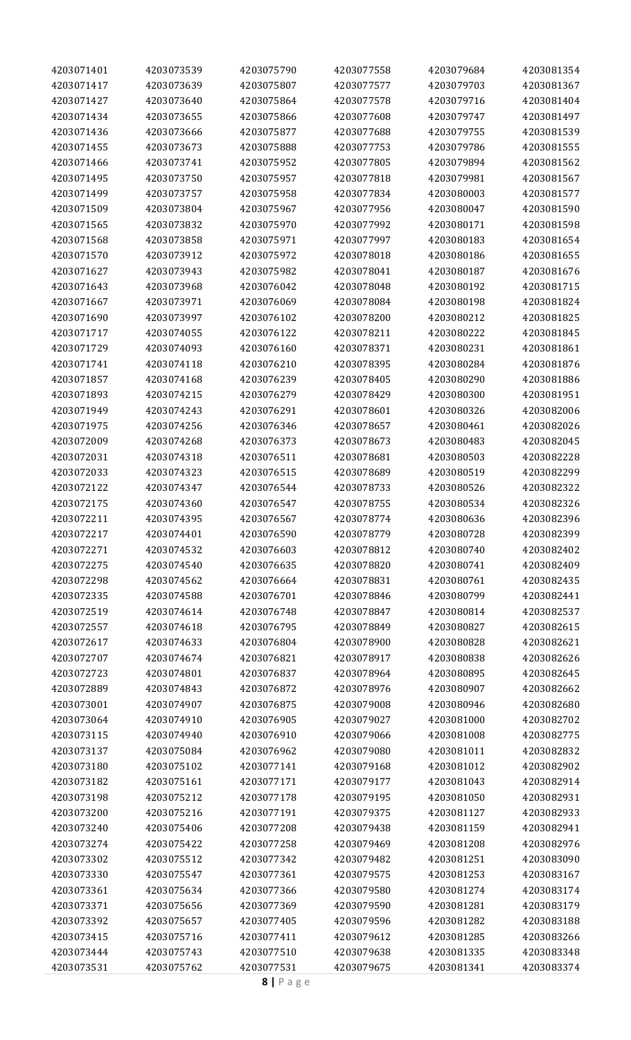| 4203071401 | 4203073539 | 4203075790 | 4203077558 | 4203079684 | 4203081354 |
|------------|------------|------------|------------|------------|------------|
| 4203071417 | 4203073639 | 4203075807 | 4203077577 | 4203079703 | 4203081367 |
| 4203071427 | 4203073640 | 4203075864 | 4203077578 | 4203079716 | 4203081404 |
| 4203071434 | 4203073655 | 4203075866 | 4203077608 | 4203079747 | 4203081497 |
| 4203071436 | 4203073666 | 4203075877 | 4203077688 | 4203079755 | 4203081539 |
| 4203071455 | 4203073673 | 4203075888 | 4203077753 | 4203079786 | 4203081555 |
| 4203071466 | 4203073741 | 4203075952 | 4203077805 | 4203079894 | 4203081562 |
| 4203071495 | 4203073750 | 4203075957 | 4203077818 | 4203079981 | 4203081567 |
| 4203071499 | 4203073757 | 4203075958 | 4203077834 | 4203080003 | 4203081577 |
| 4203071509 | 4203073804 | 4203075967 | 4203077956 | 4203080047 | 4203081590 |
| 4203071565 | 4203073832 | 4203075970 | 4203077992 | 4203080171 | 4203081598 |
| 4203071568 | 4203073858 | 4203075971 | 4203077997 | 4203080183 | 4203081654 |
| 4203071570 | 4203073912 | 4203075972 | 4203078018 | 4203080186 | 4203081655 |
| 4203071627 | 4203073943 | 4203075982 | 4203078041 | 4203080187 | 4203081676 |
| 4203071643 | 4203073968 | 4203076042 | 4203078048 | 4203080192 | 4203081715 |
| 4203071667 | 4203073971 | 4203076069 | 4203078084 | 4203080198 | 4203081824 |
| 4203071690 | 4203073997 | 4203076102 | 4203078200 | 4203080212 | 4203081825 |
| 4203071717 | 4203074055 | 4203076122 | 4203078211 | 4203080222 | 4203081845 |
| 4203071729 | 4203074093 | 4203076160 | 4203078371 | 4203080231 | 4203081861 |
| 4203071741 | 4203074118 | 4203076210 | 4203078395 | 4203080284 | 4203081876 |
| 4203071857 | 4203074168 | 4203076239 | 4203078405 | 4203080290 | 4203081886 |
| 4203071893 | 4203074215 | 4203076279 | 4203078429 | 4203080300 | 4203081951 |
| 4203071949 | 4203074243 | 4203076291 | 4203078601 | 4203080326 | 4203082006 |
| 4203071975 | 4203074256 | 4203076346 | 4203078657 | 4203080461 | 4203082026 |
| 4203072009 | 4203074268 | 4203076373 | 4203078673 | 4203080483 | 4203082045 |
| 4203072031 | 4203074318 | 4203076511 | 4203078681 | 4203080503 | 4203082228 |
|            |            | 4203076515 |            | 4203080519 |            |
| 4203072033 | 4203074323 |            | 4203078689 |            | 4203082299 |
| 4203072122 | 4203074347 | 4203076544 | 4203078733 | 4203080526 | 4203082322 |
| 4203072175 | 4203074360 | 4203076547 | 4203078755 | 4203080534 | 4203082326 |
| 4203072211 | 4203074395 | 4203076567 | 4203078774 | 4203080636 | 4203082396 |
| 4203072217 | 4203074401 | 4203076590 | 4203078779 | 4203080728 | 4203082399 |
| 4203072271 | 4203074532 | 4203076603 | 4203078812 | 4203080740 | 4203082402 |
| 4203072275 | 4203074540 | 4203076635 | 4203078820 | 4203080741 | 4203082409 |
| 4203072298 | 4203074562 | 4203076664 | 4203078831 | 4203080761 | 4203082435 |
| 4203072335 | 4203074588 | 4203076701 | 4203078846 | 4203080799 | 4203082441 |
| 4203072519 | 4203074614 | 4203076748 | 4203078847 | 4203080814 | 4203082537 |
| 4203072557 | 4203074618 | 4203076795 | 4203078849 | 4203080827 | 4203082615 |
| 4203072617 | 4203074633 | 4203076804 | 4203078900 | 4203080828 | 4203082621 |
| 4203072707 | 4203074674 | 4203076821 | 4203078917 | 4203080838 | 4203082626 |
| 4203072723 | 4203074801 | 4203076837 | 4203078964 | 4203080895 | 4203082645 |
| 4203072889 | 4203074843 | 4203076872 | 4203078976 | 4203080907 | 4203082662 |
| 4203073001 | 4203074907 | 4203076875 | 4203079008 | 4203080946 | 4203082680 |
| 4203073064 | 4203074910 | 4203076905 | 4203079027 | 4203081000 | 4203082702 |
| 4203073115 | 4203074940 | 4203076910 | 4203079066 | 4203081008 | 4203082775 |
| 4203073137 | 4203075084 | 4203076962 | 4203079080 | 4203081011 | 4203082832 |
| 4203073180 | 4203075102 | 4203077141 | 4203079168 | 4203081012 | 4203082902 |
| 4203073182 | 4203075161 | 4203077171 | 4203079177 | 4203081043 | 4203082914 |
| 4203073198 | 4203075212 | 4203077178 | 4203079195 | 4203081050 | 4203082931 |
| 4203073200 | 4203075216 | 4203077191 | 4203079375 | 4203081127 | 4203082933 |
| 4203073240 | 4203075406 | 4203077208 | 4203079438 | 4203081159 | 4203082941 |
| 4203073274 | 4203075422 | 4203077258 | 4203079469 | 4203081208 | 4203082976 |
| 4203073302 | 4203075512 | 4203077342 | 4203079482 | 4203081251 | 4203083090 |
| 4203073330 | 4203075547 | 4203077361 | 4203079575 | 4203081253 | 4203083167 |
| 4203073361 | 4203075634 | 4203077366 | 4203079580 | 4203081274 | 4203083174 |
| 4203073371 | 4203075656 | 4203077369 | 4203079590 | 4203081281 | 4203083179 |
| 4203073392 | 4203075657 | 4203077405 | 4203079596 | 4203081282 | 4203083188 |
| 4203073415 | 4203075716 | 4203077411 | 4203079612 | 4203081285 | 4203083266 |
| 4203073444 | 4203075743 | 4203077510 | 4203079638 | 4203081335 | 4203083348 |
| 4203073531 | 4203075762 | 4203077531 | 4203079675 | 4203081341 | 4203083374 |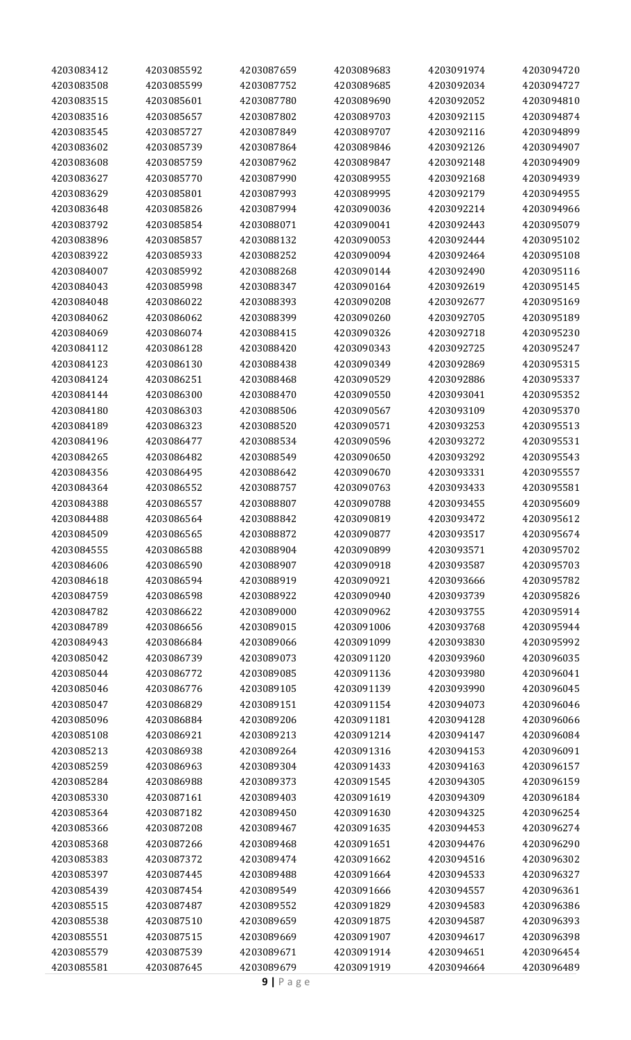| 4203083412 | 4203085592 | 4203087659 | 4203089683 | 4203091974 | 4203094720 |
|------------|------------|------------|------------|------------|------------|
| 4203083508 | 4203085599 | 4203087752 | 4203089685 | 4203092034 | 4203094727 |
| 4203083515 | 4203085601 | 4203087780 | 4203089690 | 4203092052 | 4203094810 |
| 4203083516 | 4203085657 | 4203087802 | 4203089703 | 4203092115 | 4203094874 |
| 4203083545 | 4203085727 | 4203087849 | 4203089707 | 4203092116 | 4203094899 |
| 4203083602 | 4203085739 | 4203087864 | 4203089846 | 4203092126 | 4203094907 |
| 4203083608 | 4203085759 | 4203087962 | 4203089847 | 4203092148 | 4203094909 |
| 4203083627 | 4203085770 | 4203087990 | 4203089955 | 4203092168 | 4203094939 |
| 4203083629 | 4203085801 | 4203087993 | 4203089995 | 4203092179 | 4203094955 |
| 4203083648 | 4203085826 | 4203087994 | 4203090036 | 4203092214 | 4203094966 |
| 4203083792 | 4203085854 | 4203088071 | 4203090041 | 4203092443 | 4203095079 |
| 4203083896 | 4203085857 | 4203088132 | 4203090053 | 4203092444 | 4203095102 |
| 4203083922 | 4203085933 | 4203088252 | 4203090094 | 4203092464 | 4203095108 |
|            |            |            |            |            |            |
| 4203084007 | 4203085992 | 4203088268 | 4203090144 | 4203092490 | 4203095116 |
| 4203084043 | 4203085998 | 4203088347 | 4203090164 | 4203092619 | 4203095145 |
| 4203084048 | 4203086022 | 4203088393 | 4203090208 | 4203092677 | 4203095169 |
| 4203084062 | 4203086062 | 4203088399 | 4203090260 | 4203092705 | 4203095189 |
| 4203084069 | 4203086074 | 4203088415 | 4203090326 | 4203092718 | 4203095230 |
| 4203084112 | 4203086128 | 4203088420 | 4203090343 | 4203092725 | 4203095247 |
| 4203084123 | 4203086130 | 4203088438 | 4203090349 | 4203092869 | 4203095315 |
| 4203084124 | 4203086251 | 4203088468 | 4203090529 | 4203092886 | 4203095337 |
| 4203084144 | 4203086300 | 4203088470 | 4203090550 | 4203093041 | 4203095352 |
| 4203084180 | 4203086303 | 4203088506 | 4203090567 | 4203093109 | 4203095370 |
| 4203084189 | 4203086323 | 4203088520 | 4203090571 | 4203093253 | 4203095513 |
| 4203084196 | 4203086477 | 4203088534 | 4203090596 | 4203093272 | 4203095531 |
| 4203084265 | 4203086482 | 4203088549 | 4203090650 | 4203093292 | 4203095543 |
| 4203084356 | 4203086495 | 4203088642 | 4203090670 | 4203093331 | 4203095557 |
| 4203084364 | 4203086552 | 4203088757 | 4203090763 | 4203093433 | 4203095581 |
| 4203084388 | 4203086557 | 4203088807 | 4203090788 | 4203093455 | 4203095609 |
| 4203084488 | 4203086564 | 4203088842 | 4203090819 | 4203093472 | 4203095612 |
| 4203084509 | 4203086565 | 4203088872 | 4203090877 | 4203093517 | 4203095674 |
| 4203084555 | 4203086588 | 4203088904 | 4203090899 | 4203093571 | 4203095702 |
| 4203084606 | 4203086590 | 4203088907 | 4203090918 | 4203093587 | 4203095703 |
| 4203084618 | 4203086594 | 4203088919 | 4203090921 | 4203093666 | 4203095782 |
| 4203084759 | 4203086598 | 4203088922 | 4203090940 | 4203093739 | 4203095826 |
| 4203084782 | 4203086622 | 4203089000 | 4203090962 | 4203093755 | 4203095914 |
| 4203084789 | 4203086656 | 4203089015 | 4203091006 | 4203093768 | 4203095944 |
| 4203084943 | 4203086684 | 4203089066 | 4203091099 | 4203093830 | 4203095992 |
| 4203085042 | 4203086739 | 4203089073 | 4203091120 | 4203093960 | 4203096035 |
| 4203085044 | 4203086772 | 4203089085 | 4203091136 | 4203093980 | 4203096041 |
| 4203085046 | 4203086776 | 4203089105 | 4203091139 | 4203093990 | 4203096045 |
| 4203085047 | 4203086829 | 4203089151 | 4203091154 | 4203094073 | 4203096046 |
| 4203085096 | 4203086884 | 4203089206 | 4203091181 | 4203094128 | 4203096066 |
| 4203085108 | 4203086921 | 4203089213 | 4203091214 | 4203094147 | 4203096084 |
| 4203085213 | 4203086938 | 4203089264 | 4203091316 | 4203094153 | 4203096091 |
| 4203085259 | 4203086963 | 4203089304 | 4203091433 | 4203094163 | 4203096157 |
| 4203085284 | 4203086988 | 4203089373 | 4203091545 | 4203094305 | 4203096159 |
| 4203085330 | 4203087161 | 4203089403 | 4203091619 | 4203094309 | 4203096184 |
| 4203085364 | 4203087182 | 4203089450 | 4203091630 | 4203094325 | 4203096254 |
| 4203085366 | 4203087208 | 4203089467 | 4203091635 | 4203094453 | 4203096274 |
| 4203085368 | 4203087266 | 4203089468 | 4203091651 | 4203094476 | 4203096290 |
| 4203085383 | 4203087372 | 4203089474 | 4203091662 | 4203094516 | 4203096302 |
| 4203085397 | 4203087445 | 4203089488 | 4203091664 | 4203094533 | 4203096327 |
|            |            |            |            |            |            |
| 4203085439 | 4203087454 | 4203089549 | 4203091666 | 4203094557 | 4203096361 |
| 4203085515 | 4203087487 | 4203089552 | 4203091829 | 4203094583 | 4203096386 |
| 4203085538 | 4203087510 | 4203089659 | 4203091875 | 4203094587 | 4203096393 |
| 4203085551 | 4203087515 | 4203089669 | 4203091907 | 4203094617 | 4203096398 |
| 4203085579 | 4203087539 | 4203089671 | 4203091914 | 4203094651 | 4203096454 |
| 4203085581 | 4203087645 | 4203089679 | 4203091919 | 4203094664 | 4203096489 |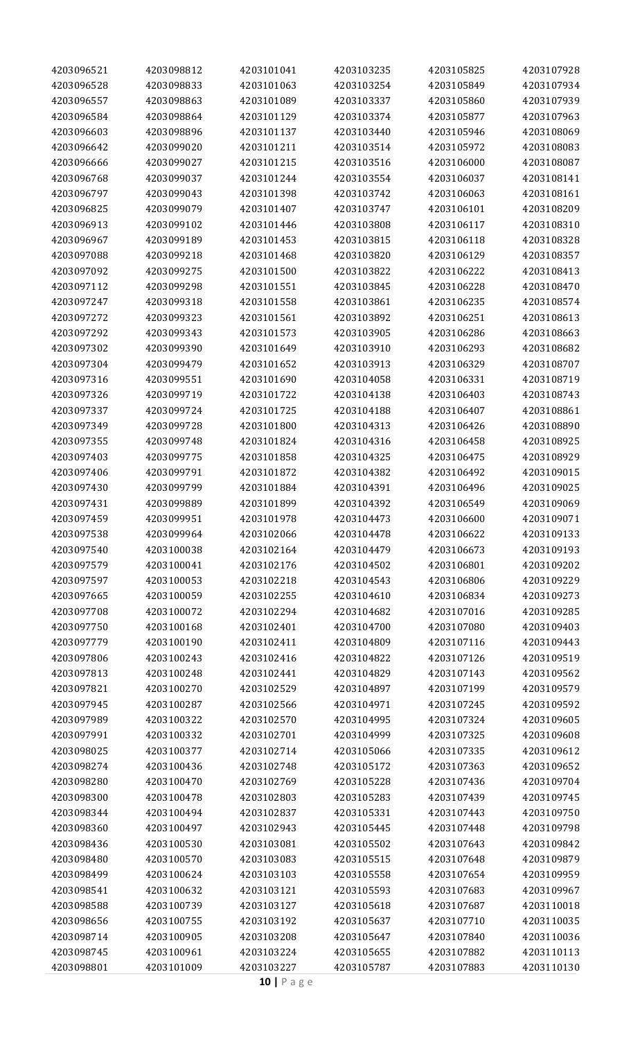| 4203096521 | 4203098812 | 4203101041 | 4203103235 | 4203105825 | 4203107928 |
|------------|------------|------------|------------|------------|------------|
| 4203096528 | 4203098833 | 4203101063 | 4203103254 | 4203105849 | 4203107934 |
| 4203096557 | 4203098863 | 4203101089 | 4203103337 | 4203105860 | 4203107939 |
| 4203096584 | 4203098864 | 4203101129 | 4203103374 | 4203105877 | 4203107963 |
| 4203096603 | 4203098896 | 4203101137 | 4203103440 | 4203105946 | 4203108069 |
| 4203096642 | 4203099020 | 4203101211 | 4203103514 | 4203105972 | 4203108083 |
| 4203096666 | 4203099027 | 4203101215 | 4203103516 | 4203106000 | 4203108087 |
| 4203096768 | 4203099037 | 4203101244 | 4203103554 | 4203106037 | 4203108141 |
| 4203096797 | 4203099043 | 4203101398 | 4203103742 | 4203106063 | 4203108161 |
| 4203096825 | 4203099079 | 4203101407 | 4203103747 | 4203106101 | 4203108209 |
| 4203096913 | 4203099102 | 4203101446 | 4203103808 | 4203106117 | 4203108310 |
| 4203096967 | 4203099189 | 4203101453 | 4203103815 | 4203106118 | 4203108328 |
| 4203097088 | 4203099218 | 4203101468 | 4203103820 | 4203106129 | 4203108357 |
| 4203097092 | 4203099275 | 4203101500 | 4203103822 | 4203106222 | 4203108413 |
| 4203097112 | 4203099298 | 4203101551 | 4203103845 | 4203106228 | 4203108470 |
| 4203097247 | 4203099318 | 4203101558 | 4203103861 | 4203106235 | 4203108574 |
| 4203097272 | 4203099323 | 4203101561 | 4203103892 | 4203106251 | 4203108613 |
| 4203097292 | 4203099343 | 4203101573 | 4203103905 | 4203106286 | 4203108663 |
| 4203097302 | 4203099390 | 4203101649 | 4203103910 | 4203106293 | 4203108682 |
| 4203097304 | 4203099479 | 4203101652 | 4203103913 | 4203106329 | 4203108707 |
| 4203097316 | 4203099551 | 4203101690 | 4203104058 | 4203106331 | 4203108719 |
| 4203097326 | 4203099719 | 4203101722 | 4203104138 | 4203106403 | 4203108743 |
| 4203097337 | 4203099724 | 4203101725 | 4203104188 | 4203106407 | 4203108861 |
| 4203097349 | 4203099728 | 4203101800 | 4203104313 | 4203106426 | 4203108890 |
| 4203097355 | 4203099748 | 4203101824 | 4203104316 | 4203106458 | 4203108925 |
| 4203097403 |            |            |            | 4203106475 |            |
|            | 4203099775 | 4203101858 | 4203104325 |            | 4203108929 |
| 4203097406 | 4203099791 | 4203101872 | 4203104382 | 4203106492 | 4203109015 |
| 4203097430 | 4203099799 | 4203101884 | 4203104391 | 4203106496 | 4203109025 |
| 4203097431 | 4203099889 | 4203101899 | 4203104392 | 4203106549 | 4203109069 |
| 4203097459 | 4203099951 | 4203101978 | 4203104473 | 4203106600 | 4203109071 |
| 4203097538 | 4203099964 | 4203102066 | 4203104478 | 4203106622 | 4203109133 |
| 4203097540 | 4203100038 | 4203102164 | 4203104479 | 4203106673 | 4203109193 |
| 4203097579 | 4203100041 | 4203102176 | 4203104502 | 4203106801 | 4203109202 |
| 4203097597 | 4203100053 | 4203102218 | 4203104543 | 4203106806 | 4203109229 |
| 4203097665 | 4203100059 | 4203102255 | 4203104610 | 4203106834 | 4203109273 |
| 4203097708 | 4203100072 | 4203102294 | 4203104682 | 4203107016 | 4203109285 |
| 4203097750 | 4203100168 | 4203102401 | 4203104700 | 4203107080 | 4203109403 |
| 4203097779 | 4203100190 | 4203102411 | 4203104809 | 4203107116 | 4203109443 |
| 4203097806 | 4203100243 | 4203102416 | 4203104822 | 4203107126 | 4203109519 |
| 4203097813 | 4203100248 | 4203102441 | 4203104829 | 4203107143 | 4203109562 |
| 4203097821 | 4203100270 | 4203102529 | 4203104897 | 4203107199 | 4203109579 |
| 4203097945 | 4203100287 | 4203102566 | 4203104971 | 4203107245 | 4203109592 |
| 4203097989 | 4203100322 | 4203102570 | 4203104995 | 4203107324 | 4203109605 |
| 4203097991 | 4203100332 | 4203102701 | 4203104999 | 4203107325 | 4203109608 |
| 4203098025 | 4203100377 | 4203102714 | 4203105066 | 4203107335 | 4203109612 |
| 4203098274 | 4203100436 | 4203102748 | 4203105172 | 4203107363 | 4203109652 |
| 4203098280 | 4203100470 | 4203102769 | 4203105228 | 4203107436 | 4203109704 |
| 4203098300 | 4203100478 | 4203102803 | 4203105283 | 4203107439 | 4203109745 |
| 4203098344 | 4203100494 | 4203102837 | 4203105331 | 4203107443 | 4203109750 |
| 4203098360 | 4203100497 | 4203102943 | 4203105445 | 4203107448 | 4203109798 |
| 4203098436 | 4203100530 | 4203103081 | 4203105502 | 4203107643 | 4203109842 |
| 4203098480 | 4203100570 | 4203103083 | 4203105515 | 4203107648 | 4203109879 |
| 4203098499 | 4203100624 | 4203103103 | 4203105558 | 4203107654 | 4203109959 |
| 4203098541 | 4203100632 | 4203103121 | 4203105593 | 4203107683 | 4203109967 |
| 4203098588 | 4203100739 | 4203103127 | 4203105618 | 4203107687 | 4203110018 |
| 4203098656 | 4203100755 | 4203103192 | 4203105637 | 4203107710 | 4203110035 |
| 4203098714 | 4203100905 | 4203103208 | 4203105647 | 4203107840 | 4203110036 |
| 4203098745 | 4203100961 | 4203103224 | 4203105655 | 4203107882 | 4203110113 |
| 4203098801 | 4203101009 | 4203103227 | 4203105787 | 4203107883 | 4203110130 |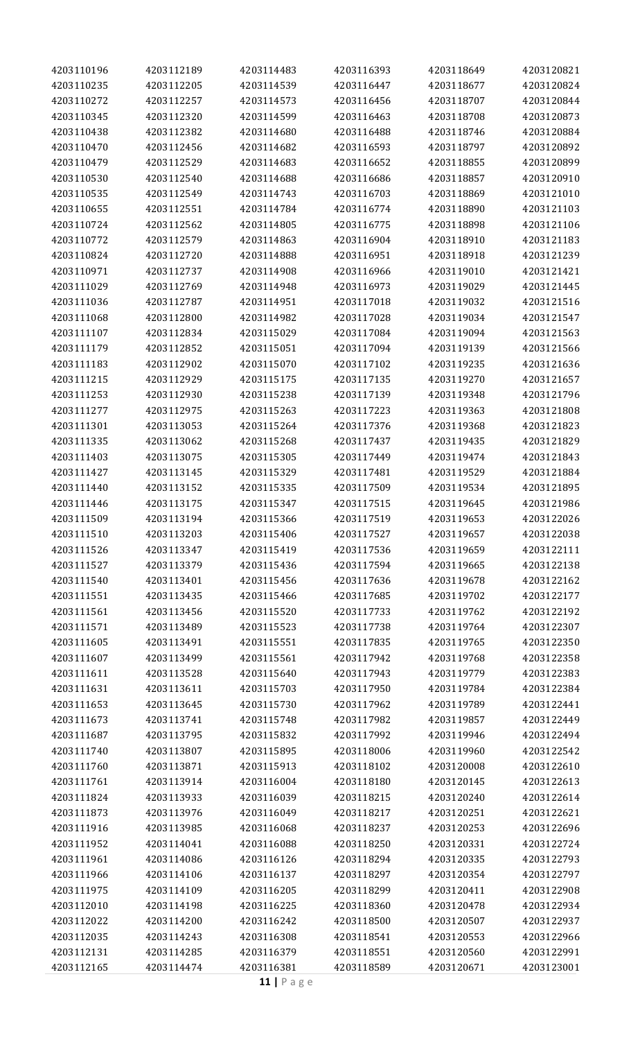| 4203110196 | 4203112189 | 4203114483 | 4203116393 | 4203118649 | 4203120821 |
|------------|------------|------------|------------|------------|------------|
| 4203110235 | 4203112205 | 4203114539 | 4203116447 | 4203118677 | 4203120824 |
| 4203110272 | 4203112257 | 4203114573 | 4203116456 | 4203118707 | 4203120844 |
| 4203110345 | 4203112320 | 4203114599 | 4203116463 | 4203118708 | 4203120873 |
| 4203110438 | 4203112382 | 4203114680 | 4203116488 | 4203118746 | 4203120884 |
| 4203110470 | 4203112456 | 4203114682 | 4203116593 | 4203118797 | 4203120892 |
| 4203110479 | 4203112529 | 4203114683 | 4203116652 | 4203118855 | 4203120899 |
| 4203110530 | 4203112540 | 4203114688 | 4203116686 | 4203118857 | 4203120910 |
| 4203110535 | 4203112549 | 4203114743 | 4203116703 | 4203118869 | 4203121010 |
| 4203110655 | 4203112551 | 4203114784 | 4203116774 | 4203118890 | 4203121103 |
|            |            |            |            |            |            |
| 4203110724 | 4203112562 | 4203114805 | 4203116775 | 4203118898 | 4203121106 |
| 4203110772 | 4203112579 | 4203114863 | 4203116904 | 4203118910 | 4203121183 |
| 4203110824 | 4203112720 | 4203114888 | 4203116951 | 4203118918 | 4203121239 |
| 4203110971 | 4203112737 | 4203114908 | 4203116966 | 4203119010 | 4203121421 |
| 4203111029 | 4203112769 | 4203114948 | 4203116973 | 4203119029 | 4203121445 |
| 4203111036 | 4203112787 | 4203114951 | 4203117018 | 4203119032 | 4203121516 |
| 4203111068 | 4203112800 | 4203114982 | 4203117028 | 4203119034 | 4203121547 |
| 4203111107 | 4203112834 | 4203115029 | 4203117084 | 4203119094 | 4203121563 |
| 4203111179 | 4203112852 | 4203115051 | 4203117094 | 4203119139 | 4203121566 |
| 4203111183 | 4203112902 | 4203115070 | 4203117102 | 4203119235 | 4203121636 |
| 4203111215 | 4203112929 | 4203115175 | 4203117135 | 4203119270 | 4203121657 |
| 4203111253 | 4203112930 | 4203115238 | 4203117139 | 4203119348 | 4203121796 |
| 4203111277 | 4203112975 | 4203115263 | 4203117223 | 4203119363 | 4203121808 |
| 4203111301 | 4203113053 | 4203115264 | 4203117376 | 4203119368 | 4203121823 |
| 4203111335 | 4203113062 | 4203115268 | 4203117437 | 4203119435 | 4203121829 |
| 4203111403 | 4203113075 | 4203115305 | 4203117449 | 4203119474 | 4203121843 |
| 4203111427 | 4203113145 | 4203115329 | 4203117481 | 4203119529 | 4203121884 |
| 4203111440 | 4203113152 | 4203115335 | 4203117509 | 4203119534 | 4203121895 |
| 4203111446 | 4203113175 | 4203115347 | 4203117515 | 4203119645 | 4203121986 |
| 4203111509 | 4203113194 | 4203115366 | 4203117519 | 4203119653 | 4203122026 |
| 4203111510 | 4203113203 | 4203115406 | 4203117527 | 4203119657 | 4203122038 |
| 4203111526 | 4203113347 | 4203115419 | 4203117536 | 4203119659 | 4203122111 |
| 4203111527 | 4203113379 | 4203115436 | 4203117594 | 4203119665 | 4203122138 |
|            |            |            |            |            |            |
| 4203111540 | 4203113401 | 4203115456 | 4203117636 | 4203119678 | 4203122162 |
| 4203111551 | 4203113435 | 4203115466 | 4203117685 | 4203119702 | 4203122177 |
| 4203111561 | 4203113456 | 4203115520 | 4203117733 | 4203119762 | 4203122192 |
| 4203111571 | 4203113489 | 4203115523 | 4203117738 | 4203119764 | 4203122307 |
| 4203111605 | 4203113491 | 4203115551 | 4203117835 | 4203119765 | 4203122350 |
| 4203111607 | 4203113499 | 4203115561 | 4203117942 | 4203119768 | 4203122358 |
| 4203111611 | 4203113528 | 4203115640 | 4203117943 | 4203119779 | 4203122383 |
| 4203111631 | 4203113611 | 4203115703 | 4203117950 | 4203119784 | 4203122384 |
| 4203111653 | 4203113645 | 4203115730 | 4203117962 | 4203119789 | 4203122441 |
| 4203111673 | 4203113741 | 4203115748 | 4203117982 | 4203119857 | 4203122449 |
| 4203111687 | 4203113795 | 4203115832 | 4203117992 | 4203119946 | 4203122494 |
| 4203111740 | 4203113807 | 4203115895 | 4203118006 | 4203119960 | 4203122542 |
| 4203111760 | 4203113871 | 4203115913 | 4203118102 | 4203120008 | 4203122610 |
| 4203111761 | 4203113914 | 4203116004 | 4203118180 | 4203120145 | 4203122613 |
| 4203111824 | 4203113933 | 4203116039 | 4203118215 | 4203120240 | 4203122614 |
| 4203111873 | 4203113976 | 4203116049 | 4203118217 | 4203120251 | 4203122621 |
| 4203111916 | 4203113985 | 4203116068 | 4203118237 | 4203120253 | 4203122696 |
| 4203111952 | 4203114041 | 4203116088 | 4203118250 | 4203120331 | 4203122724 |
| 4203111961 | 4203114086 | 4203116126 | 4203118294 | 4203120335 | 4203122793 |
| 4203111966 | 4203114106 | 4203116137 | 4203118297 | 4203120354 | 4203122797 |
| 4203111975 | 4203114109 | 4203116205 | 4203118299 | 4203120411 | 4203122908 |
| 4203112010 | 4203114198 | 4203116225 | 4203118360 | 4203120478 | 4203122934 |
| 4203112022 | 4203114200 | 4203116242 | 4203118500 | 4203120507 | 4203122937 |
| 4203112035 | 4203114243 | 4203116308 | 4203118541 | 4203120553 | 4203122966 |
| 4203112131 | 4203114285 | 4203116379 | 4203118551 | 4203120560 | 4203122991 |
|            |            |            |            |            |            |
| 4203112165 | 4203114474 | 4203116381 | 4203118589 | 4203120671 | 4203123001 |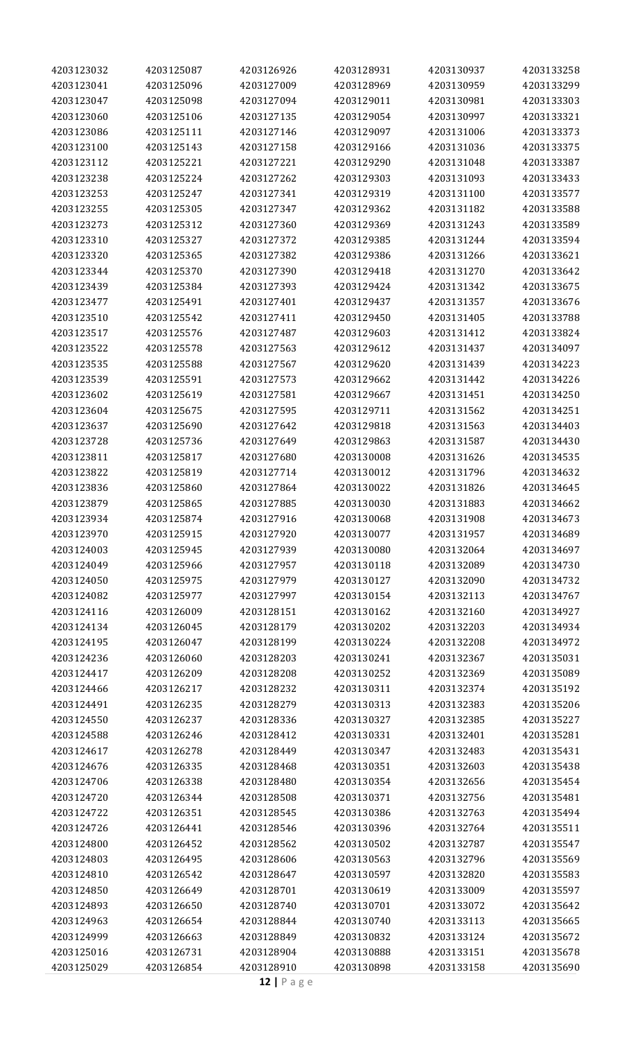| 4203123041<br>4203125096<br>4203127009<br>4203128969<br>4203130959<br>4203133299<br>4203133303<br>4203123047<br>4203125098<br>4203127094<br>4203129011<br>4203130981<br>4203123060<br>4203129054<br>4203130997<br>4203133321<br>4203125106<br>4203127135<br>4203123086<br>4203125111<br>4203127146<br>4203129097<br>4203131006<br>4203133373<br>4203123100<br>4203125143<br>4203127158<br>4203129166<br>4203131036<br>4203133375<br>4203133387<br>4203123112<br>4203125221<br>4203127221<br>4203129290<br>4203131048<br>4203123238<br>4203125224<br>4203127262<br>4203129303<br>4203131093<br>4203133433<br>4203123253<br>4203125247<br>4203127341<br>4203129319<br>4203131100<br>4203133577<br>4203123255<br>4203125305<br>4203127347<br>4203129362<br>4203131182<br>4203133588<br>4203133589<br>4203123273<br>4203125312<br>4203127360<br>4203129369<br>4203131243<br>4203123310<br>4203129385<br>4203133594<br>4203125327<br>4203127372<br>4203131244<br>4203123320<br>4203125365<br>4203127382<br>4203129386<br>4203131266<br>4203133621<br>4203133642<br>4203123344<br>4203125370<br>4203127390<br>4203129418<br>4203131270<br>4203133675<br>4203123439<br>4203125384<br>4203127393<br>4203129424<br>4203131342<br>4203129437<br>4203131357<br>4203133676<br>4203123477<br>4203125491<br>4203127401<br>4203133788<br>4203123510<br>4203125542<br>4203127411<br>4203129450<br>4203131405<br>4203123517<br>4203125576<br>4203127487<br>4203129603<br>4203131412<br>4203133824<br>4203123522<br>4203125578<br>4203127563<br>4203129612<br>4203131437<br>4203134097<br>4203129620<br>4203131439<br>4203134223<br>4203123535<br>4203125588<br>4203127567<br>4203123539<br>4203125591<br>4203127573<br>4203129662<br>4203131442<br>4203134226<br>4203123602<br>4203125619<br>4203127581<br>4203129667<br>4203131451<br>4203134250<br>4203123604<br>4203125675<br>4203127595<br>4203129711<br>4203131562<br>4203134251<br>4203123637<br>4203125690<br>4203129818<br>4203131563<br>4203134403<br>4203127642<br>4203123728<br>4203125736<br>4203127649<br>4203129863<br>4203131587<br>4203134430<br>4203123811<br>4203127680<br>4203130008<br>4203131626<br>4203134535<br>4203125817<br>4203123822<br>4203125819<br>4203127714<br>4203130012<br>4203131796<br>4203134632<br>4203130022<br>4203131826<br>4203134645<br>4203123836<br>4203125860<br>4203127864<br>4203123879<br>4203130030<br>4203131883<br>4203134662<br>4203125865<br>4203127885<br>4203123934<br>4203127916<br>4203130068<br>4203131908<br>4203134673<br>4203125874<br>4203123970<br>4203125915<br>4203127920<br>4203130077<br>4203131957<br>4203134689<br>4203124003<br>4203125945<br>4203127939<br>4203130080<br>4203132064<br>4203134697<br>4203124049<br>4203125966<br>4203127957<br>4203130118<br>4203132089<br>4203134730<br>4203130127<br>4203132090<br>4203134732<br>4203124050<br>4203125975<br>4203127979<br>4203124082<br>4203125977<br>4203130154<br>4203132113<br>4203134767<br>4203127997<br>4203124116<br>4203126009<br>4203128151<br>4203130162<br>4203132160<br>4203134927<br>4203124134<br>4203126045<br>4203128179<br>4203130202<br>4203132203<br>4203134934<br>4203124195<br>4203126047<br>4203128199<br>4203130224<br>4203132208<br>4203134972<br>4203124236<br>4203126060<br>4203128203<br>4203130241<br>4203132367<br>4203135031<br>4203124417<br>4203126209<br>4203128208<br>4203130252<br>4203132369<br>4203135089<br>4203135192<br>4203124466<br>4203126217<br>4203128232<br>4203130311<br>4203132374<br>4203126235<br>4203128279<br>4203130313<br>4203132383<br>4203135206<br>4203124491<br>4203126237<br>4203128336<br>4203130327<br>4203132385<br>4203135227<br>4203124550<br>4203124588<br>4203126246<br>4203128412<br>4203130331<br>4203132401<br>4203135281<br>4203124617<br>4203126278<br>4203128449<br>4203130347<br>4203132483<br>4203135431<br>4203126335<br>4203128468<br>4203130351<br>4203132603<br>4203135438<br>4203124676<br>4203124706<br>4203126338<br>4203128480<br>4203130354<br>4203132656<br>4203135454<br>4203124720<br>4203126344<br>4203128508<br>4203130371<br>4203132756<br>4203135481<br>4203124722<br>4203126351<br>4203128545<br>4203130386<br>4203132763<br>4203135494<br>4203130396<br>4203135511<br>4203124726<br>4203126441<br>4203128546<br>4203132764<br>4203126452<br>4203128562<br>4203130502<br>4203132787<br>4203135547<br>4203124800<br>4203124803<br>4203126495<br>4203128606<br>4203130563<br>4203132796<br>4203135569<br>4203124810<br>4203126542<br>4203128647<br>4203130597<br>4203132820<br>4203135583<br>4203126649<br>4203130619<br>4203133009<br>4203135597<br>4203124850<br>4203128701<br>4203124893<br>4203126650<br>4203128740<br>4203130701<br>4203133072<br>4203135642<br>4203124963<br>4203126654<br>4203128844<br>4203130740<br>4203133113<br>4203135665<br>4203124999<br>4203126663<br>4203128849<br>4203130832<br>4203133124<br>4203135672<br>4203130888<br>4203135678<br>4203125016<br>4203126731<br>4203128904<br>4203133151<br>4203125029<br>4203130898<br>4203133158<br>4203135690<br>4203126854<br>4203128910 | 4203123032 | 4203125087 | 4203126926 | 4203128931 | 4203130937 | 4203133258 |
|----------------------------------------------------------------------------------------------------------------------------------------------------------------------------------------------------------------------------------------------------------------------------------------------------------------------------------------------------------------------------------------------------------------------------------------------------------------------------------------------------------------------------------------------------------------------------------------------------------------------------------------------------------------------------------------------------------------------------------------------------------------------------------------------------------------------------------------------------------------------------------------------------------------------------------------------------------------------------------------------------------------------------------------------------------------------------------------------------------------------------------------------------------------------------------------------------------------------------------------------------------------------------------------------------------------------------------------------------------------------------------------------------------------------------------------------------------------------------------------------------------------------------------------------------------------------------------------------------------------------------------------------------------------------------------------------------------------------------------------------------------------------------------------------------------------------------------------------------------------------------------------------------------------------------------------------------------------------------------------------------------------------------------------------------------------------------------------------------------------------------------------------------------------------------------------------------------------------------------------------------------------------------------------------------------------------------------------------------------------------------------------------------------------------------------------------------------------------------------------------------------------------------------------------------------------------------------------------------------------------------------------------------------------------------------------------------------------------------------------------------------------------------------------------------------------------------------------------------------------------------------------------------------------------------------------------------------------------------------------------------------------------------------------------------------------------------------------------------------------------------------------------------------------------------------------------------------------------------------------------------------------------------------------------------------------------------------------------------------------------------------------------------------------------------------------------------------------------------------------------------------------------------------------------------------------------------------------------------------------------------------------------------------------------------------------------------------------------------------------------------------------------------------------------------------------------------------------------------------------------------------------------------------------------------------------------------------------------------------------------------------------------------------------------------------------------------------------------------------------------------------------------------------------------------------------------------------------------------------------------------------------------------------------------------------------------------------------------------------------------------------------------------------------------------------------------------------------------------------------------------------------------------------------------------------------------------------------------------------------------------------------------------------------------------------------------------------------------------------------------------------------------------------------------------------------------------------------------------------------------------------------------------------------------------------------------------------------------------------------------------------------------------------------------------------------------|------------|------------|------------|------------|------------|------------|
|                                                                                                                                                                                                                                                                                                                                                                                                                                                                                                                                                                                                                                                                                                                                                                                                                                                                                                                                                                                                                                                                                                                                                                                                                                                                                                                                                                                                                                                                                                                                                                                                                                                                                                                                                                                                                                                                                                                                                                                                                                                                                                                                                                                                                                                                                                                                                                                                                                                                                                                                                                                                                                                                                                                                                                                                                                                                                                                                                                                                                                                                                                                                                                                                                                                                                                                                                                                                                                                                                                                                                                                                                                                                                                                                                                                                                                                                                                                                                                                                                                                                                                                                                                                                                                                                                                                                                                                                                                                                                                                                                                                                                                                                                                                                                                                                                                                                                                                                                                                                                                                                      |            |            |            |            |            |            |
|                                                                                                                                                                                                                                                                                                                                                                                                                                                                                                                                                                                                                                                                                                                                                                                                                                                                                                                                                                                                                                                                                                                                                                                                                                                                                                                                                                                                                                                                                                                                                                                                                                                                                                                                                                                                                                                                                                                                                                                                                                                                                                                                                                                                                                                                                                                                                                                                                                                                                                                                                                                                                                                                                                                                                                                                                                                                                                                                                                                                                                                                                                                                                                                                                                                                                                                                                                                                                                                                                                                                                                                                                                                                                                                                                                                                                                                                                                                                                                                                                                                                                                                                                                                                                                                                                                                                                                                                                                                                                                                                                                                                                                                                                                                                                                                                                                                                                                                                                                                                                                                                      |            |            |            |            |            |            |
|                                                                                                                                                                                                                                                                                                                                                                                                                                                                                                                                                                                                                                                                                                                                                                                                                                                                                                                                                                                                                                                                                                                                                                                                                                                                                                                                                                                                                                                                                                                                                                                                                                                                                                                                                                                                                                                                                                                                                                                                                                                                                                                                                                                                                                                                                                                                                                                                                                                                                                                                                                                                                                                                                                                                                                                                                                                                                                                                                                                                                                                                                                                                                                                                                                                                                                                                                                                                                                                                                                                                                                                                                                                                                                                                                                                                                                                                                                                                                                                                                                                                                                                                                                                                                                                                                                                                                                                                                                                                                                                                                                                                                                                                                                                                                                                                                                                                                                                                                                                                                                                                      |            |            |            |            |            |            |
|                                                                                                                                                                                                                                                                                                                                                                                                                                                                                                                                                                                                                                                                                                                                                                                                                                                                                                                                                                                                                                                                                                                                                                                                                                                                                                                                                                                                                                                                                                                                                                                                                                                                                                                                                                                                                                                                                                                                                                                                                                                                                                                                                                                                                                                                                                                                                                                                                                                                                                                                                                                                                                                                                                                                                                                                                                                                                                                                                                                                                                                                                                                                                                                                                                                                                                                                                                                                                                                                                                                                                                                                                                                                                                                                                                                                                                                                                                                                                                                                                                                                                                                                                                                                                                                                                                                                                                                                                                                                                                                                                                                                                                                                                                                                                                                                                                                                                                                                                                                                                                                                      |            |            |            |            |            |            |
|                                                                                                                                                                                                                                                                                                                                                                                                                                                                                                                                                                                                                                                                                                                                                                                                                                                                                                                                                                                                                                                                                                                                                                                                                                                                                                                                                                                                                                                                                                                                                                                                                                                                                                                                                                                                                                                                                                                                                                                                                                                                                                                                                                                                                                                                                                                                                                                                                                                                                                                                                                                                                                                                                                                                                                                                                                                                                                                                                                                                                                                                                                                                                                                                                                                                                                                                                                                                                                                                                                                                                                                                                                                                                                                                                                                                                                                                                                                                                                                                                                                                                                                                                                                                                                                                                                                                                                                                                                                                                                                                                                                                                                                                                                                                                                                                                                                                                                                                                                                                                                                                      |            |            |            |            |            |            |
|                                                                                                                                                                                                                                                                                                                                                                                                                                                                                                                                                                                                                                                                                                                                                                                                                                                                                                                                                                                                                                                                                                                                                                                                                                                                                                                                                                                                                                                                                                                                                                                                                                                                                                                                                                                                                                                                                                                                                                                                                                                                                                                                                                                                                                                                                                                                                                                                                                                                                                                                                                                                                                                                                                                                                                                                                                                                                                                                                                                                                                                                                                                                                                                                                                                                                                                                                                                                                                                                                                                                                                                                                                                                                                                                                                                                                                                                                                                                                                                                                                                                                                                                                                                                                                                                                                                                                                                                                                                                                                                                                                                                                                                                                                                                                                                                                                                                                                                                                                                                                                                                      |            |            |            |            |            |            |
|                                                                                                                                                                                                                                                                                                                                                                                                                                                                                                                                                                                                                                                                                                                                                                                                                                                                                                                                                                                                                                                                                                                                                                                                                                                                                                                                                                                                                                                                                                                                                                                                                                                                                                                                                                                                                                                                                                                                                                                                                                                                                                                                                                                                                                                                                                                                                                                                                                                                                                                                                                                                                                                                                                                                                                                                                                                                                                                                                                                                                                                                                                                                                                                                                                                                                                                                                                                                                                                                                                                                                                                                                                                                                                                                                                                                                                                                                                                                                                                                                                                                                                                                                                                                                                                                                                                                                                                                                                                                                                                                                                                                                                                                                                                                                                                                                                                                                                                                                                                                                                                                      |            |            |            |            |            |            |
|                                                                                                                                                                                                                                                                                                                                                                                                                                                                                                                                                                                                                                                                                                                                                                                                                                                                                                                                                                                                                                                                                                                                                                                                                                                                                                                                                                                                                                                                                                                                                                                                                                                                                                                                                                                                                                                                                                                                                                                                                                                                                                                                                                                                                                                                                                                                                                                                                                                                                                                                                                                                                                                                                                                                                                                                                                                                                                                                                                                                                                                                                                                                                                                                                                                                                                                                                                                                                                                                                                                                                                                                                                                                                                                                                                                                                                                                                                                                                                                                                                                                                                                                                                                                                                                                                                                                                                                                                                                                                                                                                                                                                                                                                                                                                                                                                                                                                                                                                                                                                                                                      |            |            |            |            |            |            |
|                                                                                                                                                                                                                                                                                                                                                                                                                                                                                                                                                                                                                                                                                                                                                                                                                                                                                                                                                                                                                                                                                                                                                                                                                                                                                                                                                                                                                                                                                                                                                                                                                                                                                                                                                                                                                                                                                                                                                                                                                                                                                                                                                                                                                                                                                                                                                                                                                                                                                                                                                                                                                                                                                                                                                                                                                                                                                                                                                                                                                                                                                                                                                                                                                                                                                                                                                                                                                                                                                                                                                                                                                                                                                                                                                                                                                                                                                                                                                                                                                                                                                                                                                                                                                                                                                                                                                                                                                                                                                                                                                                                                                                                                                                                                                                                                                                                                                                                                                                                                                                                                      |            |            |            |            |            |            |
|                                                                                                                                                                                                                                                                                                                                                                                                                                                                                                                                                                                                                                                                                                                                                                                                                                                                                                                                                                                                                                                                                                                                                                                                                                                                                                                                                                                                                                                                                                                                                                                                                                                                                                                                                                                                                                                                                                                                                                                                                                                                                                                                                                                                                                                                                                                                                                                                                                                                                                                                                                                                                                                                                                                                                                                                                                                                                                                                                                                                                                                                                                                                                                                                                                                                                                                                                                                                                                                                                                                                                                                                                                                                                                                                                                                                                                                                                                                                                                                                                                                                                                                                                                                                                                                                                                                                                                                                                                                                                                                                                                                                                                                                                                                                                                                                                                                                                                                                                                                                                                                                      |            |            |            |            |            |            |
|                                                                                                                                                                                                                                                                                                                                                                                                                                                                                                                                                                                                                                                                                                                                                                                                                                                                                                                                                                                                                                                                                                                                                                                                                                                                                                                                                                                                                                                                                                                                                                                                                                                                                                                                                                                                                                                                                                                                                                                                                                                                                                                                                                                                                                                                                                                                                                                                                                                                                                                                                                                                                                                                                                                                                                                                                                                                                                                                                                                                                                                                                                                                                                                                                                                                                                                                                                                                                                                                                                                                                                                                                                                                                                                                                                                                                                                                                                                                                                                                                                                                                                                                                                                                                                                                                                                                                                                                                                                                                                                                                                                                                                                                                                                                                                                                                                                                                                                                                                                                                                                                      |            |            |            |            |            |            |
|                                                                                                                                                                                                                                                                                                                                                                                                                                                                                                                                                                                                                                                                                                                                                                                                                                                                                                                                                                                                                                                                                                                                                                                                                                                                                                                                                                                                                                                                                                                                                                                                                                                                                                                                                                                                                                                                                                                                                                                                                                                                                                                                                                                                                                                                                                                                                                                                                                                                                                                                                                                                                                                                                                                                                                                                                                                                                                                                                                                                                                                                                                                                                                                                                                                                                                                                                                                                                                                                                                                                                                                                                                                                                                                                                                                                                                                                                                                                                                                                                                                                                                                                                                                                                                                                                                                                                                                                                                                                                                                                                                                                                                                                                                                                                                                                                                                                                                                                                                                                                                                                      |            |            |            |            |            |            |
|                                                                                                                                                                                                                                                                                                                                                                                                                                                                                                                                                                                                                                                                                                                                                                                                                                                                                                                                                                                                                                                                                                                                                                                                                                                                                                                                                                                                                                                                                                                                                                                                                                                                                                                                                                                                                                                                                                                                                                                                                                                                                                                                                                                                                                                                                                                                                                                                                                                                                                                                                                                                                                                                                                                                                                                                                                                                                                                                                                                                                                                                                                                                                                                                                                                                                                                                                                                                                                                                                                                                                                                                                                                                                                                                                                                                                                                                                                                                                                                                                                                                                                                                                                                                                                                                                                                                                                                                                                                                                                                                                                                                                                                                                                                                                                                                                                                                                                                                                                                                                                                                      |            |            |            |            |            |            |
|                                                                                                                                                                                                                                                                                                                                                                                                                                                                                                                                                                                                                                                                                                                                                                                                                                                                                                                                                                                                                                                                                                                                                                                                                                                                                                                                                                                                                                                                                                                                                                                                                                                                                                                                                                                                                                                                                                                                                                                                                                                                                                                                                                                                                                                                                                                                                                                                                                                                                                                                                                                                                                                                                                                                                                                                                                                                                                                                                                                                                                                                                                                                                                                                                                                                                                                                                                                                                                                                                                                                                                                                                                                                                                                                                                                                                                                                                                                                                                                                                                                                                                                                                                                                                                                                                                                                                                                                                                                                                                                                                                                                                                                                                                                                                                                                                                                                                                                                                                                                                                                                      |            |            |            |            |            |            |
|                                                                                                                                                                                                                                                                                                                                                                                                                                                                                                                                                                                                                                                                                                                                                                                                                                                                                                                                                                                                                                                                                                                                                                                                                                                                                                                                                                                                                                                                                                                                                                                                                                                                                                                                                                                                                                                                                                                                                                                                                                                                                                                                                                                                                                                                                                                                                                                                                                                                                                                                                                                                                                                                                                                                                                                                                                                                                                                                                                                                                                                                                                                                                                                                                                                                                                                                                                                                                                                                                                                                                                                                                                                                                                                                                                                                                                                                                                                                                                                                                                                                                                                                                                                                                                                                                                                                                                                                                                                                                                                                                                                                                                                                                                                                                                                                                                                                                                                                                                                                                                                                      |            |            |            |            |            |            |
|                                                                                                                                                                                                                                                                                                                                                                                                                                                                                                                                                                                                                                                                                                                                                                                                                                                                                                                                                                                                                                                                                                                                                                                                                                                                                                                                                                                                                                                                                                                                                                                                                                                                                                                                                                                                                                                                                                                                                                                                                                                                                                                                                                                                                                                                                                                                                                                                                                                                                                                                                                                                                                                                                                                                                                                                                                                                                                                                                                                                                                                                                                                                                                                                                                                                                                                                                                                                                                                                                                                                                                                                                                                                                                                                                                                                                                                                                                                                                                                                                                                                                                                                                                                                                                                                                                                                                                                                                                                                                                                                                                                                                                                                                                                                                                                                                                                                                                                                                                                                                                                                      |            |            |            |            |            |            |
|                                                                                                                                                                                                                                                                                                                                                                                                                                                                                                                                                                                                                                                                                                                                                                                                                                                                                                                                                                                                                                                                                                                                                                                                                                                                                                                                                                                                                                                                                                                                                                                                                                                                                                                                                                                                                                                                                                                                                                                                                                                                                                                                                                                                                                                                                                                                                                                                                                                                                                                                                                                                                                                                                                                                                                                                                                                                                                                                                                                                                                                                                                                                                                                                                                                                                                                                                                                                                                                                                                                                                                                                                                                                                                                                                                                                                                                                                                                                                                                                                                                                                                                                                                                                                                                                                                                                                                                                                                                                                                                                                                                                                                                                                                                                                                                                                                                                                                                                                                                                                                                                      |            |            |            |            |            |            |
|                                                                                                                                                                                                                                                                                                                                                                                                                                                                                                                                                                                                                                                                                                                                                                                                                                                                                                                                                                                                                                                                                                                                                                                                                                                                                                                                                                                                                                                                                                                                                                                                                                                                                                                                                                                                                                                                                                                                                                                                                                                                                                                                                                                                                                                                                                                                                                                                                                                                                                                                                                                                                                                                                                                                                                                                                                                                                                                                                                                                                                                                                                                                                                                                                                                                                                                                                                                                                                                                                                                                                                                                                                                                                                                                                                                                                                                                                                                                                                                                                                                                                                                                                                                                                                                                                                                                                                                                                                                                                                                                                                                                                                                                                                                                                                                                                                                                                                                                                                                                                                                                      |            |            |            |            |            |            |
|                                                                                                                                                                                                                                                                                                                                                                                                                                                                                                                                                                                                                                                                                                                                                                                                                                                                                                                                                                                                                                                                                                                                                                                                                                                                                                                                                                                                                                                                                                                                                                                                                                                                                                                                                                                                                                                                                                                                                                                                                                                                                                                                                                                                                                                                                                                                                                                                                                                                                                                                                                                                                                                                                                                                                                                                                                                                                                                                                                                                                                                                                                                                                                                                                                                                                                                                                                                                                                                                                                                                                                                                                                                                                                                                                                                                                                                                                                                                                                                                                                                                                                                                                                                                                                                                                                                                                                                                                                                                                                                                                                                                                                                                                                                                                                                                                                                                                                                                                                                                                                                                      |            |            |            |            |            |            |
|                                                                                                                                                                                                                                                                                                                                                                                                                                                                                                                                                                                                                                                                                                                                                                                                                                                                                                                                                                                                                                                                                                                                                                                                                                                                                                                                                                                                                                                                                                                                                                                                                                                                                                                                                                                                                                                                                                                                                                                                                                                                                                                                                                                                                                                                                                                                                                                                                                                                                                                                                                                                                                                                                                                                                                                                                                                                                                                                                                                                                                                                                                                                                                                                                                                                                                                                                                                                                                                                                                                                                                                                                                                                                                                                                                                                                                                                                                                                                                                                                                                                                                                                                                                                                                                                                                                                                                                                                                                                                                                                                                                                                                                                                                                                                                                                                                                                                                                                                                                                                                                                      |            |            |            |            |            |            |
|                                                                                                                                                                                                                                                                                                                                                                                                                                                                                                                                                                                                                                                                                                                                                                                                                                                                                                                                                                                                                                                                                                                                                                                                                                                                                                                                                                                                                                                                                                                                                                                                                                                                                                                                                                                                                                                                                                                                                                                                                                                                                                                                                                                                                                                                                                                                                                                                                                                                                                                                                                                                                                                                                                                                                                                                                                                                                                                                                                                                                                                                                                                                                                                                                                                                                                                                                                                                                                                                                                                                                                                                                                                                                                                                                                                                                                                                                                                                                                                                                                                                                                                                                                                                                                                                                                                                                                                                                                                                                                                                                                                                                                                                                                                                                                                                                                                                                                                                                                                                                                                                      |            |            |            |            |            |            |
|                                                                                                                                                                                                                                                                                                                                                                                                                                                                                                                                                                                                                                                                                                                                                                                                                                                                                                                                                                                                                                                                                                                                                                                                                                                                                                                                                                                                                                                                                                                                                                                                                                                                                                                                                                                                                                                                                                                                                                                                                                                                                                                                                                                                                                                                                                                                                                                                                                                                                                                                                                                                                                                                                                                                                                                                                                                                                                                                                                                                                                                                                                                                                                                                                                                                                                                                                                                                                                                                                                                                                                                                                                                                                                                                                                                                                                                                                                                                                                                                                                                                                                                                                                                                                                                                                                                                                                                                                                                                                                                                                                                                                                                                                                                                                                                                                                                                                                                                                                                                                                                                      |            |            |            |            |            |            |
|                                                                                                                                                                                                                                                                                                                                                                                                                                                                                                                                                                                                                                                                                                                                                                                                                                                                                                                                                                                                                                                                                                                                                                                                                                                                                                                                                                                                                                                                                                                                                                                                                                                                                                                                                                                                                                                                                                                                                                                                                                                                                                                                                                                                                                                                                                                                                                                                                                                                                                                                                                                                                                                                                                                                                                                                                                                                                                                                                                                                                                                                                                                                                                                                                                                                                                                                                                                                                                                                                                                                                                                                                                                                                                                                                                                                                                                                                                                                                                                                                                                                                                                                                                                                                                                                                                                                                                                                                                                                                                                                                                                                                                                                                                                                                                                                                                                                                                                                                                                                                                                                      |            |            |            |            |            |            |
|                                                                                                                                                                                                                                                                                                                                                                                                                                                                                                                                                                                                                                                                                                                                                                                                                                                                                                                                                                                                                                                                                                                                                                                                                                                                                                                                                                                                                                                                                                                                                                                                                                                                                                                                                                                                                                                                                                                                                                                                                                                                                                                                                                                                                                                                                                                                                                                                                                                                                                                                                                                                                                                                                                                                                                                                                                                                                                                                                                                                                                                                                                                                                                                                                                                                                                                                                                                                                                                                                                                                                                                                                                                                                                                                                                                                                                                                                                                                                                                                                                                                                                                                                                                                                                                                                                                                                                                                                                                                                                                                                                                                                                                                                                                                                                                                                                                                                                                                                                                                                                                                      |            |            |            |            |            |            |
|                                                                                                                                                                                                                                                                                                                                                                                                                                                                                                                                                                                                                                                                                                                                                                                                                                                                                                                                                                                                                                                                                                                                                                                                                                                                                                                                                                                                                                                                                                                                                                                                                                                                                                                                                                                                                                                                                                                                                                                                                                                                                                                                                                                                                                                                                                                                                                                                                                                                                                                                                                                                                                                                                                                                                                                                                                                                                                                                                                                                                                                                                                                                                                                                                                                                                                                                                                                                                                                                                                                                                                                                                                                                                                                                                                                                                                                                                                                                                                                                                                                                                                                                                                                                                                                                                                                                                                                                                                                                                                                                                                                                                                                                                                                                                                                                                                                                                                                                                                                                                                                                      |            |            |            |            |            |            |
|                                                                                                                                                                                                                                                                                                                                                                                                                                                                                                                                                                                                                                                                                                                                                                                                                                                                                                                                                                                                                                                                                                                                                                                                                                                                                                                                                                                                                                                                                                                                                                                                                                                                                                                                                                                                                                                                                                                                                                                                                                                                                                                                                                                                                                                                                                                                                                                                                                                                                                                                                                                                                                                                                                                                                                                                                                                                                                                                                                                                                                                                                                                                                                                                                                                                                                                                                                                                                                                                                                                                                                                                                                                                                                                                                                                                                                                                                                                                                                                                                                                                                                                                                                                                                                                                                                                                                                                                                                                                                                                                                                                                                                                                                                                                                                                                                                                                                                                                                                                                                                                                      |            |            |            |            |            |            |
|                                                                                                                                                                                                                                                                                                                                                                                                                                                                                                                                                                                                                                                                                                                                                                                                                                                                                                                                                                                                                                                                                                                                                                                                                                                                                                                                                                                                                                                                                                                                                                                                                                                                                                                                                                                                                                                                                                                                                                                                                                                                                                                                                                                                                                                                                                                                                                                                                                                                                                                                                                                                                                                                                                                                                                                                                                                                                                                                                                                                                                                                                                                                                                                                                                                                                                                                                                                                                                                                                                                                                                                                                                                                                                                                                                                                                                                                                                                                                                                                                                                                                                                                                                                                                                                                                                                                                                                                                                                                                                                                                                                                                                                                                                                                                                                                                                                                                                                                                                                                                                                                      |            |            |            |            |            |            |
|                                                                                                                                                                                                                                                                                                                                                                                                                                                                                                                                                                                                                                                                                                                                                                                                                                                                                                                                                                                                                                                                                                                                                                                                                                                                                                                                                                                                                                                                                                                                                                                                                                                                                                                                                                                                                                                                                                                                                                                                                                                                                                                                                                                                                                                                                                                                                                                                                                                                                                                                                                                                                                                                                                                                                                                                                                                                                                                                                                                                                                                                                                                                                                                                                                                                                                                                                                                                                                                                                                                                                                                                                                                                                                                                                                                                                                                                                                                                                                                                                                                                                                                                                                                                                                                                                                                                                                                                                                                                                                                                                                                                                                                                                                                                                                                                                                                                                                                                                                                                                                                                      |            |            |            |            |            |            |
|                                                                                                                                                                                                                                                                                                                                                                                                                                                                                                                                                                                                                                                                                                                                                                                                                                                                                                                                                                                                                                                                                                                                                                                                                                                                                                                                                                                                                                                                                                                                                                                                                                                                                                                                                                                                                                                                                                                                                                                                                                                                                                                                                                                                                                                                                                                                                                                                                                                                                                                                                                                                                                                                                                                                                                                                                                                                                                                                                                                                                                                                                                                                                                                                                                                                                                                                                                                                                                                                                                                                                                                                                                                                                                                                                                                                                                                                                                                                                                                                                                                                                                                                                                                                                                                                                                                                                                                                                                                                                                                                                                                                                                                                                                                                                                                                                                                                                                                                                                                                                                                                      |            |            |            |            |            |            |
|                                                                                                                                                                                                                                                                                                                                                                                                                                                                                                                                                                                                                                                                                                                                                                                                                                                                                                                                                                                                                                                                                                                                                                                                                                                                                                                                                                                                                                                                                                                                                                                                                                                                                                                                                                                                                                                                                                                                                                                                                                                                                                                                                                                                                                                                                                                                                                                                                                                                                                                                                                                                                                                                                                                                                                                                                                                                                                                                                                                                                                                                                                                                                                                                                                                                                                                                                                                                                                                                                                                                                                                                                                                                                                                                                                                                                                                                                                                                                                                                                                                                                                                                                                                                                                                                                                                                                                                                                                                                                                                                                                                                                                                                                                                                                                                                                                                                                                                                                                                                                                                                      |            |            |            |            |            |            |
|                                                                                                                                                                                                                                                                                                                                                                                                                                                                                                                                                                                                                                                                                                                                                                                                                                                                                                                                                                                                                                                                                                                                                                                                                                                                                                                                                                                                                                                                                                                                                                                                                                                                                                                                                                                                                                                                                                                                                                                                                                                                                                                                                                                                                                                                                                                                                                                                                                                                                                                                                                                                                                                                                                                                                                                                                                                                                                                                                                                                                                                                                                                                                                                                                                                                                                                                                                                                                                                                                                                                                                                                                                                                                                                                                                                                                                                                                                                                                                                                                                                                                                                                                                                                                                                                                                                                                                                                                                                                                                                                                                                                                                                                                                                                                                                                                                                                                                                                                                                                                                                                      |            |            |            |            |            |            |
|                                                                                                                                                                                                                                                                                                                                                                                                                                                                                                                                                                                                                                                                                                                                                                                                                                                                                                                                                                                                                                                                                                                                                                                                                                                                                                                                                                                                                                                                                                                                                                                                                                                                                                                                                                                                                                                                                                                                                                                                                                                                                                                                                                                                                                                                                                                                                                                                                                                                                                                                                                                                                                                                                                                                                                                                                                                                                                                                                                                                                                                                                                                                                                                                                                                                                                                                                                                                                                                                                                                                                                                                                                                                                                                                                                                                                                                                                                                                                                                                                                                                                                                                                                                                                                                                                                                                                                                                                                                                                                                                                                                                                                                                                                                                                                                                                                                                                                                                                                                                                                                                      |            |            |            |            |            |            |
|                                                                                                                                                                                                                                                                                                                                                                                                                                                                                                                                                                                                                                                                                                                                                                                                                                                                                                                                                                                                                                                                                                                                                                                                                                                                                                                                                                                                                                                                                                                                                                                                                                                                                                                                                                                                                                                                                                                                                                                                                                                                                                                                                                                                                                                                                                                                                                                                                                                                                                                                                                                                                                                                                                                                                                                                                                                                                                                                                                                                                                                                                                                                                                                                                                                                                                                                                                                                                                                                                                                                                                                                                                                                                                                                                                                                                                                                                                                                                                                                                                                                                                                                                                                                                                                                                                                                                                                                                                                                                                                                                                                                                                                                                                                                                                                                                                                                                                                                                                                                                                                                      |            |            |            |            |            |            |
|                                                                                                                                                                                                                                                                                                                                                                                                                                                                                                                                                                                                                                                                                                                                                                                                                                                                                                                                                                                                                                                                                                                                                                                                                                                                                                                                                                                                                                                                                                                                                                                                                                                                                                                                                                                                                                                                                                                                                                                                                                                                                                                                                                                                                                                                                                                                                                                                                                                                                                                                                                                                                                                                                                                                                                                                                                                                                                                                                                                                                                                                                                                                                                                                                                                                                                                                                                                                                                                                                                                                                                                                                                                                                                                                                                                                                                                                                                                                                                                                                                                                                                                                                                                                                                                                                                                                                                                                                                                                                                                                                                                                                                                                                                                                                                                                                                                                                                                                                                                                                                                                      |            |            |            |            |            |            |
|                                                                                                                                                                                                                                                                                                                                                                                                                                                                                                                                                                                                                                                                                                                                                                                                                                                                                                                                                                                                                                                                                                                                                                                                                                                                                                                                                                                                                                                                                                                                                                                                                                                                                                                                                                                                                                                                                                                                                                                                                                                                                                                                                                                                                                                                                                                                                                                                                                                                                                                                                                                                                                                                                                                                                                                                                                                                                                                                                                                                                                                                                                                                                                                                                                                                                                                                                                                                                                                                                                                                                                                                                                                                                                                                                                                                                                                                                                                                                                                                                                                                                                                                                                                                                                                                                                                                                                                                                                                                                                                                                                                                                                                                                                                                                                                                                                                                                                                                                                                                                                                                      |            |            |            |            |            |            |
|                                                                                                                                                                                                                                                                                                                                                                                                                                                                                                                                                                                                                                                                                                                                                                                                                                                                                                                                                                                                                                                                                                                                                                                                                                                                                                                                                                                                                                                                                                                                                                                                                                                                                                                                                                                                                                                                                                                                                                                                                                                                                                                                                                                                                                                                                                                                                                                                                                                                                                                                                                                                                                                                                                                                                                                                                                                                                                                                                                                                                                                                                                                                                                                                                                                                                                                                                                                                                                                                                                                                                                                                                                                                                                                                                                                                                                                                                                                                                                                                                                                                                                                                                                                                                                                                                                                                                                                                                                                                                                                                                                                                                                                                                                                                                                                                                                                                                                                                                                                                                                                                      |            |            |            |            |            |            |
|                                                                                                                                                                                                                                                                                                                                                                                                                                                                                                                                                                                                                                                                                                                                                                                                                                                                                                                                                                                                                                                                                                                                                                                                                                                                                                                                                                                                                                                                                                                                                                                                                                                                                                                                                                                                                                                                                                                                                                                                                                                                                                                                                                                                                                                                                                                                                                                                                                                                                                                                                                                                                                                                                                                                                                                                                                                                                                                                                                                                                                                                                                                                                                                                                                                                                                                                                                                                                                                                                                                                                                                                                                                                                                                                                                                                                                                                                                                                                                                                                                                                                                                                                                                                                                                                                                                                                                                                                                                                                                                                                                                                                                                                                                                                                                                                                                                                                                                                                                                                                                                                      |            |            |            |            |            |            |
|                                                                                                                                                                                                                                                                                                                                                                                                                                                                                                                                                                                                                                                                                                                                                                                                                                                                                                                                                                                                                                                                                                                                                                                                                                                                                                                                                                                                                                                                                                                                                                                                                                                                                                                                                                                                                                                                                                                                                                                                                                                                                                                                                                                                                                                                                                                                                                                                                                                                                                                                                                                                                                                                                                                                                                                                                                                                                                                                                                                                                                                                                                                                                                                                                                                                                                                                                                                                                                                                                                                                                                                                                                                                                                                                                                                                                                                                                                                                                                                                                                                                                                                                                                                                                                                                                                                                                                                                                                                                                                                                                                                                                                                                                                                                                                                                                                                                                                                                                                                                                                                                      |            |            |            |            |            |            |
|                                                                                                                                                                                                                                                                                                                                                                                                                                                                                                                                                                                                                                                                                                                                                                                                                                                                                                                                                                                                                                                                                                                                                                                                                                                                                                                                                                                                                                                                                                                                                                                                                                                                                                                                                                                                                                                                                                                                                                                                                                                                                                                                                                                                                                                                                                                                                                                                                                                                                                                                                                                                                                                                                                                                                                                                                                                                                                                                                                                                                                                                                                                                                                                                                                                                                                                                                                                                                                                                                                                                                                                                                                                                                                                                                                                                                                                                                                                                                                                                                                                                                                                                                                                                                                                                                                                                                                                                                                                                                                                                                                                                                                                                                                                                                                                                                                                                                                                                                                                                                                                                      |            |            |            |            |            |            |
|                                                                                                                                                                                                                                                                                                                                                                                                                                                                                                                                                                                                                                                                                                                                                                                                                                                                                                                                                                                                                                                                                                                                                                                                                                                                                                                                                                                                                                                                                                                                                                                                                                                                                                                                                                                                                                                                                                                                                                                                                                                                                                                                                                                                                                                                                                                                                                                                                                                                                                                                                                                                                                                                                                                                                                                                                                                                                                                                                                                                                                                                                                                                                                                                                                                                                                                                                                                                                                                                                                                                                                                                                                                                                                                                                                                                                                                                                                                                                                                                                                                                                                                                                                                                                                                                                                                                                                                                                                                                                                                                                                                                                                                                                                                                                                                                                                                                                                                                                                                                                                                                      |            |            |            |            |            |            |
|                                                                                                                                                                                                                                                                                                                                                                                                                                                                                                                                                                                                                                                                                                                                                                                                                                                                                                                                                                                                                                                                                                                                                                                                                                                                                                                                                                                                                                                                                                                                                                                                                                                                                                                                                                                                                                                                                                                                                                                                                                                                                                                                                                                                                                                                                                                                                                                                                                                                                                                                                                                                                                                                                                                                                                                                                                                                                                                                                                                                                                                                                                                                                                                                                                                                                                                                                                                                                                                                                                                                                                                                                                                                                                                                                                                                                                                                                                                                                                                                                                                                                                                                                                                                                                                                                                                                                                                                                                                                                                                                                                                                                                                                                                                                                                                                                                                                                                                                                                                                                                                                      |            |            |            |            |            |            |
|                                                                                                                                                                                                                                                                                                                                                                                                                                                                                                                                                                                                                                                                                                                                                                                                                                                                                                                                                                                                                                                                                                                                                                                                                                                                                                                                                                                                                                                                                                                                                                                                                                                                                                                                                                                                                                                                                                                                                                                                                                                                                                                                                                                                                                                                                                                                                                                                                                                                                                                                                                                                                                                                                                                                                                                                                                                                                                                                                                                                                                                                                                                                                                                                                                                                                                                                                                                                                                                                                                                                                                                                                                                                                                                                                                                                                                                                                                                                                                                                                                                                                                                                                                                                                                                                                                                                                                                                                                                                                                                                                                                                                                                                                                                                                                                                                                                                                                                                                                                                                                                                      |            |            |            |            |            |            |
|                                                                                                                                                                                                                                                                                                                                                                                                                                                                                                                                                                                                                                                                                                                                                                                                                                                                                                                                                                                                                                                                                                                                                                                                                                                                                                                                                                                                                                                                                                                                                                                                                                                                                                                                                                                                                                                                                                                                                                                                                                                                                                                                                                                                                                                                                                                                                                                                                                                                                                                                                                                                                                                                                                                                                                                                                                                                                                                                                                                                                                                                                                                                                                                                                                                                                                                                                                                                                                                                                                                                                                                                                                                                                                                                                                                                                                                                                                                                                                                                                                                                                                                                                                                                                                                                                                                                                                                                                                                                                                                                                                                                                                                                                                                                                                                                                                                                                                                                                                                                                                                                      |            |            |            |            |            |            |
|                                                                                                                                                                                                                                                                                                                                                                                                                                                                                                                                                                                                                                                                                                                                                                                                                                                                                                                                                                                                                                                                                                                                                                                                                                                                                                                                                                                                                                                                                                                                                                                                                                                                                                                                                                                                                                                                                                                                                                                                                                                                                                                                                                                                                                                                                                                                                                                                                                                                                                                                                                                                                                                                                                                                                                                                                                                                                                                                                                                                                                                                                                                                                                                                                                                                                                                                                                                                                                                                                                                                                                                                                                                                                                                                                                                                                                                                                                                                                                                                                                                                                                                                                                                                                                                                                                                                                                                                                                                                                                                                                                                                                                                                                                                                                                                                                                                                                                                                                                                                                                                                      |            |            |            |            |            |            |
|                                                                                                                                                                                                                                                                                                                                                                                                                                                                                                                                                                                                                                                                                                                                                                                                                                                                                                                                                                                                                                                                                                                                                                                                                                                                                                                                                                                                                                                                                                                                                                                                                                                                                                                                                                                                                                                                                                                                                                                                                                                                                                                                                                                                                                                                                                                                                                                                                                                                                                                                                                                                                                                                                                                                                                                                                                                                                                                                                                                                                                                                                                                                                                                                                                                                                                                                                                                                                                                                                                                                                                                                                                                                                                                                                                                                                                                                                                                                                                                                                                                                                                                                                                                                                                                                                                                                                                                                                                                                                                                                                                                                                                                                                                                                                                                                                                                                                                                                                                                                                                                                      |            |            |            |            |            |            |
|                                                                                                                                                                                                                                                                                                                                                                                                                                                                                                                                                                                                                                                                                                                                                                                                                                                                                                                                                                                                                                                                                                                                                                                                                                                                                                                                                                                                                                                                                                                                                                                                                                                                                                                                                                                                                                                                                                                                                                                                                                                                                                                                                                                                                                                                                                                                                                                                                                                                                                                                                                                                                                                                                                                                                                                                                                                                                                                                                                                                                                                                                                                                                                                                                                                                                                                                                                                                                                                                                                                                                                                                                                                                                                                                                                                                                                                                                                                                                                                                                                                                                                                                                                                                                                                                                                                                                                                                                                                                                                                                                                                                                                                                                                                                                                                                                                                                                                                                                                                                                                                                      |            |            |            |            |            |            |
|                                                                                                                                                                                                                                                                                                                                                                                                                                                                                                                                                                                                                                                                                                                                                                                                                                                                                                                                                                                                                                                                                                                                                                                                                                                                                                                                                                                                                                                                                                                                                                                                                                                                                                                                                                                                                                                                                                                                                                                                                                                                                                                                                                                                                                                                                                                                                                                                                                                                                                                                                                                                                                                                                                                                                                                                                                                                                                                                                                                                                                                                                                                                                                                                                                                                                                                                                                                                                                                                                                                                                                                                                                                                                                                                                                                                                                                                                                                                                                                                                                                                                                                                                                                                                                                                                                                                                                                                                                                                                                                                                                                                                                                                                                                                                                                                                                                                                                                                                                                                                                                                      |            |            |            |            |            |            |
|                                                                                                                                                                                                                                                                                                                                                                                                                                                                                                                                                                                                                                                                                                                                                                                                                                                                                                                                                                                                                                                                                                                                                                                                                                                                                                                                                                                                                                                                                                                                                                                                                                                                                                                                                                                                                                                                                                                                                                                                                                                                                                                                                                                                                                                                                                                                                                                                                                                                                                                                                                                                                                                                                                                                                                                                                                                                                                                                                                                                                                                                                                                                                                                                                                                                                                                                                                                                                                                                                                                                                                                                                                                                                                                                                                                                                                                                                                                                                                                                                                                                                                                                                                                                                                                                                                                                                                                                                                                                                                                                                                                                                                                                                                                                                                                                                                                                                                                                                                                                                                                                      |            |            |            |            |            |            |
|                                                                                                                                                                                                                                                                                                                                                                                                                                                                                                                                                                                                                                                                                                                                                                                                                                                                                                                                                                                                                                                                                                                                                                                                                                                                                                                                                                                                                                                                                                                                                                                                                                                                                                                                                                                                                                                                                                                                                                                                                                                                                                                                                                                                                                                                                                                                                                                                                                                                                                                                                                                                                                                                                                                                                                                                                                                                                                                                                                                                                                                                                                                                                                                                                                                                                                                                                                                                                                                                                                                                                                                                                                                                                                                                                                                                                                                                                                                                                                                                                                                                                                                                                                                                                                                                                                                                                                                                                                                                                                                                                                                                                                                                                                                                                                                                                                                                                                                                                                                                                                                                      |            |            |            |            |            |            |
|                                                                                                                                                                                                                                                                                                                                                                                                                                                                                                                                                                                                                                                                                                                                                                                                                                                                                                                                                                                                                                                                                                                                                                                                                                                                                                                                                                                                                                                                                                                                                                                                                                                                                                                                                                                                                                                                                                                                                                                                                                                                                                                                                                                                                                                                                                                                                                                                                                                                                                                                                                                                                                                                                                                                                                                                                                                                                                                                                                                                                                                                                                                                                                                                                                                                                                                                                                                                                                                                                                                                                                                                                                                                                                                                                                                                                                                                                                                                                                                                                                                                                                                                                                                                                                                                                                                                                                                                                                                                                                                                                                                                                                                                                                                                                                                                                                                                                                                                                                                                                                                                      |            |            |            |            |            |            |
|                                                                                                                                                                                                                                                                                                                                                                                                                                                                                                                                                                                                                                                                                                                                                                                                                                                                                                                                                                                                                                                                                                                                                                                                                                                                                                                                                                                                                                                                                                                                                                                                                                                                                                                                                                                                                                                                                                                                                                                                                                                                                                                                                                                                                                                                                                                                                                                                                                                                                                                                                                                                                                                                                                                                                                                                                                                                                                                                                                                                                                                                                                                                                                                                                                                                                                                                                                                                                                                                                                                                                                                                                                                                                                                                                                                                                                                                                                                                                                                                                                                                                                                                                                                                                                                                                                                                                                                                                                                                                                                                                                                                                                                                                                                                                                                                                                                                                                                                                                                                                                                                      |            |            |            |            |            |            |
|                                                                                                                                                                                                                                                                                                                                                                                                                                                                                                                                                                                                                                                                                                                                                                                                                                                                                                                                                                                                                                                                                                                                                                                                                                                                                                                                                                                                                                                                                                                                                                                                                                                                                                                                                                                                                                                                                                                                                                                                                                                                                                                                                                                                                                                                                                                                                                                                                                                                                                                                                                                                                                                                                                                                                                                                                                                                                                                                                                                                                                                                                                                                                                                                                                                                                                                                                                                                                                                                                                                                                                                                                                                                                                                                                                                                                                                                                                                                                                                                                                                                                                                                                                                                                                                                                                                                                                                                                                                                                                                                                                                                                                                                                                                                                                                                                                                                                                                                                                                                                                                                      |            |            |            |            |            |            |
|                                                                                                                                                                                                                                                                                                                                                                                                                                                                                                                                                                                                                                                                                                                                                                                                                                                                                                                                                                                                                                                                                                                                                                                                                                                                                                                                                                                                                                                                                                                                                                                                                                                                                                                                                                                                                                                                                                                                                                                                                                                                                                                                                                                                                                                                                                                                                                                                                                                                                                                                                                                                                                                                                                                                                                                                                                                                                                                                                                                                                                                                                                                                                                                                                                                                                                                                                                                                                                                                                                                                                                                                                                                                                                                                                                                                                                                                                                                                                                                                                                                                                                                                                                                                                                                                                                                                                                                                                                                                                                                                                                                                                                                                                                                                                                                                                                                                                                                                                                                                                                                                      |            |            |            |            |            |            |
|                                                                                                                                                                                                                                                                                                                                                                                                                                                                                                                                                                                                                                                                                                                                                                                                                                                                                                                                                                                                                                                                                                                                                                                                                                                                                                                                                                                                                                                                                                                                                                                                                                                                                                                                                                                                                                                                                                                                                                                                                                                                                                                                                                                                                                                                                                                                                                                                                                                                                                                                                                                                                                                                                                                                                                                                                                                                                                                                                                                                                                                                                                                                                                                                                                                                                                                                                                                                                                                                                                                                                                                                                                                                                                                                                                                                                                                                                                                                                                                                                                                                                                                                                                                                                                                                                                                                                                                                                                                                                                                                                                                                                                                                                                                                                                                                                                                                                                                                                                                                                                                                      |            |            |            |            |            |            |
|                                                                                                                                                                                                                                                                                                                                                                                                                                                                                                                                                                                                                                                                                                                                                                                                                                                                                                                                                                                                                                                                                                                                                                                                                                                                                                                                                                                                                                                                                                                                                                                                                                                                                                                                                                                                                                                                                                                                                                                                                                                                                                                                                                                                                                                                                                                                                                                                                                                                                                                                                                                                                                                                                                                                                                                                                                                                                                                                                                                                                                                                                                                                                                                                                                                                                                                                                                                                                                                                                                                                                                                                                                                                                                                                                                                                                                                                                                                                                                                                                                                                                                                                                                                                                                                                                                                                                                                                                                                                                                                                                                                                                                                                                                                                                                                                                                                                                                                                                                                                                                                                      |            |            |            |            |            |            |
|                                                                                                                                                                                                                                                                                                                                                                                                                                                                                                                                                                                                                                                                                                                                                                                                                                                                                                                                                                                                                                                                                                                                                                                                                                                                                                                                                                                                                                                                                                                                                                                                                                                                                                                                                                                                                                                                                                                                                                                                                                                                                                                                                                                                                                                                                                                                                                                                                                                                                                                                                                                                                                                                                                                                                                                                                                                                                                                                                                                                                                                                                                                                                                                                                                                                                                                                                                                                                                                                                                                                                                                                                                                                                                                                                                                                                                                                                                                                                                                                                                                                                                                                                                                                                                                                                                                                                                                                                                                                                                                                                                                                                                                                                                                                                                                                                                                                                                                                                                                                                                                                      |            |            |            |            |            |            |
|                                                                                                                                                                                                                                                                                                                                                                                                                                                                                                                                                                                                                                                                                                                                                                                                                                                                                                                                                                                                                                                                                                                                                                                                                                                                                                                                                                                                                                                                                                                                                                                                                                                                                                                                                                                                                                                                                                                                                                                                                                                                                                                                                                                                                                                                                                                                                                                                                                                                                                                                                                                                                                                                                                                                                                                                                                                                                                                                                                                                                                                                                                                                                                                                                                                                                                                                                                                                                                                                                                                                                                                                                                                                                                                                                                                                                                                                                                                                                                                                                                                                                                                                                                                                                                                                                                                                                                                                                                                                                                                                                                                                                                                                                                                                                                                                                                                                                                                                                                                                                                                                      |            |            |            |            |            |            |
|                                                                                                                                                                                                                                                                                                                                                                                                                                                                                                                                                                                                                                                                                                                                                                                                                                                                                                                                                                                                                                                                                                                                                                                                                                                                                                                                                                                                                                                                                                                                                                                                                                                                                                                                                                                                                                                                                                                                                                                                                                                                                                                                                                                                                                                                                                                                                                                                                                                                                                                                                                                                                                                                                                                                                                                                                                                                                                                                                                                                                                                                                                                                                                                                                                                                                                                                                                                                                                                                                                                                                                                                                                                                                                                                                                                                                                                                                                                                                                                                                                                                                                                                                                                                                                                                                                                                                                                                                                                                                                                                                                                                                                                                                                                                                                                                                                                                                                                                                                                                                                                                      |            |            |            |            |            |            |
|                                                                                                                                                                                                                                                                                                                                                                                                                                                                                                                                                                                                                                                                                                                                                                                                                                                                                                                                                                                                                                                                                                                                                                                                                                                                                                                                                                                                                                                                                                                                                                                                                                                                                                                                                                                                                                                                                                                                                                                                                                                                                                                                                                                                                                                                                                                                                                                                                                                                                                                                                                                                                                                                                                                                                                                                                                                                                                                                                                                                                                                                                                                                                                                                                                                                                                                                                                                                                                                                                                                                                                                                                                                                                                                                                                                                                                                                                                                                                                                                                                                                                                                                                                                                                                                                                                                                                                                                                                                                                                                                                                                                                                                                                                                                                                                                                                                                                                                                                                                                                                                                      |            |            |            |            |            |            |
|                                                                                                                                                                                                                                                                                                                                                                                                                                                                                                                                                                                                                                                                                                                                                                                                                                                                                                                                                                                                                                                                                                                                                                                                                                                                                                                                                                                                                                                                                                                                                                                                                                                                                                                                                                                                                                                                                                                                                                                                                                                                                                                                                                                                                                                                                                                                                                                                                                                                                                                                                                                                                                                                                                                                                                                                                                                                                                                                                                                                                                                                                                                                                                                                                                                                                                                                                                                                                                                                                                                                                                                                                                                                                                                                                                                                                                                                                                                                                                                                                                                                                                                                                                                                                                                                                                                                                                                                                                                                                                                                                                                                                                                                                                                                                                                                                                                                                                                                                                                                                                                                      |            |            |            |            |            |            |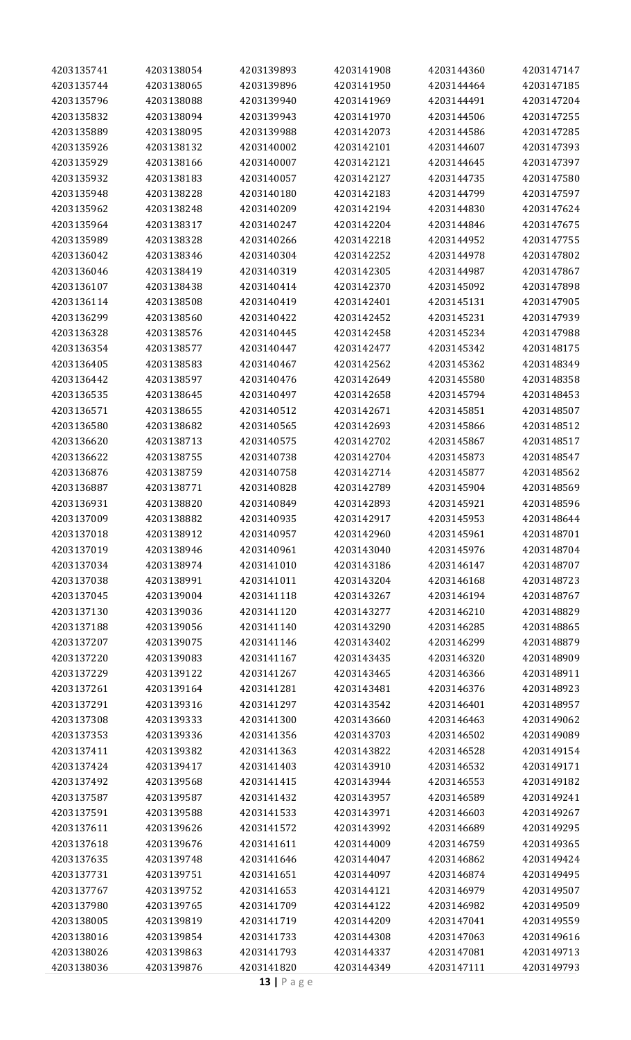| 4203135741 | 4203138054 | 4203139893 | 4203141908 | 4203144360 | 4203147147 |
|------------|------------|------------|------------|------------|------------|
| 4203135744 | 4203138065 | 4203139896 | 4203141950 | 4203144464 | 4203147185 |
| 4203135796 | 4203138088 | 4203139940 | 4203141969 | 4203144491 | 4203147204 |
| 4203135832 | 4203138094 | 4203139943 | 4203141970 | 4203144506 | 4203147255 |
| 4203135889 | 4203138095 | 4203139988 | 4203142073 | 4203144586 | 4203147285 |
| 4203135926 | 4203138132 | 4203140002 | 4203142101 | 4203144607 | 4203147393 |
| 4203135929 | 4203138166 | 4203140007 | 4203142121 | 4203144645 | 4203147397 |
| 4203135932 | 4203138183 | 4203140057 | 4203142127 | 4203144735 | 4203147580 |
| 4203135948 | 4203138228 | 4203140180 | 4203142183 |            | 4203147597 |
| 4203135962 |            |            |            | 4203144799 |            |
|            | 4203138248 | 4203140209 | 4203142194 | 4203144830 | 4203147624 |
| 4203135964 | 4203138317 | 4203140247 | 4203142204 | 4203144846 | 4203147675 |
| 4203135989 | 4203138328 | 4203140266 | 4203142218 | 4203144952 | 4203147755 |
| 4203136042 | 4203138346 | 4203140304 | 4203142252 | 4203144978 | 4203147802 |
| 4203136046 | 4203138419 | 4203140319 | 4203142305 | 4203144987 | 4203147867 |
| 4203136107 | 4203138438 | 4203140414 | 4203142370 | 4203145092 | 4203147898 |
| 4203136114 | 4203138508 | 4203140419 | 4203142401 | 4203145131 | 4203147905 |
| 4203136299 | 4203138560 | 4203140422 | 4203142452 | 4203145231 | 4203147939 |
| 4203136328 | 4203138576 | 4203140445 | 4203142458 | 4203145234 | 4203147988 |
| 4203136354 | 4203138577 | 4203140447 | 4203142477 | 4203145342 | 4203148175 |
| 4203136405 | 4203138583 | 4203140467 | 4203142562 | 4203145362 | 4203148349 |
| 4203136442 | 4203138597 | 4203140476 | 4203142649 | 4203145580 | 4203148358 |
| 4203136535 | 4203138645 | 4203140497 | 4203142658 | 4203145794 | 4203148453 |
| 4203136571 | 4203138655 | 4203140512 | 4203142671 | 4203145851 | 4203148507 |
| 4203136580 | 4203138682 | 4203140565 | 4203142693 | 4203145866 | 4203148512 |
| 4203136620 | 4203138713 | 4203140575 | 4203142702 | 4203145867 | 4203148517 |
| 4203136622 | 4203138755 | 4203140738 | 4203142704 | 4203145873 | 4203148547 |
| 4203136876 | 4203138759 | 4203140758 | 4203142714 | 4203145877 | 4203148562 |
| 4203136887 | 4203138771 | 4203140828 | 4203142789 | 4203145904 | 4203148569 |
| 4203136931 | 4203138820 | 4203140849 | 4203142893 | 4203145921 | 4203148596 |
| 4203137009 | 4203138882 | 4203140935 | 4203142917 | 4203145953 | 4203148644 |
| 4203137018 | 4203138912 | 4203140957 | 4203142960 | 4203145961 | 4203148701 |
| 4203137019 | 4203138946 | 4203140961 | 4203143040 | 4203145976 | 4203148704 |
| 4203137034 | 4203138974 | 4203141010 | 4203143186 | 4203146147 | 4203148707 |
| 4203137038 | 4203138991 | 4203141011 | 4203143204 | 4203146168 | 4203148723 |
| 4203137045 | 4203139004 | 4203141118 | 4203143267 | 4203146194 | 4203148767 |
| 4203137130 | 4203139036 | 4203141120 | 4203143277 | 4203146210 | 4203148829 |
| 4203137188 | 4203139056 | 4203141140 | 4203143290 | 4203146285 | 4203148865 |
| 4203137207 | 4203139075 | 4203141146 | 4203143402 | 4203146299 | 4203148879 |
|            | 4203139083 |            | 4203143435 | 4203146320 | 4203148909 |
| 4203137220 |            | 4203141167 |            |            |            |
| 4203137229 | 4203139122 | 4203141267 | 4203143465 | 4203146366 | 4203148911 |
| 4203137261 | 4203139164 | 4203141281 | 4203143481 | 4203146376 | 4203148923 |
| 4203137291 | 4203139316 | 4203141297 | 4203143542 | 4203146401 | 4203148957 |
| 4203137308 | 4203139333 | 4203141300 | 4203143660 | 4203146463 | 4203149062 |
| 4203137353 | 4203139336 | 4203141356 | 4203143703 | 4203146502 | 4203149089 |
| 4203137411 | 4203139382 | 4203141363 | 4203143822 | 4203146528 | 4203149154 |
| 4203137424 | 4203139417 | 4203141403 | 4203143910 | 4203146532 | 4203149171 |
| 4203137492 | 4203139568 | 4203141415 | 4203143944 | 4203146553 | 4203149182 |
| 4203137587 | 4203139587 | 4203141432 | 4203143957 | 4203146589 | 4203149241 |
| 4203137591 | 4203139588 | 4203141533 | 4203143971 | 4203146603 | 4203149267 |
| 4203137611 | 4203139626 | 4203141572 | 4203143992 | 4203146689 | 4203149295 |
| 4203137618 | 4203139676 | 4203141611 | 4203144009 | 4203146759 | 4203149365 |
| 4203137635 | 4203139748 | 4203141646 | 4203144047 | 4203146862 | 4203149424 |
| 4203137731 | 4203139751 | 4203141651 | 4203144097 | 4203146874 | 4203149495 |
| 4203137767 | 4203139752 | 4203141653 | 4203144121 | 4203146979 | 4203149507 |
| 4203137980 | 4203139765 | 4203141709 | 4203144122 | 4203146982 | 4203149509 |
| 4203138005 | 4203139819 | 4203141719 | 4203144209 | 4203147041 | 4203149559 |
| 4203138016 | 4203139854 | 4203141733 | 4203144308 | 4203147063 | 4203149616 |
| 4203138026 | 4203139863 | 4203141793 | 4203144337 | 4203147081 | 4203149713 |
| 4203138036 | 4203139876 | 4203141820 | 4203144349 | 4203147111 | 4203149793 |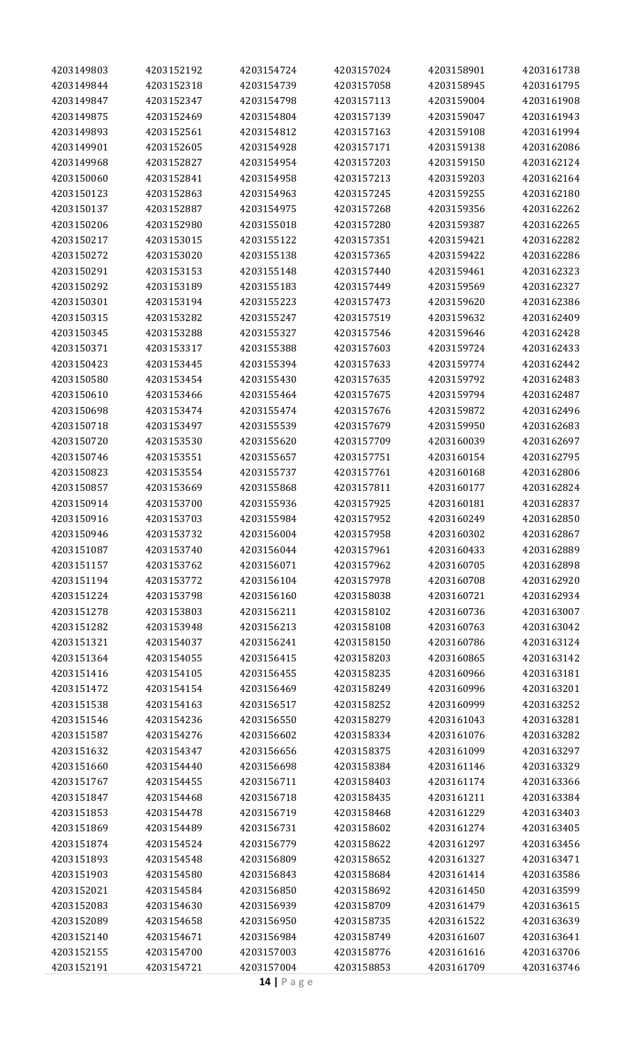| 4203149844<br>4203152318<br>4203154739<br>4203157058<br>4203158945<br>4203161795<br>4203149847<br>4203152347<br>4203154798<br>4203157113<br>4203159004<br>4203161908<br>4203152469<br>4203157139<br>4203161943<br>4203149875<br>4203154804<br>4203159047<br>4203149893<br>4203152561<br>4203154812<br>4203157163<br>4203159108<br>4203161994<br>4203149901<br>4203152605<br>4203154928<br>4203159138<br>4203162086<br>4203157171<br>4203149968<br>4203152827<br>4203154954<br>4203157203<br>4203159150<br>4203162124<br>4203152841<br>4203162164<br>4203150060<br>4203154958<br>4203157213<br>4203159203<br>4203150123<br>4203152863<br>4203154963<br>4203157245<br>4203159255<br>4203162180<br>4203150137<br>4203152887<br>4203154975<br>4203157268<br>4203159356<br>4203162262<br>4203162265<br>4203150206<br>4203152980<br>4203155018<br>4203157280<br>4203159387<br>4203153015<br>4203162282<br>4203150217<br>4203155122<br>4203157351<br>4203159421<br>4203150272<br>4203153020<br>4203155138<br>4203157365<br>4203159422<br>4203162286<br>4203153153<br>4203155148<br>4203157440<br>4203159461<br>4203162323<br>4203150291<br>4203150292<br>4203153189<br>4203155183<br>4203157449<br>4203159569<br>4203162327<br>4203153194<br>4203162386<br>4203150301<br>4203155223<br>4203157473<br>4203159620<br>4203150315<br>4203153282<br>4203155247<br>4203157519<br>4203159632<br>4203162409<br>4203150345<br>4203153288<br>4203155327<br>4203157546<br>4203159646<br>4203162428<br>4203150371<br>4203153317<br>4203155388<br>4203157603<br>4203159724<br>4203162433<br>4203153445<br>4203162442<br>4203150423<br>4203155394<br>4203157633<br>4203159774<br>4203150580<br>4203153454<br>4203155430<br>4203157635<br>4203159792<br>4203162483<br>4203150610<br>4203153466<br>4203155464<br>4203157675<br>4203159794<br>4203162487<br>4203150698<br>4203153474<br>4203155474<br>4203157676<br>4203159872<br>4203162496<br>4203162683<br>4203150718<br>4203153497<br>4203155539<br>4203157679<br>4203159950<br>4203150720<br>4203153530<br>4203155620<br>4203157709<br>4203160039<br>4203162697<br>4203153551<br>4203162795<br>4203150746<br>4203155657<br>4203157751<br>4203160154<br>4203150823<br>4203153554<br>4203155737<br>4203157761<br>4203160168<br>4203162806<br>4203153669<br>4203162824<br>4203150857<br>4203155868<br>4203157811<br>4203160177<br>4203150914<br>4203153700<br>4203160181<br>4203162837<br>4203155936<br>4203157925<br>4203150916<br>4203153703<br>4203155984<br>4203157952<br>4203162850<br>4203160249<br>4203150946<br>4203153732<br>4203156004<br>4203157958<br>4203160302<br>4203162867<br>4203151087<br>4203153740<br>4203156044<br>4203157961<br>4203160433<br>4203162889<br>4203151157<br>4203153762<br>4203156071<br>4203157962<br>4203160705<br>4203162898<br>4203156104<br>4203162920<br>4203151194<br>4203153772<br>4203157978<br>4203160708<br>4203151224<br>4203153798<br>4203156160<br>4203158038<br>4203160721<br>4203162934<br>4203153803<br>4203156211<br>4203158102<br>4203163007<br>4203151278<br>4203160736<br>4203151282<br>4203153948<br>4203156213<br>4203158108<br>4203160763<br>4203163042<br>4203156241<br>4203158150<br>4203163124<br>4203151321<br>4203154037<br>4203160786<br>4203151364<br>4203154055<br>4203156415<br>4203158203<br>4203160865<br>4203163142<br>4203156455<br>4203158235<br>4203160966<br>4203163181<br>4203151416<br>4203154105<br>4203151472<br>4203154154<br>4203156469<br>4203158249<br>4203160996<br>4203163201<br>4203151538<br>4203154163<br>4203156517<br>4203158252<br>4203160999<br>4203163252<br>4203151546<br>4203154236<br>4203156550<br>4203158279<br>4203161043<br>4203163281<br>4203156602<br>4203163282<br>4203151587<br>4203154276<br>4203158334<br>4203161076<br>4203151632<br>4203156656<br>4203158375<br>4203161099<br>4203163297<br>4203154347<br>4203158384<br>4203163329<br>4203151660<br>4203154440<br>4203156698<br>4203161146<br>4203151767<br>4203154455<br>4203156711<br>4203158403<br>4203161174<br>4203163366<br>4203154468<br>4203158435<br>4203163384<br>4203151847<br>4203156718<br>4203161211<br>4203151853<br>4203154478<br>4203156719<br>4203158468<br>4203161229<br>4203163403<br>4203158602<br>4203163405<br>4203151869<br>4203154489<br>4203156731<br>4203161274<br>4203151874<br>4203154524<br>4203156779<br>4203158622<br>4203161297<br>4203163456<br>4203156809<br>4203158652<br>4203163471<br>4203151893<br>4203154548<br>4203161327<br>4203151903<br>4203154580<br>4203156843<br>4203158684<br>4203161414<br>4203163586<br>4203158692<br>4203163599<br>4203152021<br>4203154584<br>4203156850<br>4203161450<br>4203152083<br>4203154630<br>4203156939<br>4203158709<br>4203161479<br>4203163615<br>4203156950<br>4203163639<br>4203152089<br>4203154658<br>4203158735<br>4203161522<br>4203152140<br>4203156984<br>4203158749<br>4203161607<br>4203163641<br>4203154671<br>4203152155<br>4203154700<br>4203157003<br>4203158776<br>4203161616<br>4203163706<br>4203152191<br>4203154721<br>4203157004<br>4203158853<br>4203161709<br>4203163746 | 4203149803 | 4203152192 | 4203154724 | 4203157024 | 4203158901 | 4203161738 |
|----------------------------------------------------------------------------------------------------------------------------------------------------------------------------------------------------------------------------------------------------------------------------------------------------------------------------------------------------------------------------------------------------------------------------------------------------------------------------------------------------------------------------------------------------------------------------------------------------------------------------------------------------------------------------------------------------------------------------------------------------------------------------------------------------------------------------------------------------------------------------------------------------------------------------------------------------------------------------------------------------------------------------------------------------------------------------------------------------------------------------------------------------------------------------------------------------------------------------------------------------------------------------------------------------------------------------------------------------------------------------------------------------------------------------------------------------------------------------------------------------------------------------------------------------------------------------------------------------------------------------------------------------------------------------------------------------------------------------------------------------------------------------------------------------------------------------------------------------------------------------------------------------------------------------------------------------------------------------------------------------------------------------------------------------------------------------------------------------------------------------------------------------------------------------------------------------------------------------------------------------------------------------------------------------------------------------------------------------------------------------------------------------------------------------------------------------------------------------------------------------------------------------------------------------------------------------------------------------------------------------------------------------------------------------------------------------------------------------------------------------------------------------------------------------------------------------------------------------------------------------------------------------------------------------------------------------------------------------------------------------------------------------------------------------------------------------------------------------------------------------------------------------------------------------------------------------------------------------------------------------------------------------------------------------------------------------------------------------------------------------------------------------------------------------------------------------------------------------------------------------------------------------------------------------------------------------------------------------------------------------------------------------------------------------------------------------------------------------------------------------------------------------------------------------------------------------------------------------------------------------------------------------------------------------------------------------------------------------------------------------------------------------------------------------------------------------------------------------------------------------------------------------------------------------------------------------------------------------------------------------------------------------------------------------------------------------------------------------------------------------------------------------------------------------------------------------------------------------------------------------------------------------------------------------------------------------------------------------------------------------------------------------------------------------------------------------------------------------------------------------------------------------------------------------------------------------------------------------------------------------------------------------------------------------------------------------------------------------------------------------------------------------------------------------------------------|------------|------------|------------|------------|------------|------------|
|                                                                                                                                                                                                                                                                                                                                                                                                                                                                                                                                                                                                                                                                                                                                                                                                                                                                                                                                                                                                                                                                                                                                                                                                                                                                                                                                                                                                                                                                                                                                                                                                                                                                                                                                                                                                                                                                                                                                                                                                                                                                                                                                                                                                                                                                                                                                                                                                                                                                                                                                                                                                                                                                                                                                                                                                                                                                                                                                                                                                                                                                                                                                                                                                                                                                                                                                                                                                                                                                                                                                                                                                                                                                                                                                                                                                                                                                                                                                                                                                                                                                                                                                                                                                                                                                                                                                                                                                                                                                                                                                                                                                                                                                                                                                                                                                                                                                                                                                                                                                                                                                      |            |            |            |            |            |            |
|                                                                                                                                                                                                                                                                                                                                                                                                                                                                                                                                                                                                                                                                                                                                                                                                                                                                                                                                                                                                                                                                                                                                                                                                                                                                                                                                                                                                                                                                                                                                                                                                                                                                                                                                                                                                                                                                                                                                                                                                                                                                                                                                                                                                                                                                                                                                                                                                                                                                                                                                                                                                                                                                                                                                                                                                                                                                                                                                                                                                                                                                                                                                                                                                                                                                                                                                                                                                                                                                                                                                                                                                                                                                                                                                                                                                                                                                                                                                                                                                                                                                                                                                                                                                                                                                                                                                                                                                                                                                                                                                                                                                                                                                                                                                                                                                                                                                                                                                                                                                                                                                      |            |            |            |            |            |            |
|                                                                                                                                                                                                                                                                                                                                                                                                                                                                                                                                                                                                                                                                                                                                                                                                                                                                                                                                                                                                                                                                                                                                                                                                                                                                                                                                                                                                                                                                                                                                                                                                                                                                                                                                                                                                                                                                                                                                                                                                                                                                                                                                                                                                                                                                                                                                                                                                                                                                                                                                                                                                                                                                                                                                                                                                                                                                                                                                                                                                                                                                                                                                                                                                                                                                                                                                                                                                                                                                                                                                                                                                                                                                                                                                                                                                                                                                                                                                                                                                                                                                                                                                                                                                                                                                                                                                                                                                                                                                                                                                                                                                                                                                                                                                                                                                                                                                                                                                                                                                                                                                      |            |            |            |            |            |            |
|                                                                                                                                                                                                                                                                                                                                                                                                                                                                                                                                                                                                                                                                                                                                                                                                                                                                                                                                                                                                                                                                                                                                                                                                                                                                                                                                                                                                                                                                                                                                                                                                                                                                                                                                                                                                                                                                                                                                                                                                                                                                                                                                                                                                                                                                                                                                                                                                                                                                                                                                                                                                                                                                                                                                                                                                                                                                                                                                                                                                                                                                                                                                                                                                                                                                                                                                                                                                                                                                                                                                                                                                                                                                                                                                                                                                                                                                                                                                                                                                                                                                                                                                                                                                                                                                                                                                                                                                                                                                                                                                                                                                                                                                                                                                                                                                                                                                                                                                                                                                                                                                      |            |            |            |            |            |            |
|                                                                                                                                                                                                                                                                                                                                                                                                                                                                                                                                                                                                                                                                                                                                                                                                                                                                                                                                                                                                                                                                                                                                                                                                                                                                                                                                                                                                                                                                                                                                                                                                                                                                                                                                                                                                                                                                                                                                                                                                                                                                                                                                                                                                                                                                                                                                                                                                                                                                                                                                                                                                                                                                                                                                                                                                                                                                                                                                                                                                                                                                                                                                                                                                                                                                                                                                                                                                                                                                                                                                                                                                                                                                                                                                                                                                                                                                                                                                                                                                                                                                                                                                                                                                                                                                                                                                                                                                                                                                                                                                                                                                                                                                                                                                                                                                                                                                                                                                                                                                                                                                      |            |            |            |            |            |            |
|                                                                                                                                                                                                                                                                                                                                                                                                                                                                                                                                                                                                                                                                                                                                                                                                                                                                                                                                                                                                                                                                                                                                                                                                                                                                                                                                                                                                                                                                                                                                                                                                                                                                                                                                                                                                                                                                                                                                                                                                                                                                                                                                                                                                                                                                                                                                                                                                                                                                                                                                                                                                                                                                                                                                                                                                                                                                                                                                                                                                                                                                                                                                                                                                                                                                                                                                                                                                                                                                                                                                                                                                                                                                                                                                                                                                                                                                                                                                                                                                                                                                                                                                                                                                                                                                                                                                                                                                                                                                                                                                                                                                                                                                                                                                                                                                                                                                                                                                                                                                                                                                      |            |            |            |            |            |            |
|                                                                                                                                                                                                                                                                                                                                                                                                                                                                                                                                                                                                                                                                                                                                                                                                                                                                                                                                                                                                                                                                                                                                                                                                                                                                                                                                                                                                                                                                                                                                                                                                                                                                                                                                                                                                                                                                                                                                                                                                                                                                                                                                                                                                                                                                                                                                                                                                                                                                                                                                                                                                                                                                                                                                                                                                                                                                                                                                                                                                                                                                                                                                                                                                                                                                                                                                                                                                                                                                                                                                                                                                                                                                                                                                                                                                                                                                                                                                                                                                                                                                                                                                                                                                                                                                                                                                                                                                                                                                                                                                                                                                                                                                                                                                                                                                                                                                                                                                                                                                                                                                      |            |            |            |            |            |            |
|                                                                                                                                                                                                                                                                                                                                                                                                                                                                                                                                                                                                                                                                                                                                                                                                                                                                                                                                                                                                                                                                                                                                                                                                                                                                                                                                                                                                                                                                                                                                                                                                                                                                                                                                                                                                                                                                                                                                                                                                                                                                                                                                                                                                                                                                                                                                                                                                                                                                                                                                                                                                                                                                                                                                                                                                                                                                                                                                                                                                                                                                                                                                                                                                                                                                                                                                                                                                                                                                                                                                                                                                                                                                                                                                                                                                                                                                                                                                                                                                                                                                                                                                                                                                                                                                                                                                                                                                                                                                                                                                                                                                                                                                                                                                                                                                                                                                                                                                                                                                                                                                      |            |            |            |            |            |            |
|                                                                                                                                                                                                                                                                                                                                                                                                                                                                                                                                                                                                                                                                                                                                                                                                                                                                                                                                                                                                                                                                                                                                                                                                                                                                                                                                                                                                                                                                                                                                                                                                                                                                                                                                                                                                                                                                                                                                                                                                                                                                                                                                                                                                                                                                                                                                                                                                                                                                                                                                                                                                                                                                                                                                                                                                                                                                                                                                                                                                                                                                                                                                                                                                                                                                                                                                                                                                                                                                                                                                                                                                                                                                                                                                                                                                                                                                                                                                                                                                                                                                                                                                                                                                                                                                                                                                                                                                                                                                                                                                                                                                                                                                                                                                                                                                                                                                                                                                                                                                                                                                      |            |            |            |            |            |            |
|                                                                                                                                                                                                                                                                                                                                                                                                                                                                                                                                                                                                                                                                                                                                                                                                                                                                                                                                                                                                                                                                                                                                                                                                                                                                                                                                                                                                                                                                                                                                                                                                                                                                                                                                                                                                                                                                                                                                                                                                                                                                                                                                                                                                                                                                                                                                                                                                                                                                                                                                                                                                                                                                                                                                                                                                                                                                                                                                                                                                                                                                                                                                                                                                                                                                                                                                                                                                                                                                                                                                                                                                                                                                                                                                                                                                                                                                                                                                                                                                                                                                                                                                                                                                                                                                                                                                                                                                                                                                                                                                                                                                                                                                                                                                                                                                                                                                                                                                                                                                                                                                      |            |            |            |            |            |            |
|                                                                                                                                                                                                                                                                                                                                                                                                                                                                                                                                                                                                                                                                                                                                                                                                                                                                                                                                                                                                                                                                                                                                                                                                                                                                                                                                                                                                                                                                                                                                                                                                                                                                                                                                                                                                                                                                                                                                                                                                                                                                                                                                                                                                                                                                                                                                                                                                                                                                                                                                                                                                                                                                                                                                                                                                                                                                                                                                                                                                                                                                                                                                                                                                                                                                                                                                                                                                                                                                                                                                                                                                                                                                                                                                                                                                                                                                                                                                                                                                                                                                                                                                                                                                                                                                                                                                                                                                                                                                                                                                                                                                                                                                                                                                                                                                                                                                                                                                                                                                                                                                      |            |            |            |            |            |            |
|                                                                                                                                                                                                                                                                                                                                                                                                                                                                                                                                                                                                                                                                                                                                                                                                                                                                                                                                                                                                                                                                                                                                                                                                                                                                                                                                                                                                                                                                                                                                                                                                                                                                                                                                                                                                                                                                                                                                                                                                                                                                                                                                                                                                                                                                                                                                                                                                                                                                                                                                                                                                                                                                                                                                                                                                                                                                                                                                                                                                                                                                                                                                                                                                                                                                                                                                                                                                                                                                                                                                                                                                                                                                                                                                                                                                                                                                                                                                                                                                                                                                                                                                                                                                                                                                                                                                                                                                                                                                                                                                                                                                                                                                                                                                                                                                                                                                                                                                                                                                                                                                      |            |            |            |            |            |            |
|                                                                                                                                                                                                                                                                                                                                                                                                                                                                                                                                                                                                                                                                                                                                                                                                                                                                                                                                                                                                                                                                                                                                                                                                                                                                                                                                                                                                                                                                                                                                                                                                                                                                                                                                                                                                                                                                                                                                                                                                                                                                                                                                                                                                                                                                                                                                                                                                                                                                                                                                                                                                                                                                                                                                                                                                                                                                                                                                                                                                                                                                                                                                                                                                                                                                                                                                                                                                                                                                                                                                                                                                                                                                                                                                                                                                                                                                                                                                                                                                                                                                                                                                                                                                                                                                                                                                                                                                                                                                                                                                                                                                                                                                                                                                                                                                                                                                                                                                                                                                                                                                      |            |            |            |            |            |            |
|                                                                                                                                                                                                                                                                                                                                                                                                                                                                                                                                                                                                                                                                                                                                                                                                                                                                                                                                                                                                                                                                                                                                                                                                                                                                                                                                                                                                                                                                                                                                                                                                                                                                                                                                                                                                                                                                                                                                                                                                                                                                                                                                                                                                                                                                                                                                                                                                                                                                                                                                                                                                                                                                                                                                                                                                                                                                                                                                                                                                                                                                                                                                                                                                                                                                                                                                                                                                                                                                                                                                                                                                                                                                                                                                                                                                                                                                                                                                                                                                                                                                                                                                                                                                                                                                                                                                                                                                                                                                                                                                                                                                                                                                                                                                                                                                                                                                                                                                                                                                                                                                      |            |            |            |            |            |            |
|                                                                                                                                                                                                                                                                                                                                                                                                                                                                                                                                                                                                                                                                                                                                                                                                                                                                                                                                                                                                                                                                                                                                                                                                                                                                                                                                                                                                                                                                                                                                                                                                                                                                                                                                                                                                                                                                                                                                                                                                                                                                                                                                                                                                                                                                                                                                                                                                                                                                                                                                                                                                                                                                                                                                                                                                                                                                                                                                                                                                                                                                                                                                                                                                                                                                                                                                                                                                                                                                                                                                                                                                                                                                                                                                                                                                                                                                                                                                                                                                                                                                                                                                                                                                                                                                                                                                                                                                                                                                                                                                                                                                                                                                                                                                                                                                                                                                                                                                                                                                                                                                      |            |            |            |            |            |            |
|                                                                                                                                                                                                                                                                                                                                                                                                                                                                                                                                                                                                                                                                                                                                                                                                                                                                                                                                                                                                                                                                                                                                                                                                                                                                                                                                                                                                                                                                                                                                                                                                                                                                                                                                                                                                                                                                                                                                                                                                                                                                                                                                                                                                                                                                                                                                                                                                                                                                                                                                                                                                                                                                                                                                                                                                                                                                                                                                                                                                                                                                                                                                                                                                                                                                                                                                                                                                                                                                                                                                                                                                                                                                                                                                                                                                                                                                                                                                                                                                                                                                                                                                                                                                                                                                                                                                                                                                                                                                                                                                                                                                                                                                                                                                                                                                                                                                                                                                                                                                                                                                      |            |            |            |            |            |            |
|                                                                                                                                                                                                                                                                                                                                                                                                                                                                                                                                                                                                                                                                                                                                                                                                                                                                                                                                                                                                                                                                                                                                                                                                                                                                                                                                                                                                                                                                                                                                                                                                                                                                                                                                                                                                                                                                                                                                                                                                                                                                                                                                                                                                                                                                                                                                                                                                                                                                                                                                                                                                                                                                                                                                                                                                                                                                                                                                                                                                                                                                                                                                                                                                                                                                                                                                                                                                                                                                                                                                                                                                                                                                                                                                                                                                                                                                                                                                                                                                                                                                                                                                                                                                                                                                                                                                                                                                                                                                                                                                                                                                                                                                                                                                                                                                                                                                                                                                                                                                                                                                      |            |            |            |            |            |            |
|                                                                                                                                                                                                                                                                                                                                                                                                                                                                                                                                                                                                                                                                                                                                                                                                                                                                                                                                                                                                                                                                                                                                                                                                                                                                                                                                                                                                                                                                                                                                                                                                                                                                                                                                                                                                                                                                                                                                                                                                                                                                                                                                                                                                                                                                                                                                                                                                                                                                                                                                                                                                                                                                                                                                                                                                                                                                                                                                                                                                                                                                                                                                                                                                                                                                                                                                                                                                                                                                                                                                                                                                                                                                                                                                                                                                                                                                                                                                                                                                                                                                                                                                                                                                                                                                                                                                                                                                                                                                                                                                                                                                                                                                                                                                                                                                                                                                                                                                                                                                                                                                      |            |            |            |            |            |            |
|                                                                                                                                                                                                                                                                                                                                                                                                                                                                                                                                                                                                                                                                                                                                                                                                                                                                                                                                                                                                                                                                                                                                                                                                                                                                                                                                                                                                                                                                                                                                                                                                                                                                                                                                                                                                                                                                                                                                                                                                                                                                                                                                                                                                                                                                                                                                                                                                                                                                                                                                                                                                                                                                                                                                                                                                                                                                                                                                                                                                                                                                                                                                                                                                                                                                                                                                                                                                                                                                                                                                                                                                                                                                                                                                                                                                                                                                                                                                                                                                                                                                                                                                                                                                                                                                                                                                                                                                                                                                                                                                                                                                                                                                                                                                                                                                                                                                                                                                                                                                                                                                      |            |            |            |            |            |            |
|                                                                                                                                                                                                                                                                                                                                                                                                                                                                                                                                                                                                                                                                                                                                                                                                                                                                                                                                                                                                                                                                                                                                                                                                                                                                                                                                                                                                                                                                                                                                                                                                                                                                                                                                                                                                                                                                                                                                                                                                                                                                                                                                                                                                                                                                                                                                                                                                                                                                                                                                                                                                                                                                                                                                                                                                                                                                                                                                                                                                                                                                                                                                                                                                                                                                                                                                                                                                                                                                                                                                                                                                                                                                                                                                                                                                                                                                                                                                                                                                                                                                                                                                                                                                                                                                                                                                                                                                                                                                                                                                                                                                                                                                                                                                                                                                                                                                                                                                                                                                                                                                      |            |            |            |            |            |            |
|                                                                                                                                                                                                                                                                                                                                                                                                                                                                                                                                                                                                                                                                                                                                                                                                                                                                                                                                                                                                                                                                                                                                                                                                                                                                                                                                                                                                                                                                                                                                                                                                                                                                                                                                                                                                                                                                                                                                                                                                                                                                                                                                                                                                                                                                                                                                                                                                                                                                                                                                                                                                                                                                                                                                                                                                                                                                                                                                                                                                                                                                                                                                                                                                                                                                                                                                                                                                                                                                                                                                                                                                                                                                                                                                                                                                                                                                                                                                                                                                                                                                                                                                                                                                                                                                                                                                                                                                                                                                                                                                                                                                                                                                                                                                                                                                                                                                                                                                                                                                                                                                      |            |            |            |            |            |            |
|                                                                                                                                                                                                                                                                                                                                                                                                                                                                                                                                                                                                                                                                                                                                                                                                                                                                                                                                                                                                                                                                                                                                                                                                                                                                                                                                                                                                                                                                                                                                                                                                                                                                                                                                                                                                                                                                                                                                                                                                                                                                                                                                                                                                                                                                                                                                                                                                                                                                                                                                                                                                                                                                                                                                                                                                                                                                                                                                                                                                                                                                                                                                                                                                                                                                                                                                                                                                                                                                                                                                                                                                                                                                                                                                                                                                                                                                                                                                                                                                                                                                                                                                                                                                                                                                                                                                                                                                                                                                                                                                                                                                                                                                                                                                                                                                                                                                                                                                                                                                                                                                      |            |            |            |            |            |            |
|                                                                                                                                                                                                                                                                                                                                                                                                                                                                                                                                                                                                                                                                                                                                                                                                                                                                                                                                                                                                                                                                                                                                                                                                                                                                                                                                                                                                                                                                                                                                                                                                                                                                                                                                                                                                                                                                                                                                                                                                                                                                                                                                                                                                                                                                                                                                                                                                                                                                                                                                                                                                                                                                                                                                                                                                                                                                                                                                                                                                                                                                                                                                                                                                                                                                                                                                                                                                                                                                                                                                                                                                                                                                                                                                                                                                                                                                                                                                                                                                                                                                                                                                                                                                                                                                                                                                                                                                                                                                                                                                                                                                                                                                                                                                                                                                                                                                                                                                                                                                                                                                      |            |            |            |            |            |            |
|                                                                                                                                                                                                                                                                                                                                                                                                                                                                                                                                                                                                                                                                                                                                                                                                                                                                                                                                                                                                                                                                                                                                                                                                                                                                                                                                                                                                                                                                                                                                                                                                                                                                                                                                                                                                                                                                                                                                                                                                                                                                                                                                                                                                                                                                                                                                                                                                                                                                                                                                                                                                                                                                                                                                                                                                                                                                                                                                                                                                                                                                                                                                                                                                                                                                                                                                                                                                                                                                                                                                                                                                                                                                                                                                                                                                                                                                                                                                                                                                                                                                                                                                                                                                                                                                                                                                                                                                                                                                                                                                                                                                                                                                                                                                                                                                                                                                                                                                                                                                                                                                      |            |            |            |            |            |            |
|                                                                                                                                                                                                                                                                                                                                                                                                                                                                                                                                                                                                                                                                                                                                                                                                                                                                                                                                                                                                                                                                                                                                                                                                                                                                                                                                                                                                                                                                                                                                                                                                                                                                                                                                                                                                                                                                                                                                                                                                                                                                                                                                                                                                                                                                                                                                                                                                                                                                                                                                                                                                                                                                                                                                                                                                                                                                                                                                                                                                                                                                                                                                                                                                                                                                                                                                                                                                                                                                                                                                                                                                                                                                                                                                                                                                                                                                                                                                                                                                                                                                                                                                                                                                                                                                                                                                                                                                                                                                                                                                                                                                                                                                                                                                                                                                                                                                                                                                                                                                                                                                      |            |            |            |            |            |            |
|                                                                                                                                                                                                                                                                                                                                                                                                                                                                                                                                                                                                                                                                                                                                                                                                                                                                                                                                                                                                                                                                                                                                                                                                                                                                                                                                                                                                                                                                                                                                                                                                                                                                                                                                                                                                                                                                                                                                                                                                                                                                                                                                                                                                                                                                                                                                                                                                                                                                                                                                                                                                                                                                                                                                                                                                                                                                                                                                                                                                                                                                                                                                                                                                                                                                                                                                                                                                                                                                                                                                                                                                                                                                                                                                                                                                                                                                                                                                                                                                                                                                                                                                                                                                                                                                                                                                                                                                                                                                                                                                                                                                                                                                                                                                                                                                                                                                                                                                                                                                                                                                      |            |            |            |            |            |            |
|                                                                                                                                                                                                                                                                                                                                                                                                                                                                                                                                                                                                                                                                                                                                                                                                                                                                                                                                                                                                                                                                                                                                                                                                                                                                                                                                                                                                                                                                                                                                                                                                                                                                                                                                                                                                                                                                                                                                                                                                                                                                                                                                                                                                                                                                                                                                                                                                                                                                                                                                                                                                                                                                                                                                                                                                                                                                                                                                                                                                                                                                                                                                                                                                                                                                                                                                                                                                                                                                                                                                                                                                                                                                                                                                                                                                                                                                                                                                                                                                                                                                                                                                                                                                                                                                                                                                                                                                                                                                                                                                                                                                                                                                                                                                                                                                                                                                                                                                                                                                                                                                      |            |            |            |            |            |            |
|                                                                                                                                                                                                                                                                                                                                                                                                                                                                                                                                                                                                                                                                                                                                                                                                                                                                                                                                                                                                                                                                                                                                                                                                                                                                                                                                                                                                                                                                                                                                                                                                                                                                                                                                                                                                                                                                                                                                                                                                                                                                                                                                                                                                                                                                                                                                                                                                                                                                                                                                                                                                                                                                                                                                                                                                                                                                                                                                                                                                                                                                                                                                                                                                                                                                                                                                                                                                                                                                                                                                                                                                                                                                                                                                                                                                                                                                                                                                                                                                                                                                                                                                                                                                                                                                                                                                                                                                                                                                                                                                                                                                                                                                                                                                                                                                                                                                                                                                                                                                                                                                      |            |            |            |            |            |            |
|                                                                                                                                                                                                                                                                                                                                                                                                                                                                                                                                                                                                                                                                                                                                                                                                                                                                                                                                                                                                                                                                                                                                                                                                                                                                                                                                                                                                                                                                                                                                                                                                                                                                                                                                                                                                                                                                                                                                                                                                                                                                                                                                                                                                                                                                                                                                                                                                                                                                                                                                                                                                                                                                                                                                                                                                                                                                                                                                                                                                                                                                                                                                                                                                                                                                                                                                                                                                                                                                                                                                                                                                                                                                                                                                                                                                                                                                                                                                                                                                                                                                                                                                                                                                                                                                                                                                                                                                                                                                                                                                                                                                                                                                                                                                                                                                                                                                                                                                                                                                                                                                      |            |            |            |            |            |            |
|                                                                                                                                                                                                                                                                                                                                                                                                                                                                                                                                                                                                                                                                                                                                                                                                                                                                                                                                                                                                                                                                                                                                                                                                                                                                                                                                                                                                                                                                                                                                                                                                                                                                                                                                                                                                                                                                                                                                                                                                                                                                                                                                                                                                                                                                                                                                                                                                                                                                                                                                                                                                                                                                                                                                                                                                                                                                                                                                                                                                                                                                                                                                                                                                                                                                                                                                                                                                                                                                                                                                                                                                                                                                                                                                                                                                                                                                                                                                                                                                                                                                                                                                                                                                                                                                                                                                                                                                                                                                                                                                                                                                                                                                                                                                                                                                                                                                                                                                                                                                                                                                      |            |            |            |            |            |            |
|                                                                                                                                                                                                                                                                                                                                                                                                                                                                                                                                                                                                                                                                                                                                                                                                                                                                                                                                                                                                                                                                                                                                                                                                                                                                                                                                                                                                                                                                                                                                                                                                                                                                                                                                                                                                                                                                                                                                                                                                                                                                                                                                                                                                                                                                                                                                                                                                                                                                                                                                                                                                                                                                                                                                                                                                                                                                                                                                                                                                                                                                                                                                                                                                                                                                                                                                                                                                                                                                                                                                                                                                                                                                                                                                                                                                                                                                                                                                                                                                                                                                                                                                                                                                                                                                                                                                                                                                                                                                                                                                                                                                                                                                                                                                                                                                                                                                                                                                                                                                                                                                      |            |            |            |            |            |            |
|                                                                                                                                                                                                                                                                                                                                                                                                                                                                                                                                                                                                                                                                                                                                                                                                                                                                                                                                                                                                                                                                                                                                                                                                                                                                                                                                                                                                                                                                                                                                                                                                                                                                                                                                                                                                                                                                                                                                                                                                                                                                                                                                                                                                                                                                                                                                                                                                                                                                                                                                                                                                                                                                                                                                                                                                                                                                                                                                                                                                                                                                                                                                                                                                                                                                                                                                                                                                                                                                                                                                                                                                                                                                                                                                                                                                                                                                                                                                                                                                                                                                                                                                                                                                                                                                                                                                                                                                                                                                                                                                                                                                                                                                                                                                                                                                                                                                                                                                                                                                                                                                      |            |            |            |            |            |            |
|                                                                                                                                                                                                                                                                                                                                                                                                                                                                                                                                                                                                                                                                                                                                                                                                                                                                                                                                                                                                                                                                                                                                                                                                                                                                                                                                                                                                                                                                                                                                                                                                                                                                                                                                                                                                                                                                                                                                                                                                                                                                                                                                                                                                                                                                                                                                                                                                                                                                                                                                                                                                                                                                                                                                                                                                                                                                                                                                                                                                                                                                                                                                                                                                                                                                                                                                                                                                                                                                                                                                                                                                                                                                                                                                                                                                                                                                                                                                                                                                                                                                                                                                                                                                                                                                                                                                                                                                                                                                                                                                                                                                                                                                                                                                                                                                                                                                                                                                                                                                                                                                      |            |            |            |            |            |            |
|                                                                                                                                                                                                                                                                                                                                                                                                                                                                                                                                                                                                                                                                                                                                                                                                                                                                                                                                                                                                                                                                                                                                                                                                                                                                                                                                                                                                                                                                                                                                                                                                                                                                                                                                                                                                                                                                                                                                                                                                                                                                                                                                                                                                                                                                                                                                                                                                                                                                                                                                                                                                                                                                                                                                                                                                                                                                                                                                                                                                                                                                                                                                                                                                                                                                                                                                                                                                                                                                                                                                                                                                                                                                                                                                                                                                                                                                                                                                                                                                                                                                                                                                                                                                                                                                                                                                                                                                                                                                                                                                                                                                                                                                                                                                                                                                                                                                                                                                                                                                                                                                      |            |            |            |            |            |            |
|                                                                                                                                                                                                                                                                                                                                                                                                                                                                                                                                                                                                                                                                                                                                                                                                                                                                                                                                                                                                                                                                                                                                                                                                                                                                                                                                                                                                                                                                                                                                                                                                                                                                                                                                                                                                                                                                                                                                                                                                                                                                                                                                                                                                                                                                                                                                                                                                                                                                                                                                                                                                                                                                                                                                                                                                                                                                                                                                                                                                                                                                                                                                                                                                                                                                                                                                                                                                                                                                                                                                                                                                                                                                                                                                                                                                                                                                                                                                                                                                                                                                                                                                                                                                                                                                                                                                                                                                                                                                                                                                                                                                                                                                                                                                                                                                                                                                                                                                                                                                                                                                      |            |            |            |            |            |            |
|                                                                                                                                                                                                                                                                                                                                                                                                                                                                                                                                                                                                                                                                                                                                                                                                                                                                                                                                                                                                                                                                                                                                                                                                                                                                                                                                                                                                                                                                                                                                                                                                                                                                                                                                                                                                                                                                                                                                                                                                                                                                                                                                                                                                                                                                                                                                                                                                                                                                                                                                                                                                                                                                                                                                                                                                                                                                                                                                                                                                                                                                                                                                                                                                                                                                                                                                                                                                                                                                                                                                                                                                                                                                                                                                                                                                                                                                                                                                                                                                                                                                                                                                                                                                                                                                                                                                                                                                                                                                                                                                                                                                                                                                                                                                                                                                                                                                                                                                                                                                                                                                      |            |            |            |            |            |            |
|                                                                                                                                                                                                                                                                                                                                                                                                                                                                                                                                                                                                                                                                                                                                                                                                                                                                                                                                                                                                                                                                                                                                                                                                                                                                                                                                                                                                                                                                                                                                                                                                                                                                                                                                                                                                                                                                                                                                                                                                                                                                                                                                                                                                                                                                                                                                                                                                                                                                                                                                                                                                                                                                                                                                                                                                                                                                                                                                                                                                                                                                                                                                                                                                                                                                                                                                                                                                                                                                                                                                                                                                                                                                                                                                                                                                                                                                                                                                                                                                                                                                                                                                                                                                                                                                                                                                                                                                                                                                                                                                                                                                                                                                                                                                                                                                                                                                                                                                                                                                                                                                      |            |            |            |            |            |            |
|                                                                                                                                                                                                                                                                                                                                                                                                                                                                                                                                                                                                                                                                                                                                                                                                                                                                                                                                                                                                                                                                                                                                                                                                                                                                                                                                                                                                                                                                                                                                                                                                                                                                                                                                                                                                                                                                                                                                                                                                                                                                                                                                                                                                                                                                                                                                                                                                                                                                                                                                                                                                                                                                                                                                                                                                                                                                                                                                                                                                                                                                                                                                                                                                                                                                                                                                                                                                                                                                                                                                                                                                                                                                                                                                                                                                                                                                                                                                                                                                                                                                                                                                                                                                                                                                                                                                                                                                                                                                                                                                                                                                                                                                                                                                                                                                                                                                                                                                                                                                                                                                      |            |            |            |            |            |            |
|                                                                                                                                                                                                                                                                                                                                                                                                                                                                                                                                                                                                                                                                                                                                                                                                                                                                                                                                                                                                                                                                                                                                                                                                                                                                                                                                                                                                                                                                                                                                                                                                                                                                                                                                                                                                                                                                                                                                                                                                                                                                                                                                                                                                                                                                                                                                                                                                                                                                                                                                                                                                                                                                                                                                                                                                                                                                                                                                                                                                                                                                                                                                                                                                                                                                                                                                                                                                                                                                                                                                                                                                                                                                                                                                                                                                                                                                                                                                                                                                                                                                                                                                                                                                                                                                                                                                                                                                                                                                                                                                                                                                                                                                                                                                                                                                                                                                                                                                                                                                                                                                      |            |            |            |            |            |            |
|                                                                                                                                                                                                                                                                                                                                                                                                                                                                                                                                                                                                                                                                                                                                                                                                                                                                                                                                                                                                                                                                                                                                                                                                                                                                                                                                                                                                                                                                                                                                                                                                                                                                                                                                                                                                                                                                                                                                                                                                                                                                                                                                                                                                                                                                                                                                                                                                                                                                                                                                                                                                                                                                                                                                                                                                                                                                                                                                                                                                                                                                                                                                                                                                                                                                                                                                                                                                                                                                                                                                                                                                                                                                                                                                                                                                                                                                                                                                                                                                                                                                                                                                                                                                                                                                                                                                                                                                                                                                                                                                                                                                                                                                                                                                                                                                                                                                                                                                                                                                                                                                      |            |            |            |            |            |            |
|                                                                                                                                                                                                                                                                                                                                                                                                                                                                                                                                                                                                                                                                                                                                                                                                                                                                                                                                                                                                                                                                                                                                                                                                                                                                                                                                                                                                                                                                                                                                                                                                                                                                                                                                                                                                                                                                                                                                                                                                                                                                                                                                                                                                                                                                                                                                                                                                                                                                                                                                                                                                                                                                                                                                                                                                                                                                                                                                                                                                                                                                                                                                                                                                                                                                                                                                                                                                                                                                                                                                                                                                                                                                                                                                                                                                                                                                                                                                                                                                                                                                                                                                                                                                                                                                                                                                                                                                                                                                                                                                                                                                                                                                                                                                                                                                                                                                                                                                                                                                                                                                      |            |            |            |            |            |            |
|                                                                                                                                                                                                                                                                                                                                                                                                                                                                                                                                                                                                                                                                                                                                                                                                                                                                                                                                                                                                                                                                                                                                                                                                                                                                                                                                                                                                                                                                                                                                                                                                                                                                                                                                                                                                                                                                                                                                                                                                                                                                                                                                                                                                                                                                                                                                                                                                                                                                                                                                                                                                                                                                                                                                                                                                                                                                                                                                                                                                                                                                                                                                                                                                                                                                                                                                                                                                                                                                                                                                                                                                                                                                                                                                                                                                                                                                                                                                                                                                                                                                                                                                                                                                                                                                                                                                                                                                                                                                                                                                                                                                                                                                                                                                                                                                                                                                                                                                                                                                                                                                      |            |            |            |            |            |            |
|                                                                                                                                                                                                                                                                                                                                                                                                                                                                                                                                                                                                                                                                                                                                                                                                                                                                                                                                                                                                                                                                                                                                                                                                                                                                                                                                                                                                                                                                                                                                                                                                                                                                                                                                                                                                                                                                                                                                                                                                                                                                                                                                                                                                                                                                                                                                                                                                                                                                                                                                                                                                                                                                                                                                                                                                                                                                                                                                                                                                                                                                                                                                                                                                                                                                                                                                                                                                                                                                                                                                                                                                                                                                                                                                                                                                                                                                                                                                                                                                                                                                                                                                                                                                                                                                                                                                                                                                                                                                                                                                                                                                                                                                                                                                                                                                                                                                                                                                                                                                                                                                      |            |            |            |            |            |            |
|                                                                                                                                                                                                                                                                                                                                                                                                                                                                                                                                                                                                                                                                                                                                                                                                                                                                                                                                                                                                                                                                                                                                                                                                                                                                                                                                                                                                                                                                                                                                                                                                                                                                                                                                                                                                                                                                                                                                                                                                                                                                                                                                                                                                                                                                                                                                                                                                                                                                                                                                                                                                                                                                                                                                                                                                                                                                                                                                                                                                                                                                                                                                                                                                                                                                                                                                                                                                                                                                                                                                                                                                                                                                                                                                                                                                                                                                                                                                                                                                                                                                                                                                                                                                                                                                                                                                                                                                                                                                                                                                                                                                                                                                                                                                                                                                                                                                                                                                                                                                                                                                      |            |            |            |            |            |            |
|                                                                                                                                                                                                                                                                                                                                                                                                                                                                                                                                                                                                                                                                                                                                                                                                                                                                                                                                                                                                                                                                                                                                                                                                                                                                                                                                                                                                                                                                                                                                                                                                                                                                                                                                                                                                                                                                                                                                                                                                                                                                                                                                                                                                                                                                                                                                                                                                                                                                                                                                                                                                                                                                                                                                                                                                                                                                                                                                                                                                                                                                                                                                                                                                                                                                                                                                                                                                                                                                                                                                                                                                                                                                                                                                                                                                                                                                                                                                                                                                                                                                                                                                                                                                                                                                                                                                                                                                                                                                                                                                                                                                                                                                                                                                                                                                                                                                                                                                                                                                                                                                      |            |            |            |            |            |            |
|                                                                                                                                                                                                                                                                                                                                                                                                                                                                                                                                                                                                                                                                                                                                                                                                                                                                                                                                                                                                                                                                                                                                                                                                                                                                                                                                                                                                                                                                                                                                                                                                                                                                                                                                                                                                                                                                                                                                                                                                                                                                                                                                                                                                                                                                                                                                                                                                                                                                                                                                                                                                                                                                                                                                                                                                                                                                                                                                                                                                                                                                                                                                                                                                                                                                                                                                                                                                                                                                                                                                                                                                                                                                                                                                                                                                                                                                                                                                                                                                                                                                                                                                                                                                                                                                                                                                                                                                                                                                                                                                                                                                                                                                                                                                                                                                                                                                                                                                                                                                                                                                      |            |            |            |            |            |            |
|                                                                                                                                                                                                                                                                                                                                                                                                                                                                                                                                                                                                                                                                                                                                                                                                                                                                                                                                                                                                                                                                                                                                                                                                                                                                                                                                                                                                                                                                                                                                                                                                                                                                                                                                                                                                                                                                                                                                                                                                                                                                                                                                                                                                                                                                                                                                                                                                                                                                                                                                                                                                                                                                                                                                                                                                                                                                                                                                                                                                                                                                                                                                                                                                                                                                                                                                                                                                                                                                                                                                                                                                                                                                                                                                                                                                                                                                                                                                                                                                                                                                                                                                                                                                                                                                                                                                                                                                                                                                                                                                                                                                                                                                                                                                                                                                                                                                                                                                                                                                                                                                      |            |            |            |            |            |            |
|                                                                                                                                                                                                                                                                                                                                                                                                                                                                                                                                                                                                                                                                                                                                                                                                                                                                                                                                                                                                                                                                                                                                                                                                                                                                                                                                                                                                                                                                                                                                                                                                                                                                                                                                                                                                                                                                                                                                                                                                                                                                                                                                                                                                                                                                                                                                                                                                                                                                                                                                                                                                                                                                                                                                                                                                                                                                                                                                                                                                                                                                                                                                                                                                                                                                                                                                                                                                                                                                                                                                                                                                                                                                                                                                                                                                                                                                                                                                                                                                                                                                                                                                                                                                                                                                                                                                                                                                                                                                                                                                                                                                                                                                                                                                                                                                                                                                                                                                                                                                                                                                      |            |            |            |            |            |            |
|                                                                                                                                                                                                                                                                                                                                                                                                                                                                                                                                                                                                                                                                                                                                                                                                                                                                                                                                                                                                                                                                                                                                                                                                                                                                                                                                                                                                                                                                                                                                                                                                                                                                                                                                                                                                                                                                                                                                                                                                                                                                                                                                                                                                                                                                                                                                                                                                                                                                                                                                                                                                                                                                                                                                                                                                                                                                                                                                                                                                                                                                                                                                                                                                                                                                                                                                                                                                                                                                                                                                                                                                                                                                                                                                                                                                                                                                                                                                                                                                                                                                                                                                                                                                                                                                                                                                                                                                                                                                                                                                                                                                                                                                                                                                                                                                                                                                                                                                                                                                                                                                      |            |            |            |            |            |            |
|                                                                                                                                                                                                                                                                                                                                                                                                                                                                                                                                                                                                                                                                                                                                                                                                                                                                                                                                                                                                                                                                                                                                                                                                                                                                                                                                                                                                                                                                                                                                                                                                                                                                                                                                                                                                                                                                                                                                                                                                                                                                                                                                                                                                                                                                                                                                                                                                                                                                                                                                                                                                                                                                                                                                                                                                                                                                                                                                                                                                                                                                                                                                                                                                                                                                                                                                                                                                                                                                                                                                                                                                                                                                                                                                                                                                                                                                                                                                                                                                                                                                                                                                                                                                                                                                                                                                                                                                                                                                                                                                                                                                                                                                                                                                                                                                                                                                                                                                                                                                                                                                      |            |            |            |            |            |            |
|                                                                                                                                                                                                                                                                                                                                                                                                                                                                                                                                                                                                                                                                                                                                                                                                                                                                                                                                                                                                                                                                                                                                                                                                                                                                                                                                                                                                                                                                                                                                                                                                                                                                                                                                                                                                                                                                                                                                                                                                                                                                                                                                                                                                                                                                                                                                                                                                                                                                                                                                                                                                                                                                                                                                                                                                                                                                                                                                                                                                                                                                                                                                                                                                                                                                                                                                                                                                                                                                                                                                                                                                                                                                                                                                                                                                                                                                                                                                                                                                                                                                                                                                                                                                                                                                                                                                                                                                                                                                                                                                                                                                                                                                                                                                                                                                                                                                                                                                                                                                                                                                      |            |            |            |            |            |            |
|                                                                                                                                                                                                                                                                                                                                                                                                                                                                                                                                                                                                                                                                                                                                                                                                                                                                                                                                                                                                                                                                                                                                                                                                                                                                                                                                                                                                                                                                                                                                                                                                                                                                                                                                                                                                                                                                                                                                                                                                                                                                                                                                                                                                                                                                                                                                                                                                                                                                                                                                                                                                                                                                                                                                                                                                                                                                                                                                                                                                                                                                                                                                                                                                                                                                                                                                                                                                                                                                                                                                                                                                                                                                                                                                                                                                                                                                                                                                                                                                                                                                                                                                                                                                                                                                                                                                                                                                                                                                                                                                                                                                                                                                                                                                                                                                                                                                                                                                                                                                                                                                      |            |            |            |            |            |            |
|                                                                                                                                                                                                                                                                                                                                                                                                                                                                                                                                                                                                                                                                                                                                                                                                                                                                                                                                                                                                                                                                                                                                                                                                                                                                                                                                                                                                                                                                                                                                                                                                                                                                                                                                                                                                                                                                                                                                                                                                                                                                                                                                                                                                                                                                                                                                                                                                                                                                                                                                                                                                                                                                                                                                                                                                                                                                                                                                                                                                                                                                                                                                                                                                                                                                                                                                                                                                                                                                                                                                                                                                                                                                                                                                                                                                                                                                                                                                                                                                                                                                                                                                                                                                                                                                                                                                                                                                                                                                                                                                                                                                                                                                                                                                                                                                                                                                                                                                                                                                                                                                      |            |            |            |            |            |            |
|                                                                                                                                                                                                                                                                                                                                                                                                                                                                                                                                                                                                                                                                                                                                                                                                                                                                                                                                                                                                                                                                                                                                                                                                                                                                                                                                                                                                                                                                                                                                                                                                                                                                                                                                                                                                                                                                                                                                                                                                                                                                                                                                                                                                                                                                                                                                                                                                                                                                                                                                                                                                                                                                                                                                                                                                                                                                                                                                                                                                                                                                                                                                                                                                                                                                                                                                                                                                                                                                                                                                                                                                                                                                                                                                                                                                                                                                                                                                                                                                                                                                                                                                                                                                                                                                                                                                                                                                                                                                                                                                                                                                                                                                                                                                                                                                                                                                                                                                                                                                                                                                      |            |            |            |            |            |            |
|                                                                                                                                                                                                                                                                                                                                                                                                                                                                                                                                                                                                                                                                                                                                                                                                                                                                                                                                                                                                                                                                                                                                                                                                                                                                                                                                                                                                                                                                                                                                                                                                                                                                                                                                                                                                                                                                                                                                                                                                                                                                                                                                                                                                                                                                                                                                                                                                                                                                                                                                                                                                                                                                                                                                                                                                                                                                                                                                                                                                                                                                                                                                                                                                                                                                                                                                                                                                                                                                                                                                                                                                                                                                                                                                                                                                                                                                                                                                                                                                                                                                                                                                                                                                                                                                                                                                                                                                                                                                                                                                                                                                                                                                                                                                                                                                                                                                                                                                                                                                                                                                      |            |            |            |            |            |            |
|                                                                                                                                                                                                                                                                                                                                                                                                                                                                                                                                                                                                                                                                                                                                                                                                                                                                                                                                                                                                                                                                                                                                                                                                                                                                                                                                                                                                                                                                                                                                                                                                                                                                                                                                                                                                                                                                                                                                                                                                                                                                                                                                                                                                                                                                                                                                                                                                                                                                                                                                                                                                                                                                                                                                                                                                                                                                                                                                                                                                                                                                                                                                                                                                                                                                                                                                                                                                                                                                                                                                                                                                                                                                                                                                                                                                                                                                                                                                                                                                                                                                                                                                                                                                                                                                                                                                                                                                                                                                                                                                                                                                                                                                                                                                                                                                                                                                                                                                                                                                                                                                      |            |            |            |            |            |            |
|                                                                                                                                                                                                                                                                                                                                                                                                                                                                                                                                                                                                                                                                                                                                                                                                                                                                                                                                                                                                                                                                                                                                                                                                                                                                                                                                                                                                                                                                                                                                                                                                                                                                                                                                                                                                                                                                                                                                                                                                                                                                                                                                                                                                                                                                                                                                                                                                                                                                                                                                                                                                                                                                                                                                                                                                                                                                                                                                                                                                                                                                                                                                                                                                                                                                                                                                                                                                                                                                                                                                                                                                                                                                                                                                                                                                                                                                                                                                                                                                                                                                                                                                                                                                                                                                                                                                                                                                                                                                                                                                                                                                                                                                                                                                                                                                                                                                                                                                                                                                                                                                      |            |            |            |            |            |            |
|                                                                                                                                                                                                                                                                                                                                                                                                                                                                                                                                                                                                                                                                                                                                                                                                                                                                                                                                                                                                                                                                                                                                                                                                                                                                                                                                                                                                                                                                                                                                                                                                                                                                                                                                                                                                                                                                                                                                                                                                                                                                                                                                                                                                                                                                                                                                                                                                                                                                                                                                                                                                                                                                                                                                                                                                                                                                                                                                                                                                                                                                                                                                                                                                                                                                                                                                                                                                                                                                                                                                                                                                                                                                                                                                                                                                                                                                                                                                                                                                                                                                                                                                                                                                                                                                                                                                                                                                                                                                                                                                                                                                                                                                                                                                                                                                                                                                                                                                                                                                                                                                      |            |            |            |            |            |            |
|                                                                                                                                                                                                                                                                                                                                                                                                                                                                                                                                                                                                                                                                                                                                                                                                                                                                                                                                                                                                                                                                                                                                                                                                                                                                                                                                                                                                                                                                                                                                                                                                                                                                                                                                                                                                                                                                                                                                                                                                                                                                                                                                                                                                                                                                                                                                                                                                                                                                                                                                                                                                                                                                                                                                                                                                                                                                                                                                                                                                                                                                                                                                                                                                                                                                                                                                                                                                                                                                                                                                                                                                                                                                                                                                                                                                                                                                                                                                                                                                                                                                                                                                                                                                                                                                                                                                                                                                                                                                                                                                                                                                                                                                                                                                                                                                                                                                                                                                                                                                                                                                      |            |            |            |            |            |            |
|                                                                                                                                                                                                                                                                                                                                                                                                                                                                                                                                                                                                                                                                                                                                                                                                                                                                                                                                                                                                                                                                                                                                                                                                                                                                                                                                                                                                                                                                                                                                                                                                                                                                                                                                                                                                                                                                                                                                                                                                                                                                                                                                                                                                                                                                                                                                                                                                                                                                                                                                                                                                                                                                                                                                                                                                                                                                                                                                                                                                                                                                                                                                                                                                                                                                                                                                                                                                                                                                                                                                                                                                                                                                                                                                                                                                                                                                                                                                                                                                                                                                                                                                                                                                                                                                                                                                                                                                                                                                                                                                                                                                                                                                                                                                                                                                                                                                                                                                                                                                                                                                      |            |            |            |            |            |            |